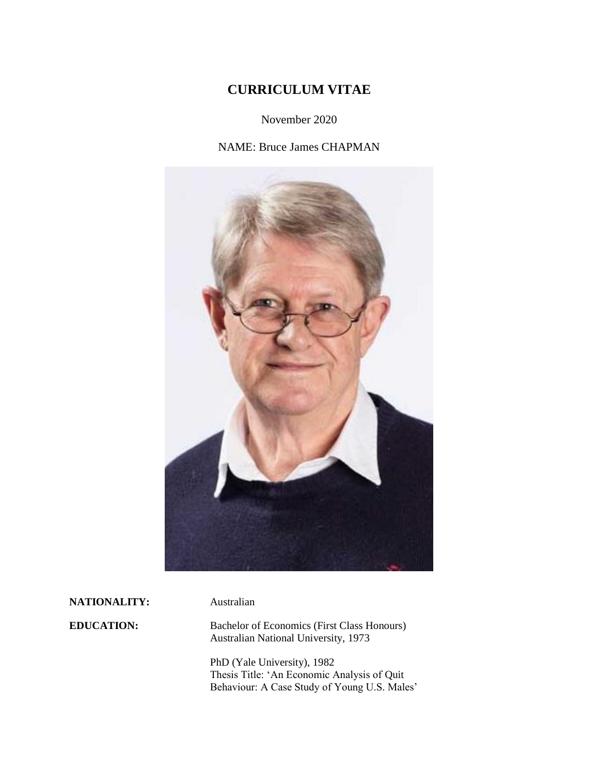# **CURRICULUM VITAE**

November 2020

NAME: Bruce James CHAPMAN



**NATIONALITY:** Australian

**EDUCATION:** Bachelor of Economics (First Class Honours) Australian National University, 1973

> PhD (Yale University), 1982 Thesis Title: 'An Economic Analysis of Quit Behaviour: A Case Study of Young U.S. Males'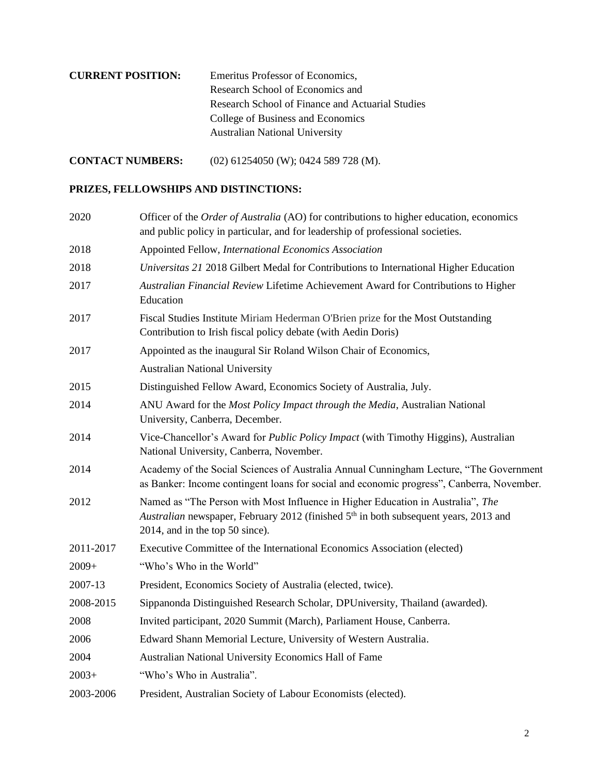| <b>CURRENT POSITION:</b> | Emeritus Professor of Economics,                 |
|--------------------------|--------------------------------------------------|
|                          | Research School of Economics and                 |
|                          | Research School of Finance and Actuarial Studies |
|                          | College of Business and Economics                |
|                          | <b>Australian National University</b>            |

**CONTACT NUMBERS:** (02) 61254050 (W); 0424 589 728 (M).

# **PRIZES, FELLOWSHIPS AND DISTINCTIONS:**

| 2020      | Officer of the <i>Order of Australia</i> (AO) for contributions to higher education, economics<br>and public policy in particular, and for leadership of professional societies.                                       |  |
|-----------|------------------------------------------------------------------------------------------------------------------------------------------------------------------------------------------------------------------------|--|
| 2018      | Appointed Fellow, International Economics Association                                                                                                                                                                  |  |
| 2018      | Universitas 21 2018 Gilbert Medal for Contributions to International Higher Education                                                                                                                                  |  |
| 2017      | Australian Financial Review Lifetime Achievement Award for Contributions to Higher<br>Education                                                                                                                        |  |
| 2017      | Fiscal Studies Institute Miriam Hederman O'Brien prize for the Most Outstanding<br>Contribution to Irish fiscal policy debate (with Aedin Doris)                                                                       |  |
| 2017      | Appointed as the inaugural Sir Roland Wilson Chair of Economics,                                                                                                                                                       |  |
|           | <b>Australian National University</b>                                                                                                                                                                                  |  |
| 2015      | Distinguished Fellow Award, Economics Society of Australia, July.                                                                                                                                                      |  |
| 2014      | ANU Award for the Most Policy Impact through the Media, Australian National<br>University, Canberra, December.                                                                                                         |  |
| 2014      | Vice-Chancellor's Award for <i>Public Policy Impact</i> (with Timothy Higgins), Australian<br>National University, Canberra, November.                                                                                 |  |
| 2014      | Academy of the Social Sciences of Australia Annual Cunningham Lecture, "The Government<br>as Banker: Income contingent loans for social and economic progress", Canberra, November.                                    |  |
| 2012      | Named as "The Person with Most Influence in Higher Education in Australia", The<br>Australian newspaper, February 2012 (finished 5 <sup>th</sup> in both subsequent years, 2013 and<br>2014, and in the top 50 since). |  |
| 2011-2017 | Executive Committee of the International Economics Association (elected)                                                                                                                                               |  |
| $2009+$   | "Who's Who in the World"                                                                                                                                                                                               |  |
| 2007-13   | President, Economics Society of Australia (elected, twice).                                                                                                                                                            |  |
| 2008-2015 | Sippanonda Distinguished Research Scholar, DPUniversity, Thailand (awarded).                                                                                                                                           |  |
| 2008      | Invited participant, 2020 Summit (March), Parliament House, Canberra.                                                                                                                                                  |  |
| 2006      | Edward Shann Memorial Lecture, University of Western Australia.                                                                                                                                                        |  |
| 2004      | Australian National University Economics Hall of Fame                                                                                                                                                                  |  |
| $2003+$   | "Who's Who in Australia".                                                                                                                                                                                              |  |
| 2003-2006 | President, Australian Society of Labour Economists (elected).                                                                                                                                                          |  |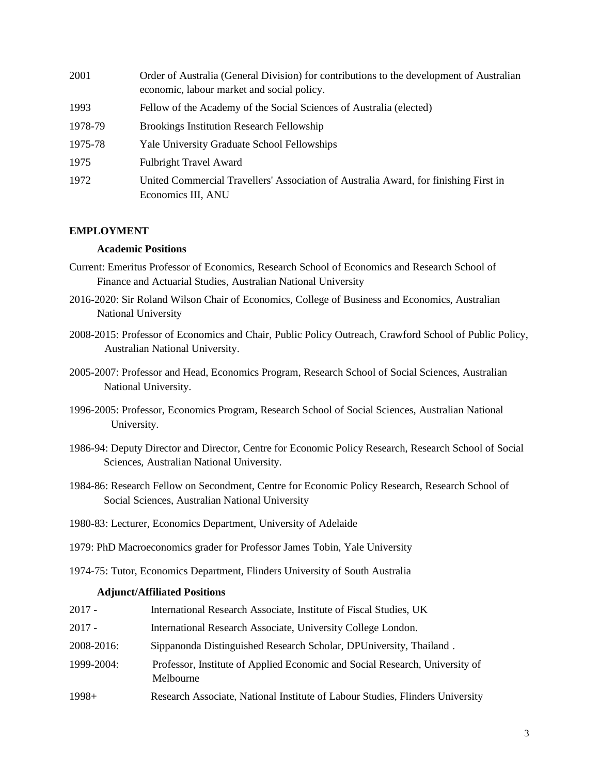| 2001    | Order of Australia (General Division) for contributions to the development of Australian<br>economic, labour market and social policy. |
|---------|----------------------------------------------------------------------------------------------------------------------------------------|
| 1993    | Fellow of the Academy of the Social Sciences of Australia (elected)                                                                    |
| 1978-79 | <b>Brookings Institution Research Fellowship</b>                                                                                       |
| 1975-78 | <b>Yale University Graduate School Fellowships</b>                                                                                     |
| 1975    | <b>Fulbright Travel Award</b>                                                                                                          |
| 1972    | United Commercial Travellers' Association of Australia Award, for finishing First in<br>Economics III, ANU                             |

### **EMPLOYMENT**

### **Academic Positions**

- Current: Emeritus Professor of Economics, Research School of Economics and Research School of Finance and Actuarial Studies, Australian National University
- 2016-2020: Sir Roland Wilson Chair of Economics, College of Business and Economics, Australian National University
- 2008-2015: Professor of Economics and Chair, Public Policy Outreach, Crawford School of Public Policy, Australian National University.
- 2005-2007: Professor and Head, Economics Program, Research School of Social Sciences, Australian National University.
- 1996-2005: Professor, Economics Program, Research School of Social Sciences, Australian National University.
- 1986-94: Deputy Director and Director, Centre for Economic Policy Research, Research School of Social Sciences, Australian National University.
- 1984-86: Research Fellow on Secondment, Centre for Economic Policy Research, Research School of Social Sciences, Australian National University
- 1980-83: Lecturer, Economics Department, University of Adelaide
- 1979: PhD Macroeconomics grader for Professor James Tobin, Yale University
- 1974-75: Tutor, Economics Department, Flinders University of South Australia

#### **Adjunct/Affiliated Positions**

| $2017 -$   | International Research Associate, Institute of Fiscal Studies, UK                        |  |
|------------|------------------------------------------------------------------------------------------|--|
| 2017 -     | International Research Associate, University College London.                             |  |
| 2008-2016: | Sippanonda Distinguished Research Scholar, DPUniversity, Thailand.                       |  |
| 1999-2004: | Professor, Institute of Applied Economic and Social Research, University of<br>Melbourne |  |
| $1998+$    | Research Associate, National Institute of Labour Studies, Flinders University            |  |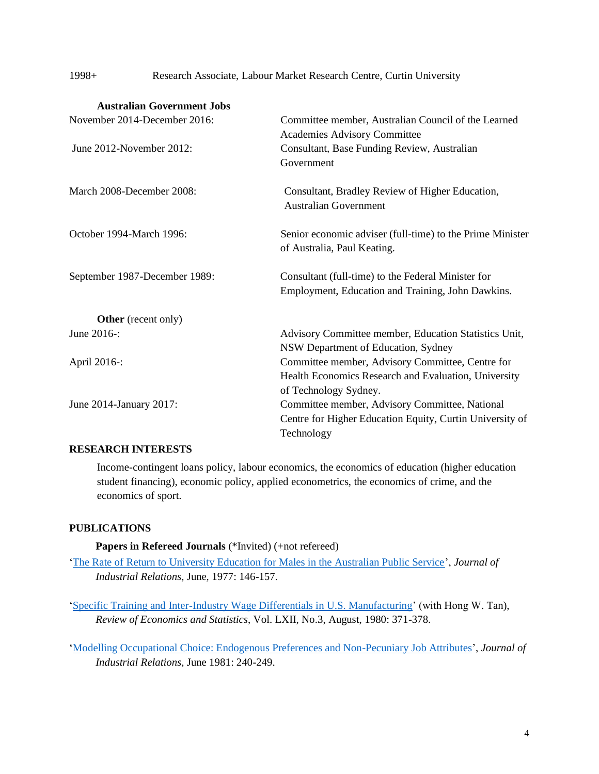1998+ Research Associate, Labour Market Research Centre, Curtin University

| <b>Australian Government Jobs</b> |                                                                                 |
|-----------------------------------|---------------------------------------------------------------------------------|
| November 2014-December 2016:      | Committee member, Australian Council of the Learned                             |
|                                   | <b>Academies Advisory Committee</b>                                             |
| June 2012-November 2012:          | Consultant, Base Funding Review, Australian                                     |
|                                   | Government                                                                      |
| March 2008-December 2008:         | Consultant, Bradley Review of Higher Education,<br><b>Australian Government</b> |
| October 1994-March 1996:          | Senior economic adviser (full-time) to the Prime Minister                       |
|                                   | of Australia, Paul Keating.                                                     |
| September 1987-December 1989:     | Consultant (full-time) to the Federal Minister for                              |
|                                   | Employment, Education and Training, John Dawkins.                               |
| <b>Other</b> (recent only)        |                                                                                 |
| June 2016-:                       | Advisory Committee member, Education Statistics Unit,                           |
|                                   | NSW Department of Education, Sydney                                             |
| April 2016-:                      | Committee member, Advisory Committee, Centre for                                |
|                                   | Health Economics Research and Evaluation, University                            |
|                                   | of Technology Sydney.                                                           |
| June 2014-January 2017:           | Committee member, Advisory Committee, National                                  |
|                                   | Centre for Higher Education Equity, Curtin University of                        |
|                                   | Technology                                                                      |
|                                   |                                                                                 |

# **RESEARCH INTERESTS**

Income-contingent loans policy, labour economics, the economics of education (higher education student financing), economic policy, applied econometrics, the economics of crime, and the economics of sport.

# **PUBLICATIONS**

**Papers in Refereed Journals** (\*Invited) (+not refereed)

['The Rate of Return to University Education for Males in the Australian Public Service'](https://brucejchapman.com/wp-content/uploads/2019/01/The-rate-of-return-to-university-education-for-males-in-the-Australian-public-service.pdf), *Journal of Industrial Relations,* June, 1977: 146-157.

['Specific Training and Inter-Industry Wage Differentials in U.S. Manufacturing'](https://brucejchapman.com/wp-content/uploads/2019/01/Specific-training-and-inter-idustry-wage-differentials-in-US-manufacturing.pdf) (with Hong W. Tan), *Review of Economics and Statistics*, Vol. LXII, No.3, August, 1980: 371-378.

['Modelling Occupational Choice: Endogenous Preferences and Non-Pecuniary Job Attributes'](https://brucejchapman.com/wp-content/uploads/2019/01/Modelling-occupational-choice-non-pecuniary-employment-attributes-and-endogenous-preferences.pdf), *Journal of Industrial Relations,* June 1981: 240-249.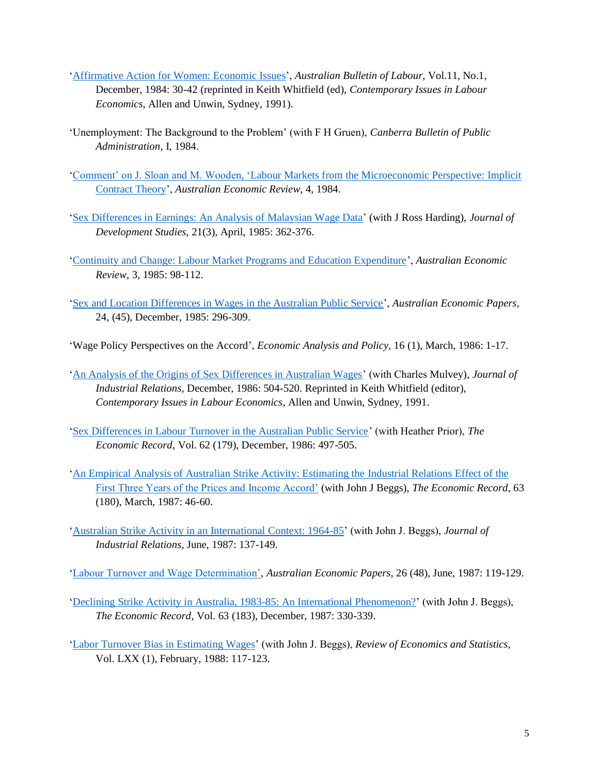- ['Affirmative Action for Women: Economic Issues'](http://www.flinders.edu.au/sabs/nils/publications/australian-bulletin-of-labour/australian-bulletin-of-labour.cfm), *Australian Bulletin of Labour,* Vol.11, No.1, December, 1984: 30-42 (reprinted in Keith Whitfield (ed), *Contemporary Issues in Labour Economics*, Allen and Unwin, Sydney, 1991).
- 'Unemployment: The Background to the Problem' (with F H Gruen), *Canberra Bulletin of Public Administration,* I, 1984.
- 'Comment' on J. Sloan [and M. Wooden, 'Labour Markets from the Microeconomic Perspective: Implicit](https://brucejchapman.com/wp-content/uploads/2019/02/Comment-on-labour-markets-from-the-microeconomic-perspective.pdf)  [Contract Theory'](https://brucejchapman.com/wp-content/uploads/2019/02/Comment-on-labour-markets-from-the-microeconomic-perspective.pdf), *Australian Economic Review*, 4, 1984.
- ['Sex Differences in Earnings: An Analysis of Malaysian Wage Data'](https://brucejchapman.com/wp-content/uploads/2019/01/Sex-Differences-in-Earnings-An-analysis-of-Malaysian-Wage-Data.doc) (with J Ross Harding), *Journal of Development Studies,* 21(3), April, 1985: 362-376.
- ['Continuity and Change: Labour Market Programs and Education Expenditure'](https://brucejchapman.com/wp-content/uploads/2019/02/Continuity-and-change-Labour-Market-Programs-and-Education-Expenditure.pdf), *Australian Economic Review*, 3, 1985: 98-112.
- ['Sex and Location Differences in Wages in the Australian Public Service'](https://brucejchapman.com/wp-content/uploads/2019/02/Sex-and-location-differences-in-the-Australian-Public-Service.pdf), *Australian Economic Papers*, 24, (45), December, 1985: 296-309.
- 'Wage Policy Perspectives on the Accord', *Economic Analysis and Policy,* 16 (1), March, 1986: 1-17.
- ['An Analysis of the Origins of Sex Differences in Australian Wages'](https://brucejchapman.com/wp-content/uploads/2019/01/An-analysis-of-the-origins-of-sex-differences-in-Australian-wages.pdf) (with Charles Mulvey), *Journal of Industrial Relations*, December, 1986: 504-520. Reprinted in Keith Whitfield (editor), *Contemporary Issues in Labour Economics*, Allen and Unwin, Sydney, 1991.
- ['Sex Differences in Labour Turnover in the Australian Public Service'](https://brucejchapman.com/wp-content/uploads/2019/02/Sex-Differences-in-Labour-Turnover-in-the-Australian-Public-Service.pdf) (with Heather Prior), *The Economic Record*, Vol. 62 (179), December, 1986: 497-505.
- ['An Empirical Analysis of Australian Strike Activity: Estimating the](https://brucejchapman.com/wp-content/uploads/2019/02/An-Empirical-Analysis-of-Australian-Strike-Activity-Estimating-the-Industrial-Relations-Effect-of-the-First-Three-Years-of-the-Price-and-Incomes-Accord.pdf) Industrial Relations Effect of the [First Three Years of the Prices and Income Accord'](https://brucejchapman.com/wp-content/uploads/2019/02/An-Empirical-Analysis-of-Australian-Strike-Activity-Estimating-the-Industrial-Relations-Effect-of-the-First-Three-Years-of-the-Price-and-Incomes-Accord.pdf) (with John J Beggs), *The Economic Record*, 63 (180), March, 1987: 46-60.
- ['Australian Strike Activity in an International Context: 1964-85'](https://brucejchapman.com/wp-content/uploads/2019/01/Australian-Strike-Activity-in-an-International-Context.pdf) (with John J. Beggs), *Journal of Industrial Relations*, June, 1987: 137-149.
- ['Labour Turnover and Wage Determination',](https://brucejchapman.com/wp-content/uploads/2019/02/Labour-Turnover-and-Wage-Determination.pdf) *Australian Economic Papers*, 26 (48), June, 1987: 119-129.
- ['Declining Strike Activity in Australia, 1983-85: An International Phenomenon?'](https://brucejchapman.com/wp-content/uploads/2019/02/Declining-strike-activity-in-Australia-1983-85-An-International-Phenonmenon.pdf) (with John J. Beggs), *The Economic Record*, Vol. 63 (183), December, 1987: 330-339.
- ['Labor Turnover Bias in Estimating Wages'](https://brucejchapman.com/wp-content/uploads/2019/01/Labor-Turnover-in-Estimating-Wages.pdf) (with John J. Beggs), *Review of Economics and Statistics*, Vol. LXX (1), February, 1988: 117-123.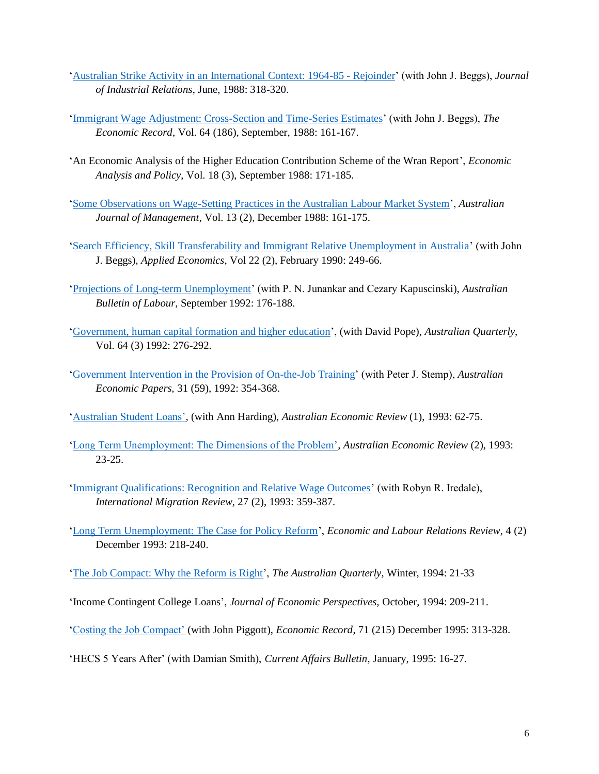- ['Australian Strike Activity in an International Context: 1964-85 -](https://brucejchapman.com/wp-content/uploads/2019/01/Australian-Strike-Activity-in-An-International-Context-1964-85-Rejoinder.pdf) Rejoinder' (with John J. Beggs), *Journal of Industrial Relations*, June, 1988: 318-320.
- ['Immigrant Wage Adjustment: Cross-Section and Time-Series Estimates'](https://brucejchapman.com/wp-content/uploads/2019/02/Immigrant-Wage-Adjustment-in-Australia-Cross-Section-and-Time-Series-Estimates.pdf) (with John J. Beggs), *The Economic Record*, Vol. 64 (186), September, 1988: 161-167.
- 'An Economic Analysis of the Higher Education Contribution Scheme of the Wran Report', *Economic Analysis and Policy*, Vol. 18 (3), September 1988: 171-185.
- ['Some Observations on Wage-Setting Practices in the Australian Labour Market System'](https://brucejchapman.com/wp-content/uploads/2019/01/Some-observations-on-Wage-Setting-Practices-in-the-Australian-Labour-Market-System.pdf), *Australian Journal of Management*, Vol. 13 (2), December 1988: 161-175.
- ['Search Efficiency, Skill Transferability and Immigrant Relative Unemployment in Australia'](https://brucejchapman.com/wp-content/uploads/2019/01/Search-efficiency-skill-transferability-and-immigrant-relative-unemployment-in-Australia.docx) (with John J. Beggs), *Applied Economics*, Vol 22 (2), February 1990: 249-66.
- ['Projections of Long-term Unemployment'](http://www.flinders.edu.au/sabs/nils/publications/australian-bulletin-of-labour/australian-bulletin-of-labour.cfm) (with P. N. Junankar and Cezary Kapuscinski), *Australian Bulletin of Labour*, September 1992: 176-188.
- ['Government, human capital formation and higher education'](https://brucejchapman.com/wp-content/uploads/2019/01/Government-Human-Capital-Formation-and-Higher-Education.pdf), (with David Pope), *Australian Quarterly,* Vol. 64 (3) 1992: 276-292.
- ['Government Intervention in the Provision of On-the-Job Training'](https://brucejchapman.com/wp-content/uploads/2019/02/Government-intervention-in-the-provision-of-on-the-job-training.pdf) (with Peter J. Stemp), *Australian Economic Papers,* 31 (59), 1992: 354-368.
- ['Australian Student Loans',](https://brucejchapman.com/wp-content/uploads/2019/02/Australian-Student-Loans.pdf) (with Ann Harding), *Australian Economic Review* (1), 1993: 62-75.
- ['Long Term Unemployment: The Dimensions of the Problem',](https://brucejchapman.com/wp-content/uploads/2019/02/Long-term-unemployment-the-dimensions-of-the-problem.pdf) *Australian Economic Review* (2), 1993: 23-25.
- ['Immigrant Qualifications: Recognition and Relative Wage Outcomes'](https://brucejchapman.com/wp-content/uploads/2018/12/Immigrant-Qualifications-Recognition-and-Relative-Wage-Outcomes.pdf) (with Robyn R. Iredale), *International Migration Review*, 27 (2), 1993: 359-387.
- ['Long Term Unemployment: The Case for Policy Reform'](https://brucejchapman.com/wp-content/uploads/2019/01/Long-term-unemployment-the-case-for-policy-reform.pdf), *Economic and Labour Relations Review*, 4 (2) December 1993: 218-240.
- ['The Job Compact: Why the Reform is Right'](https://brucejchapman.com/wp-content/uploads/2019/01/The-Jobs-Compact-Why-the-Reform-Is-Right.pdf), *The Australian Quarterly*, Winter, 1994: 21-33
- 'Income Contingent College Loans', *Journal of Economic Perspectives,* October, 1994: 209-211.
- ['Costing the Job Compact'](https://brucejchapman.com/wp-content/uploads/2019/02/Costing-the-job-compact.pdf) (with John Piggott), *Economic Record*, 71 (215) December 1995: 313-328.
- 'HECS 5 Years After' (with Damian Smith), *Current Affairs Bulletin*, January, 1995: 16-27.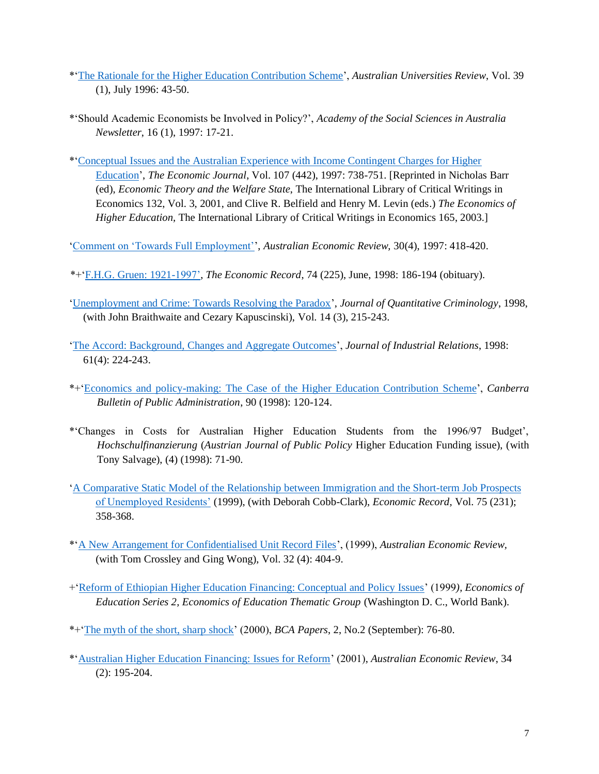- \*['The Rationale for the Higher Education Contribution Scheme'](https://brucejchapman.com/wp-content/uploads/2018/12/The-rationale-for-the-HECS.pdf), *Australian Universities Review*, Vol. 39 (1), July 1996: 43-50.
- \*'Should Academic Economists be Involved in Policy?', *Academy of the Social Sciences in Australia Newsletter*, 16 (1), 1997: 17-21.
- \*['Conceptual Issues and the Australian Experience with Income Contingent Charges for Higher](https://academic.oup.com/ej/article/107/442/738/5057711?searchresult=1)  [Education'](https://academic.oup.com/ej/article/107/442/738/5057711?searchresult=1), *The Economic Journal*, Vol. 107 (442), 1997: 738-751. [Reprinted in Nicholas Barr (ed), *Economic Theory and the Welfare State*, The International Library of Critical Writings in Economics 132, Vol. 3, 2001, and Clive R. Belfield and Henry M. Levin (eds.) *The Economics of Higher Education,* The International Library of Critical Writings in Economics 165, 2003.]

['Comment on 'Towards Full Employment''](https://brucejchapman.com/wp-content/uploads/2019/02/Comment-on-Towards-Full-Employment-copy.pdf), *Australian Economic Review,* 30(4), 1997: 418-420.

\*+['F.H.G. Gruen: 1921-1997',](https://brucejchapman.com/wp-content/uploads/2019/02/F.H.G-Gruen-1921-97.pdf) *The Economic Record*, 74 (225), June, 1998: 186-194 (obituary).

- ['Unemployment and Crime: Towards Resolving the Paradox'](https://rdcu.be/bi6Xr), *Journal of Quantitative Criminology*, 1998, (with John Braithwaite and Cezary Kapuscinski), Vol. 14 (3), 215-243.
- ['The Accord: Background, Changes and Aggregate Outcomes'](https://brucejchapman.com/wp-content/uploads/2019/01/The-Accord-Background-Changes-and-Aggregate-Outcomes.pdf), *Journal of Industrial Relations*, 1998: 61(4): 224-243.
- \*+['Economics and policy-making: The Case of the Higher Education Contribution Scheme'](https://brucejchapman.com/wp-content/uploads/2018/12/Economics-and-policy-making-the-case-of-the-HECS.pdf), *Canberra Bulletin of Public Administration*, 90 (1998): 120-124.
- \*'Changes in Costs for Australian Higher Education Students from the 1996/97 Budget', *Hochschulfinanzierung* (*Austrian Journal of Public Policy* Higher Education Funding issue), (with Tony Salvage), (4) (1998): 71-90.
- ['A Comparative Static Model of the Relationship between Immigration and the Short-term Job](https://brucejchapman.com/wp-content/uploads/2019/02/A-comparative-static-model-of-the-relationship-between-immigration-and-short-run-job-prospects-of-unemployed-residents.pdf) Prospects [of Unemployed Residents'](https://brucejchapman.com/wp-content/uploads/2019/02/A-comparative-static-model-of-the-relationship-between-immigration-and-short-run-job-prospects-of-unemployed-residents.pdf) (1999), (with Deborah Cobb-Clark), *Economic Record,* Vol. 75 (231); 358-368.
- \*'A [New Arrangement for Confidentialised Unit Record Files'](https://brucejchapman.com/wp-content/uploads/2019/02/A-New-Arrangement-for-Confidentialised-Unit-Record-Files.pdf), (1999), *Australian Economic Review,*  (with Tom Crossley and Ging Wong), Vol. 32 (4): 404-9.
- +['Reform of Ethiopian Higher Education Financing: Conceptual and Policy Issues'](https://brucejchapman.com/wp-content/uploads/2018/12/Reform_Ethiopian_HE_Financing.pdf) (1999*), Economics of Education Series 2, Economics of Education Thematic Group* (Washington D. C., World Bank).
- \*+['The myth of the short, sharp shock'](https://brucejchapman.com/wp-content/uploads/2018/12/The-myth-of-the-short-sharp-shock.pdf) (2000), *BCA Papers*, 2, No.2 (September): 76-80.
- \*['Australian Higher Education Financing: Issues for Reform'](https://brucejchapman.com/wp-content/uploads/2019/02/Australian-Higher-Education-Financing-Issues-for-Reform.pdf) (2001), *Australian Economic Review*, 34 (2): 195-204.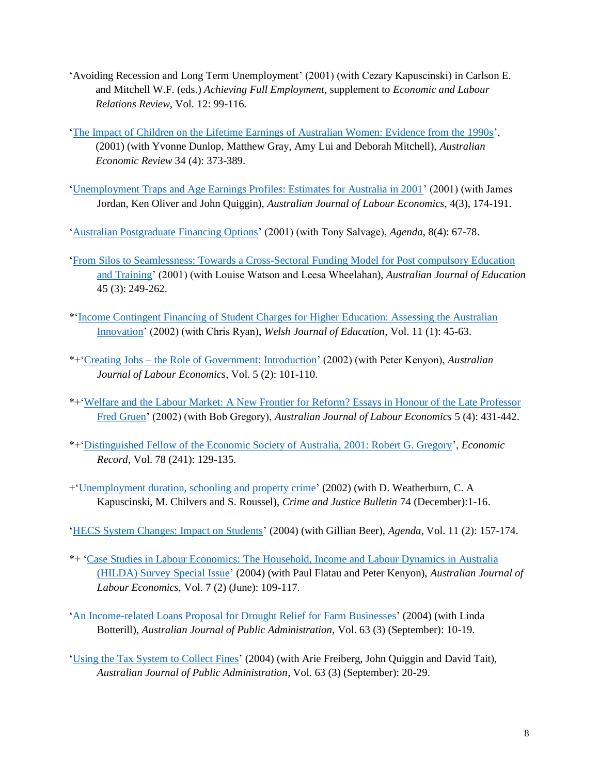- 'Avoiding Recession and Long Term Unemployment' (2001) (with Cezary Kapuscinski) in Carlson E. and Mitchell W.F. (eds.) *Achieving Full Employment*, supplement to *Economic and Labour Relations Review,* Vol. 12: 99-116.
- ['The Impact of Children on the Lifetime Earnings of Australian Women: Evidence from the 1990s'](https://brucejchapman.com/wp-content/uploads/2019/02/The-Impact-of-Children-on-the-Lifetime-Earnings-of-Australian-Women.pdf), (2001) (with Yvonne Dunlop, Matthew Gray, Amy Lui and Deborah Mitchell), *Australian Economic Review* 34 (4): 373-389.
- ['Unemployment Traps and Age Earnings Profiles: Estimates for Australia in 2001'](https://brucejchapman.com/wp-content/uploads/2019/01/Unemployment-traps-and-age-earnings-profiles.pdf) (2001) (with James Jordan, Ken Oliver and John Quiggin), *Australian Journal of Labour Economics*, 4(3), 174-191.

['Australian Postgraduate Financing Options'](https://brucejchapman.com/wp-content/uploads/2018/12/Australian-Postgraduate-Financing-Options.pdf) (2001) (with Tony Salvage), *Agenda*, 8(4): 67-78.

- ['From Silos to Seamlessness: Towards a Cross-Sectoral Funding Model for Post compulsory Education](https://brucejchapman.com/wp-content/uploads/2019/01/From-silos-to-seamlessness-Towards-a-crosssectoral-funding-model-for-postcompulsory-education-and-training.pdf)  [and Training'](https://brucejchapman.com/wp-content/uploads/2019/01/From-silos-to-seamlessness-Towards-a-crosssectoral-funding-model-for-postcompulsory-education-and-training.pdf) (2001) (with Louise Watson and Leesa Wheelahan), *Australian Journal of Education* 45 (3): 249-262.
- \*['Income Contingent Financing of Student Charges for Higher Education: Assessing the Australian](https://brucejchapman.com/wp-content/uploads/2018/12/Income-contingent-financing-of-student-charges-for-higher-education.pdf)  [Innovation'](https://brucejchapman.com/wp-content/uploads/2018/12/Income-contingent-financing-of-student-charges-for-higher-education.pdf) (2002) (with Chris Ryan), *Welsh Journal of Education,* Vol. 11 (1): 45-63.
- \*+'Creating Jobs [the Role of Government: Introduction'](https://brucejchapman.com/wp-content/uploads/2019/01/Creating-jobs-the-role-of-government.pdf) (2002) (with Peter Kenyon), *Australian Journal of Labour Economics*, Vol. 5 (2): 101-110.
- \*+['Welfare and the Labour Market: A New Frontier for Reform? Essays in Honour of the Late Professor](https://brucejchapman.com/wp-content/uploads/2019/01/Introduction-Welfare-and-the-Labour-Market.pdf)  [Fred Gruen'](https://brucejchapman.com/wp-content/uploads/2019/01/Introduction-Welfare-and-the-Labour-Market.pdf) (2002) (with Bob Gregory), *Australian Journal of Labour Economics* 5 (4): 431-442.
- \*+['Distinguished Fellow of the Economic Society of Australia, 2001: Robert G. Gregory'](https://brucejchapman.com/wp-content/uploads/2019/02/Distinguished-Fellow-of-the-Economic-Society-of-Australia-2001-Robert-G-Gregory.pdf), *Economic Record*, Vol. 78 (241): 129-135.
- +['Unemployment duration, schooling](https://brucejchapman.com/wp-content/uploads/2018/12/Unemployment-duration-schooling-and-property-crime.pdf) and property crime' (2002) (with D. Weatherburn, C. A Kapuscinski, M. Chilvers and S. Roussel), *Crime and Justice Bulletin* 74 (December):1-16.
- ['HECS System Changes: Impact on Students'](https://brucejchapman.com/wp-content/uploads/2018/12/HECS-system-changes-impact-on-students.pdf) (2004) (with Gillian Beer), *Agenda*, Vol. 11 (2): 157-174.
- \*+ ['Case Studies in Labour Economics: The Household, Income and Labour Dynamics in Australia](https://brucejchapman.com/wp-content/uploads/2019/03/Case-studies-in-labour-economics-HILDA-survey-special-issue.pdf)  [\(HILDA\) Survey](https://brucejchapman.com/wp-content/uploads/2019/03/Case-studies-in-labour-economics-HILDA-survey-special-issue.pdf) Special Issue' (2004) (with Paul Flatau and Peter Kenyon), *Australian Journal of Labour Economics,* Vol. 7 (2) (June): 109-117.
- ['An Income-related Loans Proposal for Drought Relief for Farm Businesses'](https://brucejchapman.com/wp-content/uploads/2019/02/An-ICL-proposal-for-drought-relief-for-farm-businesses.pdf) (2004) (with Linda Botterill), *Australian Journal of Public Administration,* Vol. 63 (3) (September): 10-19.
- ['Using the Tax System to Collect Fines'](https://brucejchapman.com/wp-content/uploads/2019/02/Using-the-tax-system-to-collect-fines.pdf) (2004) (with Arie Freiberg, John Quiggin and David Tait), *Australian Journal of Public Administration*, Vol. 63 (3) (September): 20-29.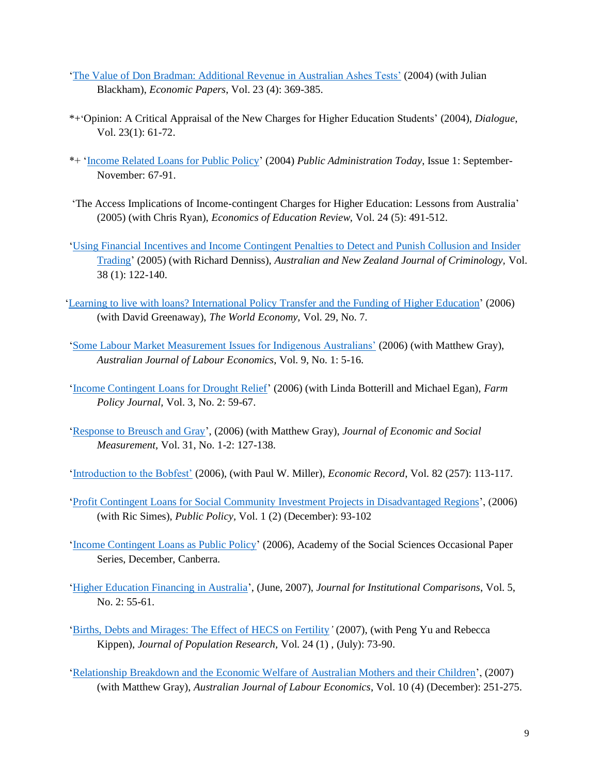- ['The Value of Don Bradman: Additional Revenue in Australian Ashes Tests'](https://brucejchapman.com/wp-content/uploads/2019/02/The-value-of-Don-Bradman.pdf) (2004) (with Julian Blackham), *Economic Papers*, Vol. 23 (4): 369-385.
- \*+'Opinion: A Critical Appraisal of the New Charges for Higher Education Students' (2004), *Dialogue*, Vol. 23(1): 61-72.
- \*+ ['Income Related Loans for Public Policy'](https://brucejchapman.com/wp-content/uploads/2019/01/Income-related-loans-for-public-policy.pdf) (2004) *Public Administration Today*, Issue 1: September-November: 67-91.
- 'The Access Implications of Income-contingent Charges for Higher Education: Lessons from Australia' (2005) (with Chris Ryan), *Economics of Education Review,* Vol. 24 (5): 491-512.
- ['Using Financial Incentives and Income Contingent Penalties to Detect and Punish Collusion and Insider](https://brucejchapman.com/wp-content/uploads/2019/01/Using-Financial-Incentives-and-Income-contigent-penalties-to-punish-collusion-and-insider-trading.pdf)  [Trading'](https://brucejchapman.com/wp-content/uploads/2019/01/Using-Financial-Incentives-and-Income-contigent-penalties-to-punish-collusion-and-insider-trading.pdf) (2005) (with Richard Denniss), *Australian and New Zealand Journal of Criminology,* Vol. 38 (1): 122-140.
- ['Learning to live with loans? International Policy Transfer and the Funding of Higher Education'](https://brucejchapman.com/wp-content/uploads/2019/02/Learning-to-Live-with-Loans-International-Policy-Transfer-and-the-Funding-of-HE.pdf) (2006) (with David Greenaway), *The World Economy,* Vol. 29, No. 7.
- 'Some [Labour Market Measurement Issues for Indigenous Australians'](https://brucejchapman.com/wp-content/uploads/2019/03/Some-labour-market-measurement-issues-for-Indigenous-Australians.pdf) (2006) (with Matthew Gray), *Australian Journal of Labour Economics*, Vol. 9, No. 1: 5-16.
- ['Income Contingent Loans for Drought Relief'](http://www.farminstitute.org.au/publications-1/farm-policy-journals/2006-may-drought-developing-policy-before-the-inevitable-dry/fpj0302-article-income-contingent-loans-for-drought-relief) (2006) (with Linda Botterill and Michael Egan), *Farm Policy Journal,* Vol. 3, No. 2: 59-67.
- ['Response to Breusch and Gray'](https://brucejchapman.com/wp-content/uploads/2019/01/Response-to-Breusch-and-Gray.pdf), (2006) (with Matthew Gray), *Journal of Economic and Social Measurement,* Vol. 31, No. 1-2: 127-138.
- ['Introduction to the Bobfest'](https://brucejchapman.com/wp-content/uploads/2019/02/Introduction-to-Bobfest.pdf) (2006), (with Paul W. Miller), *Economic Record*, Vol. 82 (257): 113-117.
- ['Profit Contingent Loans for Social Community Investment Projects in Disadvantaged Regions'](hhttps://brucejchapman.com/wp-content/uploads/2019/01/Profit-Contingent-Loans-for-Social-and-Community-Investments-in-Economically-Disadvantaged-Regions.pdf), (2006) (with Ric Simes), *Public Policy,* Vol. 1 (2) (December): 93-102
- ['Income Contingent Loans as Public Policy'](https://brucejchapman.com/wp-content/uploads/2018/12/ICLs-as-Public-Policy.pdf) (2006), Academy of the Social Sciences Occasional Paper Series, December, Canberra.
- ['Higher Education Financing in Australia'](https://brucejchapman.com/wp-content/uploads/2018/12/Higher-Education-Financing-in-Australia.pdf), (June, 2007), *Journal for Institutional Comparisons*, Vol. 5, No. 2: 55-61.
- ['Births, Debts and Mirages: The Effect of HECS on Fertility](https://rdcu.be/bi6XL)*'* (2007), (with Peng Yu and Rebecca Kippen), *Journal of Population Research,* Vol. 24 (1) , (July): 73-90.
- ['Relationship Breakdown and the Economic Welfare of Australian Mothers and their Children'](https://brucejchapman.com/wp-content/uploads/2019/03/Relationship-breakdown-and-the-economic-welfare-of-australian-mothers-and-their-children.pdf), (2007) (with Matthew Gray), *Australian Journal of Labour Economics*, Vol. 10 (4) (December): 251-275.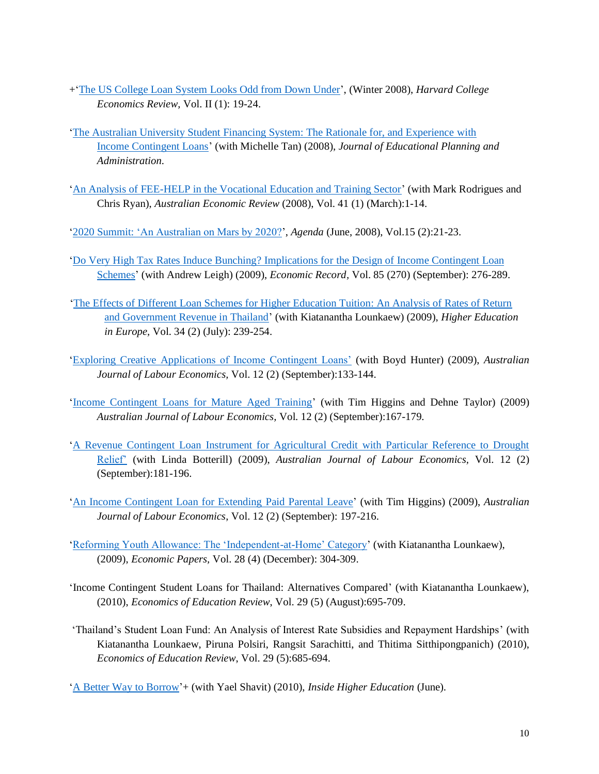- +['The US College Loan System Looks Odd from Down Under'](http://www.eastasiaforum.org/2008/10/02/the-us-college-loan-system-looks-odd-from-down-under/), (Winter 2008), *Harvard College Economics Review,* Vol. II (1): 19-24.
- ['The Australian University Student Financing System: The Rationale for, and Experience](https://brucejchapman.com/wp-content/uploads/2018/12/The-Australian-University-Student-Financing-System-The-rationale-for-and-experience-with-ICLs.pdf) with [Income Contingent Loans'](https://brucejchapman.com/wp-content/uploads/2018/12/The-Australian-University-Student-Financing-System-The-rationale-for-and-experience-with-ICLs.pdf) (with Michelle Tan) (2008), *Journal of Educational Planning and Administration.*
- ['An Analysis of FEE-HELP in the Vocational Education and Training Sector'](https://brucejchapman.com/wp-content/uploads/2019/02/An-Analysis-of-FEE-HELP-in-the-Vocational-Education-and-Training-Sector.pdf) (with Mark Rodrigues and Chris Ryan), *Australian Economic Review* (2008), Vol. 41 (1) (March):1-14.
- ['2020 Summit: 'An Australian on Mars by 2020?'](https://brucejchapman.com/wp-content/uploads/2018/12/2020-Summit.pdf), *Agenda* (June, 2008), Vol.15 (2):21-23.
- ['Do Very High Tax Rates Induce Bunching? Implications for](https://brucejchapman.com/wp-content/uploads/2019/02/Do-High-Tax-Rates-Induce-Bunching.pdf) the Design of Income Contingent Loan [Schemes'](https://brucejchapman.com/wp-content/uploads/2019/02/Do-High-Tax-Rates-Induce-Bunching.pdf) (with Andrew Leigh) (2009), *Economic Record,* Vol. 85 (270) (September): 276-289.
- ['The Effects of Different Loan Schemes for Higher Education Tuition: An Analysis of Rates of Return](https://www.tandfonline.com/doi/abs/10.1080/03797720902867427?scroll=top&needAccess=true&journalCode=chee20)  [and Government Revenue in Thailand'](https://www.tandfonline.com/doi/abs/10.1080/03797720902867427?scroll=top&needAccess=true&journalCode=chee20) (with Kiatanantha Lounkaew) (2009), *Higher Education in Europe,* Vol. 34 (2) (July): 239-254.
- ['Exploring Creative Applications of Income Contingent Loans'](https://brucejchapman.com/wp-content/uploads/2019/03/Exploring-Creative-Applications-of-Income-Contigent-Loans.pdf) (with Boyd Hunter) (2009), *Australian Journal of Labour Economics,* Vol. 12 (2) (September):133-144.
- ['Income Contingent Loans for Mature Aged Training'](https://brucejchapman.com/wp-content/uploads/2019/03/ICL-for-mature-age-training.pdf) (with Tim Higgins and Dehne Taylor) (2009) *Australian Journal of Labour Economics,* Vol. 12 (2) (September):167-179.
- ['A Revenue Contingent Loan Instrument for Agricultural Credit with Particular Reference to Drought](https://brucejchapman.com/wp-content/uploads/2019/03/A-Revenue-Contingent-Loan-Instrument-for-Agricultrual-Credit-with-Particular-Reference-to-Drought-Relief.pdf)  [Relief'](https://brucejchapman.com/wp-content/uploads/2019/03/A-Revenue-Contingent-Loan-Instrument-for-Agricultrual-Credit-with-Particular-Reference-to-Drought-Relief.pdf) (with Linda Botterill) (2009), *Australian Journal of Labour Economics,* Vol. 12 (2) (September):181-196.
- ['An Income Contingent Loan for Extending Paid Parental Leave'](https://brucejchapman.com/wp-content/uploads/2019/03/An-ICL-for-extending-paid-parental-leave.pdf) (with Tim Higgins) (2009), *Australian Journal of Labour Economics*, Vol. 12 (2) (September): 197-216.
- ['Reforming Youth Allowance: The 'Independent-at-Home' Category'](https://brucejchapman.com/wp-content/uploads/2019/02/Reforming-Youth-Allowance-The-Independent-at-Home-category.pdf) (with Kiatanantha Lounkaew), (2009), *Economic Papers,* Vol. 28 (4) (December): 304-309.
- 'Income Contingent Student Loans for Thailand: Alternatives Compared' (with Kiatanantha Lounkaew), (2010), *Economics of Education Review*, Vol. 29 (5) (August):695-709.
- 'Thailand's Student Loan Fund: An Analysis of Interest Rate Subsidies and Repayment Hardships' (with Kiatanantha Lounkaew, Piruna Polsiri, Rangsit Sarachitti, and Thitima Sitthipongpanich) (2010), *Economics of Education Review*, Vol. 29 (5):685-694.
- ['A Better Way to Borrow'](https://www.insidehighered.com/views/2010/06/08/better-way-borrow)+ (with Yael Shavit) (2010), *Inside Higher Education* (June).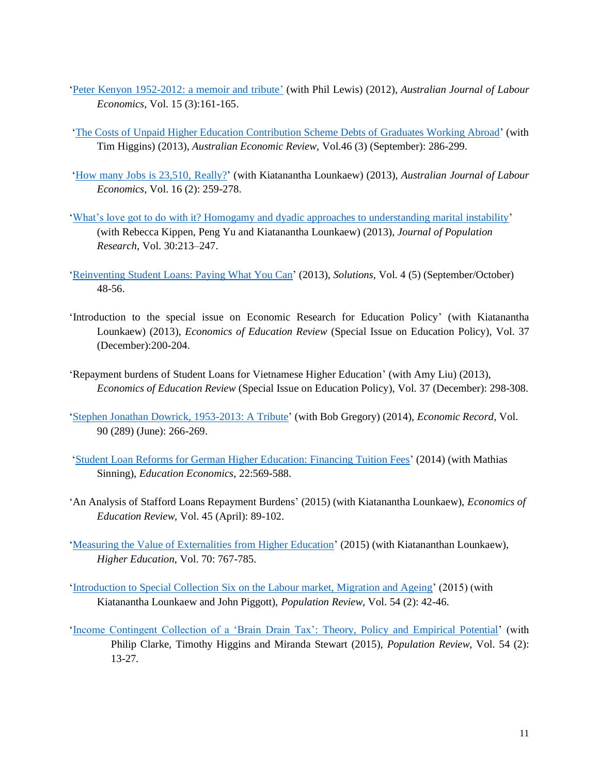- ['Peter Kenyon 1952-2012: a memoir and tribute'](https://brucejchapman.com/wp-content/uploads/2019/03/Peter-Kenyon-1952-2012-a-memoir-and-tribute.pdf) (with Phil Lewis) (2012), *Australian Journal of Labour Economics*, Vol. 15 (3):161-165.
- ['The Costs of Unpaid Higher Education Contribution Scheme Debts of](https://brucejchapman.com/wp-content/uploads/2019/02/The-Costs-of-Unpaid-Higher-Education-Contribution-Scheme-for-Graduates-Working-Abroad.pdf) Graduates Working Abroad' (with Tim Higgins) (2013), *Australian Economic Review,* Vol.46 (3) (September): 286-299.
- ['How many Jobs is 23,510, Really?'](https://brucejchapman.com/wp-content/uploads/2019/03/How-many-jobs-is-23510-really.pdf) (with Kiatanantha Lounkaew) (2013), *Australian Journal of Labour Economics,* Vol. 16 (2): 259-278.
- 'What's love got to do with it? Homogamy [and dyadic approaches to understanding marital instability'](https://rdcu.be/bi6Yb) (with Rebecca Kippen, Peng Yu and Kiatanantha Lounkaew) (2013), *Journal of Population Research*, Vol. 30:213–247.
- ['Reinventing Student Loans: Paying What You Can'](https://www.thesolutionsjournal.com/article/reinventing-student-loans-paying-what-you-can/) (2013), *Solutions,* Vol. 4 (5) (September/October) 48-56.
- 'Introduction to the special issue on Economic Research for Education Policy' (with Kiatanantha Lounkaew) (2013), *Economics of Education Review* (Special Issue on Education Policy)*,* Vol. 37 (December):200-204.
- 'Repayment burdens of Student Loans for Vietnamese Higher Education' (with Amy Liu) (2013), *Economics of Education Review* (Special Issue on Education Policy), Vol. 37 (December): 298-308.
- ['Stephen Jonathan Dowrick, 1953-2013: A Tribute'](https://brucejchapman.com/wp-content/uploads/2019/02/Obituary-Steven-Jonathan-Dowrick.pdf) (with Bob Gregory) (2014), *Economic Record*, Vol. 90 (289) (June): 266-269.
- 'Student Loan Reforms [for German Higher Education: Financing Tuition Fees'](https://brucejchapman.com/wp-content/uploads/2019/01/Student-loan-reforms-for-German-higher-education-financing-tuition-fees.docx) (2014) (with Mathias Sinning), *Education Economics*, 22:569-588.
- 'An Analysis of Stafford Loans Repayment Burdens' (2015) (with Kiatanantha Lounkaew), *Economics of Education Review,* Vol. 45 (April): 89-102.
- ['Measuring the Value of Externalities](https://rdcu.be/bi6YA) from Higher Education' (2015) (with Kiatananthan Lounkaew), *Higher Education*, Vol. 70: 767-785.
- 'Introduction to Special Collection Six [on the Labour market, Migration and Ageing'](https://brucejchapman.com/wp-content/uploads/2018/12/Introduction-to-the-speical-collection-six-on-labour-market-migration-and-ageing.pdf) (2015) (with Kiatanantha Lounkaew and John Piggott), *Population Review,* Vol. 54 (2): 42-46.
- ['Income Contingent Collection of a 'Brain Drain Tax': Theory, Policy and Empirical Potential'](https://brucejchapman.com/wp-content/uploads/2019/01/Income-Contingent-Collection-of-a-Brain-Drain-Tax.pdf) (with Philip Clarke, Timothy Higgins and Miranda Stewart (2015), *Population Review*, Vol. 54 (2): 13-27*.*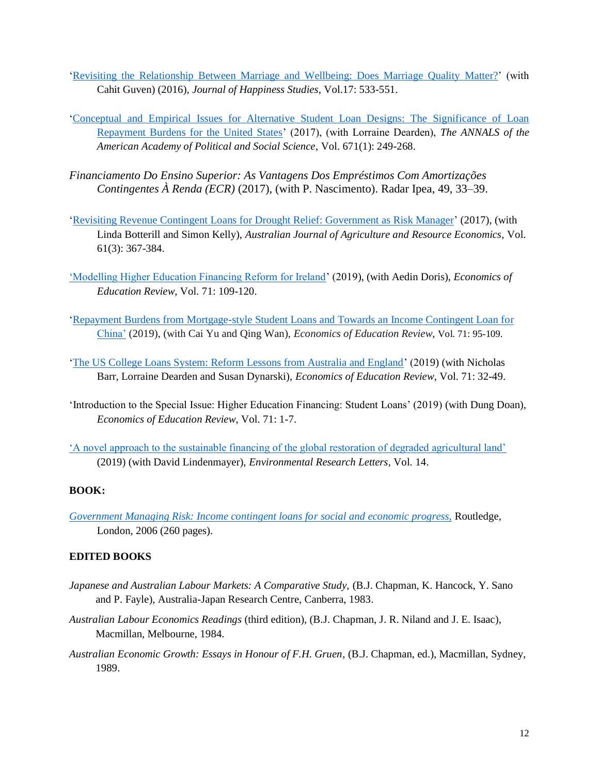- ['Revisiting the Relationship Between Marriage and Wellbeing: Does Marriage Quality Matter?'](https://rdcu.be/bi6YQ) (with Cahit Guven) (2016), *Journal of Happiness Studies*, Vol.17: 533-551.
- ['Conceptual and Empirical Issues for Alternative Student Loan Designs: The Significance of Loan](https://brucejchapman.com/wp-content/uploads/2019/01/ANNALS703969_Final_Word.docx)  [Repayment Burdens for the United States'](https://brucejchapman.com/wp-content/uploads/2019/01/ANNALS703969_Final_Word.docx) (2017), (with Lorraine Dearden), *The ANNALS of the American Academy of Political and Social Science*, Vol. 671(1): 249-268.
- *Financiamento Do Ensino Superior: As Vantagens Dos Empréstimos Com Amortizações Contingentes À Renda (ECR)* (2017), (with P. Nascimento). Radar Ipea, 49, 33–39.
- 'Revisiting Revenue Contingent [Loans for Drought Relief: Government as Risk Manager'](https://brucejchapman.com/wp-content/uploads/2019/02/Revisiting-revenue-contingent-loans-for-drought-relief-Government-as-a-risk-manager.pdf) (2017), (with Linda Botterill and Simon Kelly), *Australian Journal of Agriculture and Resource Economics*, Vol. 61(3): 367-384.
- ['Modelling Higher Education Financing Reform for Ireland'](https://brucejchapman.com/wp-content/uploads/2018/12/Modelling-higher-education-financing-reform-for-Ireland.pdf) (2019), (with Aedin Doris), *Economics of Education Review,* Vol. 71: 109-120.
- ['Repayment Burdens from Mortgage-style Student Loans and Towards an Income Contingent Loan for](https://brucejchapman.com/wp-content/uploads/2018/12/Repayment-burdens-of-mortgage-style-student-loans-in-China-and-steps-toward-income-contigent-loans.pdf)  [China'](https://brucejchapman.com/wp-content/uploads/2018/12/Repayment-burdens-of-mortgage-style-student-loans-in-China-and-steps-toward-income-contigent-loans.pdf) (2019), (with Cai Yu and Qing Wan), *Economics of Education Review,* Vol. 71: 95-109.
- ['The US College Loans System: Reform Lessons from Australia and England'](https://brucejchapman.com/wp-content/uploads/2019/01/US-College-Loans-System-1.pdf) (2019) (with Nicholas Barr, Lorraine Dearden and Susan Dynarski), *Economics of Education Review*, Vol. 71: 32-49.
- 'Introduction to the Special Issue: Higher Education Financing: Student Loans' (2019) (with Dung Doan), *Economics of Education Review*, Vol. 71: 1-7.
- ['A novel approach to the sustainable financing of the global restoration of degraded agricultural land'](https://iopscience.iop.org/article/10.1088/1748-9326/ab5deb/pdf) (2019) (with David Lindenmayer), *Environmental Research Letters*, Vol. 14.

# **BOOK:**

*[Government Managing Risk: Income contingent loans for social and economic progress,](https://books.google.com.au/books?hl=en&lr=&id=1_OBAgAAQBAJ&oi=fnd&pg=PP1&dq=bruce+chapman&ots=XxcJ4wooNV&sig=m-a2CMNOlZW9SYl_wLgOrHl_BKY#v=onepage&q=bruce%20chapman&f=false)* Routledge, London, 2006 (260 pages).

# **EDITED BOOKS**

- *Japanese and Australian Labour Markets: A Comparative Study,* (B.J. Chapman, K. Hancock, Y. Sano and P. Fayle), Australia-Japan Research Centre, Canberra, 1983.
- *Australian Labour Economics Readings* (third edition), (B.J. Chapman, J. R. Niland and J. E. Isaac), Macmillan, Melbourne, 1984.
- *Australian Economic Growth: Essays in Honour of F.H. Gruen*, (B.J. Chapman, ed.), Macmillan, Sydney, 1989.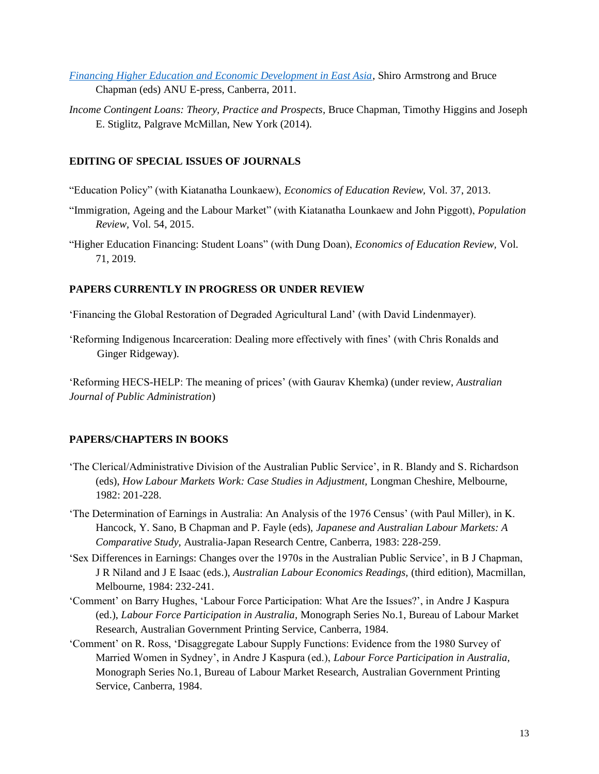- *[Financing Higher Education and Economic Development in East Asia,](http://press-files.anu.edu.au/downloads/press/p148581/pdf/book.pdf?referer=208)* Shiro Armstrong and Bruce Chapman (eds) ANU E-press, Canberra, 2011.
- *Income Contingent Loans: Theory, Practice and Prospects, Bruce Chapman, Timothy Higgins and Joseph* E. Stiglitz, Palgrave McMillan, New York (2014).

# **EDITING OF SPECIAL ISSUES OF JOURNALS**

- "Education Policy" (with Kiatanatha Lounkaew), *Economics of Education Review,* Vol. 37, 2013.
- "Immigration, Ageing and the Labour Market" (with Kiatanatha Lounkaew and John Piggott), *Population Review,* Vol. 54, 2015.
- "Higher Education Financing: Student Loans" (with Dung Doan), *Economics of Education Review,* Vol. 71, 2019.

### **PAPERS CURRENTLY IN PROGRESS OR UNDER REVIEW**

'Financing the Global Restoration of Degraded Agricultural Land' (with David Lindenmayer).

'Reforming Indigenous Incarceration: Dealing more effectively with fines' (with Chris Ronalds and Ginger Ridgeway).

'Reforming HECS-HELP: The meaning of prices' (with Gaurav Khemka) (under review, *Australian Journal of Public Administration*)

# **PAPERS/CHAPTERS IN BOOKS**

- 'The Clerical/Administrative Division of the Australian Public Service', in R. Blandy and S. Richardson (eds), *How Labour Markets Work: Case Studies in Adjustment,* Longman Cheshire, Melbourne, 1982: 201-228.
- 'The Determination of Earnings in Australia: An Analysis of the 1976 Census' (with Paul Miller), in K. Hancock, Y. Sano, B Chapman and P. Fayle (eds), *Japanese and Australian Labour Markets: A Comparative Study,* Australia-Japan Research Centre, Canberra, 1983: 228-259.
- 'Sex Differences in Earnings: Changes over the 1970s in the Australian Public Service', in B J Chapman, J R Niland and J E Isaac (eds.), *Australian Labour Economics Readings,* (third edition), Macmillan, Melbourne, 1984: 232-241.
- 'Comment' on Barry Hughes, 'Labour Force Participation: What Are the Issues?', in Andre J Kaspura (ed.), *Labour Force Participation in Australia,* Monograph Series No.1, Bureau of Labour Market Research, Australian Government Printing Service, Canberra, 1984.
- 'Comment' on R. Ross, 'Disaggregate Labour Supply Functions: Evidence from the 1980 Survey of Married Women in Sydney', in Andre J Kaspura (ed.), *Labour Force Participation in Australia,*  Monograph Series No.1, Bureau of Labour Market Research, Australian Government Printing Service, Canberra, 1984.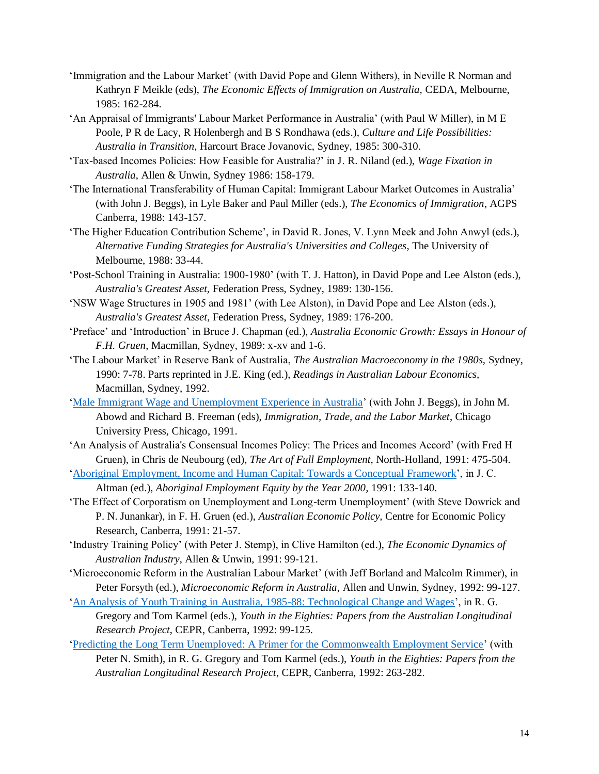- 'Immigration and the Labour Market' (with David Pope and Glenn Withers), in Neville R Norman and Kathryn F Meikle (eds), *The Economic Effects of Immigration on Australia,* CEDA, Melbourne, 1985: 162-284.
- 'An Appraisal of Immigrants' Labour Market Performance in Australia' (with Paul W Miller), in M E Poole, P R de Lacy, R Holenbergh and B S Rondhawa (eds.), *Culture and Life Possibilities: Australia in Transition,* Harcourt Brace Jovanovic, Sydney, 1985: 300-310.
- 'Tax-based Incomes Policies: How Feasible for Australia?' in J. R. Niland (ed.), *Wage Fixation in Australia*, Allen & Unwin, Sydney 1986: 158-179.
- 'The International Transferability of Human Capital: Immigrant Labour Market Outcomes in Australia' (with John J. Beggs), in Lyle Baker and Paul Miller (eds.), *The Economics of Immigration*, AGPS Canberra, 1988: 143-157.
- 'The Higher Education Contribution Scheme', in David R. Jones, V. Lynn Meek and John Anwyl (eds.), *Alternative Funding Strategies for Australia's Universities and Colleges*, The University of Melbourne, 1988: 33-44.
- 'Post-School Training in Australia: 1900-1980' (with T. J. Hatton), in David Pope and Lee Alston (eds.), *Australia's Greatest Asset,* Federation Press, Sydney, 1989: 130-156.
- 'NSW Wage Structures in 1905 and 1981' (with Lee Alston), in David Pope and Lee Alston (eds.), *Australia's Greatest Asset*, Federation Press, Sydney, 1989: 176-200.
- 'Preface' and 'Introduction' in Bruce J. Chapman (ed.), *Australia Economic Growth: Essays in Honour of F.H. Gruen*, Macmillan, Sydney, 1989: x-xv and 1-6.
- 'The Labour Market' in Reserve Bank of Australia, *The Australian Macroeconomy in the 1980s,* Sydney, 1990: 7-78. Parts reprinted in J.E. King (ed.), *Readings in Australian Labour Economics,*  Macmillan, Sydney, 1992.
- ['Male Immigrant Wage and Unemployment Experience in Australia'](https://brucejchapman.com/wp-content/uploads/2018/12/Male-Immigration-Wage-and-Unemployment-Experience-in-Australia.pdf) (with John J. Beggs), in John M. Abowd and Richard B. Freeman (eds), *Immigration, Trade, and the Labor Market*, Chicago University Press, Chicago, 1991.
- 'An Analysis of Australia's Consensual Incomes Policy: The Prices and Incomes Accord' (with Fred H Gruen), in Chris de Neubourg (ed), *The Art of Full Employment,* North-Holland, 1991: 475-504.
- ['Aboriginal Employment, Income and Human Capital: Towards a Conceptual Framework'](https://brucejchapman.com/wp-content/uploads/2018/12/Aboriginal-Employment-Equity-by-year-2000-ch11.pdf), in J. C. Altman (ed.), *Aboriginal Employment Equity by the Year 2000,* 1991: 133-140.
- 'The Effect of Corporatism on Unemployment and Long-term Unemployment' (with Steve Dowrick and P. N. Junankar), in F. H. Gruen (ed.), *Australian Economic Policy,* Centre for Economic Policy Research, Canberra, 1991: 21-57.
- 'Industry Training Policy' (with Peter J. Stemp), in Clive Hamilton (ed.), *The Economic Dynamics of Australian Industry*, Allen & Unwin, 1991: 99-121.
- 'Microeconomic Reform in the Australian Labour Market' (with Jeff Borland and Malcolm Rimmer), in Peter Forsyth (ed.), *Microeconomic Reform in Australia,* Allen and Unwin, Sydney, 1992: 99-127.
- ['An Analysis of Youth Training in Australia, 1985-88: Technological Change and Wages'](https://brucejchapman.com/wp-content/uploads/2018/12/An-analysis-of-youth-training-in-Australia.pdf), in R. G.
- Gregory and Tom Karmel (eds.), *Youth in the Eighties: Papers from the Australian Longitudinal Research Project*, CEPR, Canberra, 1992: 99-125.
- ['Predicting the Long Term Unemployed: A Primer for the Commonwealth Employment Service'](https://brucejchapman.com/wp-content/uploads/2018/12/Predicting-the-long-tern-unemployed-a-primer-for-the-commonwealth-employment-service.pdf) (with Peter N. Smith), in R. G. Gregory and Tom Karmel (eds.), *Youth in the Eighties: Papers from the Australian Longitudinal Research Project*, CEPR, Canberra, 1992: 263-282.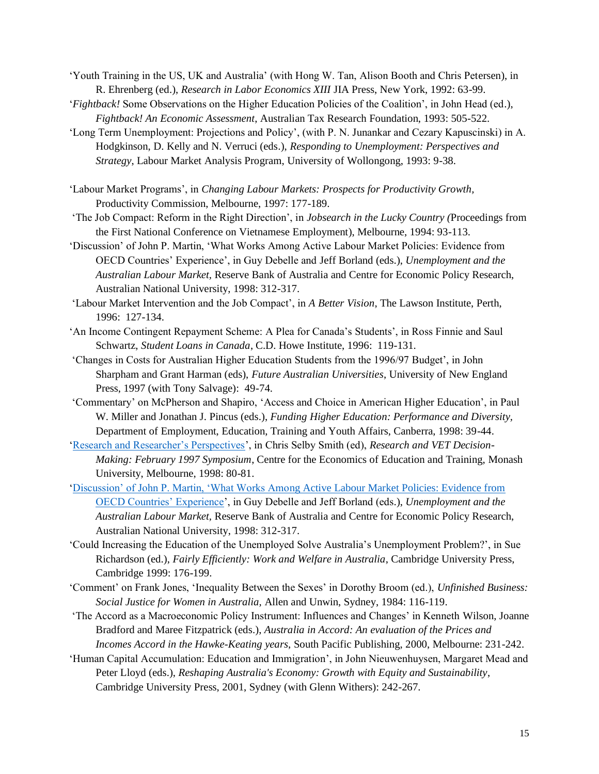- 'Youth Training in the US, UK and Australia' (with Hong W. Tan, Alison Booth and Chris Petersen), in R. Ehrenberg (ed.), *Research in Labor Economics XIII* JIA Press, New York, 1992: 63-99.
- '*Fightback!* Some Observations on the Higher Education Policies of the Coalition', in John Head (ed.), *Fightback! An Economic Assessment*, Australian Tax Research Foundation, 1993: 505-522.
- 'Long Term Unemployment: Projections and Policy', (with P. N. Junankar and Cezary Kapuscinski) in A. Hodgkinson, D. Kelly and N. Verruci (eds.), *Responding to Unemployment: Perspectives and Strategy*, Labour Market Analysis Program, University of Wollongong, 1993: 9-38.
- 'Labour Market Programs', in *Changing Labour Markets: Prospects for Productivity Growth,*  Productivity Commission, Melbourne, 1997: 177-189.
- 'The Job Compact: Reform in the Right Direction', in *Jobsearch in the Lucky Country (*Proceedings from the First National Conference on Vietnamese Employment), Melbourne, 1994: 93-113.
- 'Discussion' of John P. Martin, 'What Works Among Active Labour Market Policies: Evidence from OECD Countries' Experience', in Guy Debelle and Jeff Borland (eds.), *Unemployment and the Australian Labour Market,* Reserve Bank of Australia and Centre for Economic Policy Research, Australian National University, 1998: 312-317.
- 'Labour Market Intervention and the Job Compact', in *A Better Vision*, The Lawson Institute, Perth, 1996: 127-134.
- 'An Income Contingent Repayment Scheme: A Plea for Canada's Students', in Ross Finnie and Saul Schwartz, *Student Loans in Canada*, C.D. Howe Institute, 1996: 119-131.
- 'Changes in Costs for Australian Higher Education Students from the 1996/97 Budget', in John Sharpham and Grant Harman (eds), *Future Australian Universities*, University of New England Press, 1997 (with Tony Salvage): 49-74.
- 'Commentary' on McPherson and Shapiro, 'Access and Choice in American Higher Education', in Paul W. Miller and Jonathan J. Pincus (eds.), *Funding Higher Education: Performance and Diversity,*  Department of Employment, Education, Training and Youth Affairs, Canberra, 1998: 39-44.
- ['Research and Researcher's Perspectives'](https://brucejchapman.com/wp-content/uploads/2018/12/Research-and-VET-Decision-Making-Research-and-Researchers-Persepectives.pdf), in Chris Selby Smith (ed), *Research and VET Decision-Making: February 1997 Symposium*, Centre for the Economics of Education and Training, Monash University, Melbourne, 1998: 80-81.
- ['Discussion' of John P. Martin, 'What Works Among Active Labour Market Policies: Evidence from](https://brucejchapman.com/wp-content/uploads/2018/12/Discussion-of-John-P-Martin-What-works-among-active-labour-market-policies.pdf)  [OECD Countries' Experience'](https://brucejchapman.com/wp-content/uploads/2018/12/Discussion-of-John-P-Martin-What-works-among-active-labour-market-policies.pdf), in Guy Debelle and Jeff Borland (eds.), *Unemployment and the Australian Labour Market,* Reserve Bank of Australia and Centre for Economic Policy Research, Australian National University, 1998: 312-317.
- 'Could Increasing the Education of the Unemployed Solve Australia's Unemployment Problem?', in Sue Richardson (ed.), *Fairly Efficiently: Work and Welfare in Australia*, Cambridge University Press, Cambridge 1999: 176-199.
- 'Comment' on Frank Jones, 'Inequality Between the Sexes' in Dorothy Broom (ed.), *Unfinished Business: Social Justice for Women in Australia,* Allen and Unwin, Sydney, 1984: 116-119.
- 'The Accord as a Macroeconomic Policy Instrument: Influences and Changes' in Kenneth Wilson, Joanne Bradford and Maree Fitzpatrick (eds.), *Australia in Accord: An evaluation of the Prices and Incomes Accord in the Hawke-Keating years*, South Pacific Publishing, 2000, Melbourne: 231-242.
- 'Human Capital Accumulation: Education and Immigration', in John Nieuwenhuysen, Margaret Mead and Peter Lloyd (eds.), *Reshaping Australia's Economy: Growth with Equity and Sustainability*, Cambridge University Press, 2001, Sydney (with Glenn Withers): 242-267.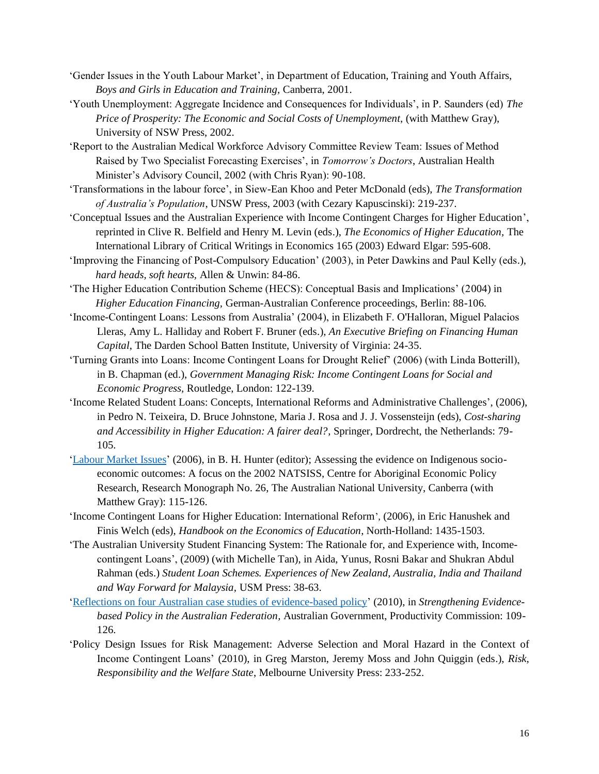- 'Gender Issues in the Youth Labour Market', in Department of Education, Training and Youth Affairs, *Boys and Girls in Education and Training,* Canberra, 2001.
- 'Youth Unemployment: Aggregate Incidence and Consequences for Individuals', in P. Saunders (ed) *The Price of Prosperity: The Economic and Social Costs of Unemployment*, (with Matthew Gray), University of NSW Press, 2002.
- 'Report to the Australian Medical Workforce Advisory Committee Review Team: Issues of Method Raised by Two Specialist Forecasting Exercises', in *Tomorrow's Doctors*, Australian Health Minister's Advisory Council, 2002 (with Chris Ryan): 90-108.
- 'Transformations in the labour force', in Siew-Ean Khoo and Peter McDonald (eds), *The Transformation of Australia's Population*, UNSW Press, 2003 (with Cezary Kapuscinski): 219-237.
- 'Conceptual Issues and the Australian Experience with Income Contingent Charges for Higher Education', reprinted in Clive R. Belfield and Henry M. Levin (eds.), *The Economics of Higher Education,* The International Library of Critical Writings in Economics 165 (2003) Edward Elgar: 595-608.
- 'Improving the Financing of Post-Compulsory Education' (2003), in Peter Dawkins and Paul Kelly (eds.), *hard heads, soft hearts,* Allen & Unwin: 84-86.
- 'The Higher Education Contribution Scheme (HECS): Conceptual Basis and Implications' (2004) in *Higher Education Financing,* German-Australian Conference proceedings, Berlin: 88-106.
- 'Income-Contingent Loans: Lessons from Australia' (2004), in Elizabeth F. O'Halloran, Miguel Palacios Lleras, Amy L. Halliday and Robert F. Bruner (eds.), *An Executive Briefing on Financing Human Capital*, The Darden School Batten Institute, University of Virginia: 24-35.
- 'Turning Grants into Loans: Income Contingent Loans for Drought Relief' (2006) (with Linda Botterill), in B. Chapman (ed.), *Government Managing Risk: Income Contingent Loans for Social and Economic Progress,* Routledge, London: 122-139.
- 'Income Related Student Loans: Concepts, International Reforms and Administrative Challenges', (2006), in Pedro N. Teixeira, D. Bruce Johnstone, Maria J. Rosa and J. J. Vossensteijn (eds), *Cost-sharing and Accessibility in Higher Education: A fairer deal?*, Springer, Dordrecht, the Netherlands: 79- 105.
- ['Labour Market Issues'](https://brucejchapman.com/wp-content/uploads/2018/12/458805.pdf) (2006), in B. H. Hunter (editor); Assessing the evidence on Indigenous socioeconomic outcomes: A focus on the 2002 NATSISS, Centre for Aboriginal Economic Policy Research, Research Monograph No. 26, The Australian National University, Canberra (with Matthew Gray): 115-126.
- 'Income Contingent Loans for Higher Education: International Reform', (2006), in Eric Hanushek and Finis Welch (eds), *Handbook on the Economics of Education*, North-Holland: 1435-1503.
- 'The Australian University Student Financing System: The Rationale for, and Experience with, Incomecontingent Loans', (2009) (with Michelle Tan), in Aida, Yunus, Rosni Bakar and Shukran Abdul Rahman (eds.) *Student Loan Schemes. Experiences of New Zealand, Australia, India and Thailand and Way Forward for Malaysia,* USM Press: 38-63.
- ['Reflections on four Australian case studies of evidence-based policy'](https://www.pc.gov.au/research/supporting/strengthening-evidence/07-chapter5.pdf) (2010), in *Strengthening Evidencebased Policy in the Australian Federation,* Australian Government, Productivity Commission: 109- 126.
- 'Policy Design Issues for Risk Management: Adverse Selection and Moral Hazard in the Context of Income Contingent Loans' (2010), in Greg Marston, Jeremy Moss and John Quiggin (eds.), *Risk, Responsibility and the Welfare State*, Melbourne University Press: 233-252.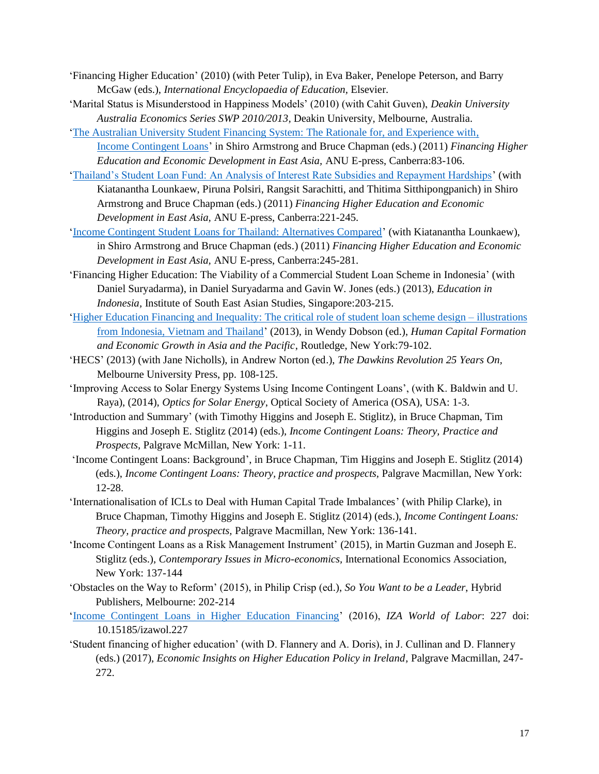- 'Financing Higher Education' (2010) (with Peter Tulip), in Eva Baker, Penelope Peterson, and Barry McGaw (eds.), *International Encyclopaedia of Education,* Elsevier.
- 'Marital Status is Misunderstood in Happiness Models' (2010) (with Cahit Guven), *Deakin University Australia Economics Series SWP 2010/2013,* Deakin University, Melbourne, Australia.
- ['The Australian University Student Financing System: The Rationale for, and Experience with,](http://press-files.anu.edu.au/downloads/press/p148581/pdf/ch052.pdf) [Income Contingent Loans'](http://press-files.anu.edu.au/downloads/press/p148581/pdf/ch052.pdf) in Shiro Armstrong and Bruce Chapman (eds.) (2011) *Financing Higher Education and Economic Development in East Asia,* ANU E-press, Canberra:83-106.
- ['Thailand's Student Loan Fund: An Analysis of Interest Rate Subsidies and Repayment Hardships'](http://press-files.anu.edu.au/downloads/press/p148581/pdf/ch101.pdf) (with Kiatanantha Lounkaew, Piruna Polsiri, Rangsit Sarachitti, and Thitima Sitthipongpanich) in Shiro Armstrong and Bruce Chapman (eds.) (2011) *Financing Higher Education and Economic Development in East Asia,* ANU E-press, Canberra:221-245.
- ['Income Contingent Student Loans for Thailand: Alternatives Compared'](http://press-files.anu.edu.au/downloads/press/p148581/pdf/ch111.pdf) (with Kiatanantha Lounkaew), in Shiro Armstrong and Bruce Chapman (eds.) (2011) *Financing Higher Education and Economic Development in East Asia,* ANU E-press, Canberra:245-281.
- 'Financing Higher Education: The Viability of a Commercial Student Loan Scheme in Indonesia' (with Daniel Suryadarma), in Daniel Suryadarma and Gavin W. Jones (eds.) (2013), *Education in Indonesia,* Institute of South East Asian Studies, Singapore:203-215.
- ['Higher Education Financing and Inequality: The critical role of student loan scheme design –](http://www.eaber.org/sites/default/files/paftad/chp%205%20Chapman%20final.pdf) illustrations [from Indonesia, Vietnam and Thailand'](http://www.eaber.org/sites/default/files/paftad/chp%205%20Chapman%20final.pdf) (2013), in Wendy Dobson (ed.), *Human Capital Formation and Economic Growth in Asia and the Pacific*, Routledge, New York:79-102.
- 'HECS' (2013) (with Jane Nicholls), in Andrew Norton (ed.), *The Dawkins Revolution 25 Years On,*  Melbourne University Press, pp. 108-125.
- 'Improving Access to Solar Energy Systems Using Income Contingent Loans', (with K. Baldwin and U. Raya), (2014), *Optics for Solar Energy*, Optical Society of America (OSA), USA: 1-3.
- 'Introduction and Summary' (with Timothy Higgins and Joseph E. Stiglitz), in Bruce Chapman, Tim Higgins and Joseph E. Stiglitz (2014) (eds.), *Income Contingent Loans: Theory, Practice and Prospects,* Palgrave McMillan, New York: 1-11.
- 'Income Contingent Loans: Background', in Bruce Chapman, Tim Higgins and Joseph E. Stiglitz (2014) (eds.), *Income Contingent Loans: Theory, practice and prospects,* Palgrave Macmillan, New York: 12-28.
- 'Internationalisation of ICLs to Deal with Human Capital Trade Imbalances' (with Philip Clarke), in Bruce Chapman, Timothy Higgins and Joseph E. Stiglitz (2014) (eds.), *Income Contingent Loans: Theory, practice and prospects,* Palgrave Macmillan, New York: 136-141.
- 'Income Contingent Loans as a Risk Management Instrument' (2015), in Martin Guzman and Joseph E. Stiglitz (eds.), *Contemporary Issues in Micro-economics,* International Economics Association, New York: 137-144
- 'Obstacles on the Way to Reform' (2015), in Philip Crisp (ed.), *So You Want to be a Leader*, Hybrid Publishers, Melbourne: 202-214
- ['Income Contingent Loans in Higher Education Financing'](https://wol.iza.org/uploads/articles/227/pdfs/income-contingent-loans-in-higher-education-financing.pdf) (2016), *IZA World of Labor*: 227 doi: 10.15185/izawol.227
- 'Student financing of higher education' (with D. Flannery and A. Doris), in J. Cullinan and D. Flannery (eds.) (2017), *Economic Insights on Higher Education Policy in Ireland,* Palgrave Macmillan, 247- 272.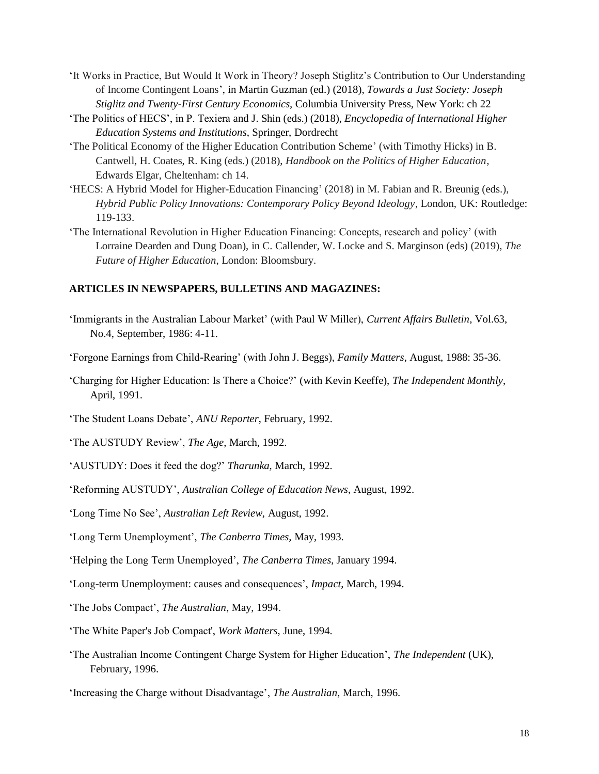- 'It Works in Practice, But Would It Work in Theory? Joseph Stiglitz's Contribution to Our Understanding of Income Contingent Loans', in Martin Guzman (ed.) (2018), *Towards a Just Society: Joseph Stiglitz and Twenty-First Century Economics,* Columbia University Press, New York: ch 22
- 'The Politics of HECS', in P. Texiera and J. Shin (eds.) (2018), *Encyclopedia of International Higher Education Systems and Institutions*, Springer, Dordrecht
- 'The Political Economy of the Higher Education Contribution Scheme' (with Timothy Hicks) in B. Cantwell, H. Coates, R. King (eds.) (2018), *Handbook on the Politics of Higher Education,*  Edwards Elgar, Cheltenham: ch 14.
- 'HECS: A Hybrid Model for Higher-Education Financing' (2018) in M. Fabian and R. Breunig (eds.), *Hybrid Public Policy Innovations: Contemporary Policy Beyond Ideology*, London, UK: Routledge: 119-133.
- 'The International Revolution in Higher Education Financing: Concepts, research and policy' (with Lorraine Dearden and Dung Doan), in C. Callender, W. Locke and S. Marginson (eds) (2019), *The Future of Higher Education*, London: Bloomsbury.

#### **ARTICLES IN NEWSPAPERS, BULLETINS AND MAGAZINES:**

'Immigrants in the Australian Labour Market' (with Paul W Miller), *Current Affairs Bulletin*, Vol.63, No.4, September, 1986: 4-11.

'Forgone Earnings from Child-Rearing' (with John J. Beggs), *Family Matters*, August, 1988: 35-36.

- 'Charging for Higher Education: Is There a Choice?' (with Kevin Keeffe), *The Independent Monthly*, April, 1991.
- 'The Student Loans Debate', *ANU Reporter*, February, 1992.
- 'The AUSTUDY Review', *The Age*, March, 1992.
- 'AUSTUDY: Does it feed the dog?' *Tharunka,* March, 1992.
- 'Reforming AUSTUDY', *Australian College of Education News*, August, 1992.
- 'Long Time No See', *Australian Left Review,* August, 1992.
- 'Long Term Unemployment', *The Canberra Times,* May, 1993.
- 'Helping the Long Term Unemployed', *The Canberra Times*, January 1994.
- 'Long-term Unemployment: causes and consequences', *Impact*, March, 1994.
- 'The Jobs Compact', *The Australian*, May, 1994.
- 'The White Paper's Job Compact', *Work Matters*, June, 1994.
- 'The Australian Income Contingent Charge System for Higher Education', *The Independent* (UK), February, 1996.
- 'Increasing the Charge without Disadvantage', *The Australian,* March, 1996.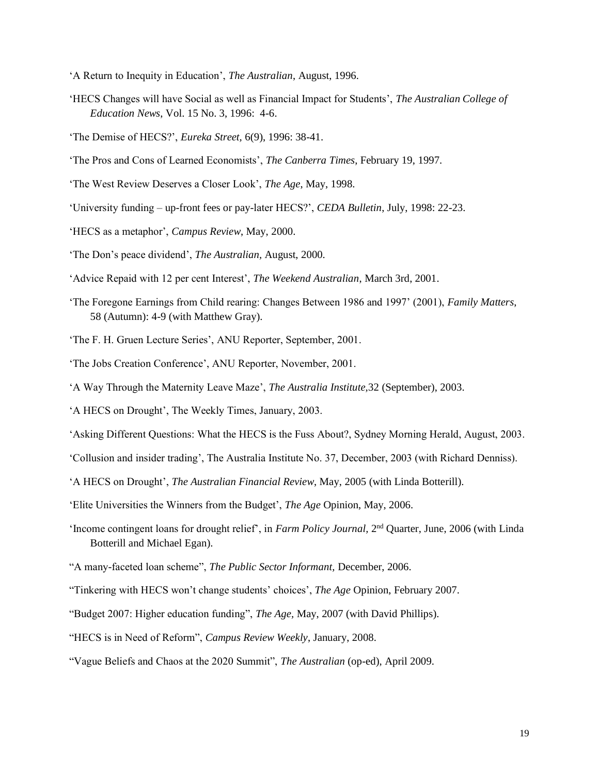- 'A Return to Inequity in Education', *The Australian*, August, 1996.
- 'HECS Changes will have Social as well as Financial Impact for Students', *The Australian College of Education News*, Vol. 15 No. 3, 1996: 4-6.
- 'The Demise of HECS?', *Eureka Street,* 6(9), 1996: 38-41.
- 'The Pros and Cons of Learned Economists', *The Canberra Times*, February 19, 1997.
- 'The West Review Deserves a Closer Look', *The Age*, May, 1998.
- 'University funding up-front fees or pay-later HECS?', *CEDA Bulletin*, July, 1998: 22-23.
- 'HECS as a metaphor', *Campus Review*, May, 2000.
- 'The Don's peace dividend', *The Australian,* August, 2000*.*
- 'Advice Repaid with 12 per cent Interest', *The Weekend Australian*, March 3rd, 2001.
- 'The Foregone Earnings from Child rearing: Changes Between 1986 and 1997' (2001), *Family Matters*, 58 (Autumn): 4-9 (with Matthew Gray).
- 'The F. H. Gruen Lecture Series', ANU Reporter, September, 2001.
- 'The Jobs Creation Conference', ANU Reporter, November, 2001.
- 'A Way Through the Maternity Leave Maze', *The Australia Institute,*32 (September), 2003.
- 'A HECS on Drought', The Weekly Times, January, 2003.
- 'Asking Different Questions: What the HECS is the Fuss About?, Sydney Morning Herald, August, 2003.
- 'Collusion and insider trading', The Australia Institute No. 37, December, 2003 (with Richard Denniss).
- 'A HECS on Drought', *The Australian Financial Review*, May, 2005 (with Linda Botterill).
- 'Elite Universities the Winners from the Budget', *The Age* Opinion, May, 2006.
- 'Income contingent loans for drought relief', in *Farm Policy Journal*, 2<sup>nd</sup> Quarter, June, 2006 (with Linda Botterill and Michael Egan).
- "A many-faceted loan scheme", *The Public Sector Informant,* December, 2006.
- "Tinkering with HECS won't change students' choices', *The Age* Opinion, February 2007.
- "Budget 2007: Higher education funding", *The Age,* May, 2007 (with David Phillips).
- "HECS is in Need of Reform", *Campus Review Weekly*, January, 2008.
- "Vague Beliefs and Chaos at the 2020 Summit", *The Australian* (op-ed), April 2009.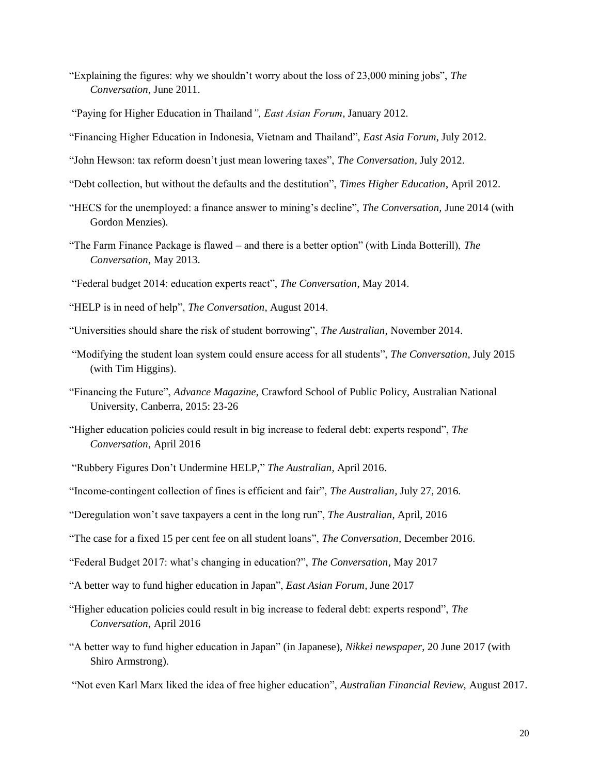- "Explaining the figures: why we shouldn't worry about the loss of 23,000 mining jobs", *The Conversation*, June 2011.
- "Paying for Higher Education in Thailand*", East Asian Forum*, January 2012.
- "Financing Higher Education in Indonesia, Vietnam and Thailand", *East Asia Forum*, July 2012.
- "John Hewson: tax reform doesn't just mean lowering taxes", *The Conversation*, July 2012.
- "Debt collection, but without the defaults and the destitution", *Times Higher Education*, April 2012.
- "HECS for the unemployed: a finance answer to mining's decline", *The Conversation,* June 2014 (with Gordon Menzies).
- "The Farm Finance Package is flawed and there is a better option" (with Linda Botterill), *The Conversation*, May 2013.
- "Federal budget 2014: education experts react", *The Conversation*, May 2014.
- "HELP is in need of help", *The Conversation*, August 2014.
- "Universities should share the risk of student borrowing", *The Australian*, November 2014.
- "Modifying the student loan system could ensure access for all students", *The Conversation*, July 2015 (with Tim Higgins).
- "Financing the Future", *Advance Magazine*, Crawford School of Public Policy, Australian National University, Canberra, 2015: 23-26
- "Higher education policies could result in big increase to federal debt: experts respond", *The Conversation*, April 2016
- "Rubbery Figures Don't Undermine HELP," *The Australian*, April 2016.
- "Income-contingent collection of fines is efficient and fair", *The Australian,* July 27, 2016.
- "Deregulation won't save taxpayers a cent in the long run", *The Australian*, April, 2016
- "The case for a fixed 15 per cent fee on all student loans", *The Conversation*, December 2016.
- "Federal Budget 2017: what's changing in education?", *The Conversation*, May 2017
- "A better way to fund higher education in Japan", *East Asian Forum*, June 2017
- "Higher education policies could result in big increase to federal debt: experts respond", *The Conversation*, April 2016
- "A better way to fund higher education in Japan" (in Japanese), *Nikkei newspaper*, 20 June 2017 (with Shiro Armstrong).
- "Not even Karl Marx liked the idea of free higher education", *Australian Financial Review,* August 2017.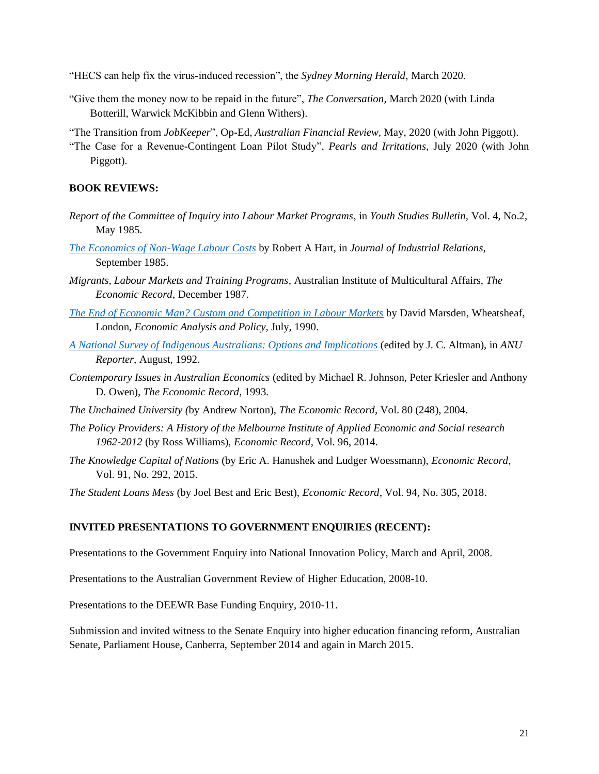- "HECS can help fix the virus-induced recession", the *Sydney Morning Herald*, March 2020.
- "Give them the money now to be repaid in the future", *The Conversation,* March 2020 (with Linda Botterill, Warwick McKibbin and Glenn Withers).
- "The Transition from *JobKeeper*", Op-Ed, *Australian Financial Review,* May, 2020 (with John Piggott).
- "The Case for a Revenue-Contingent Loan Pilot Study", *Pearls and Irritations,* July 2020 (with John Piggott).

# **BOOK REVIEWS:**

- *Report of the Committee of Inquiry into Labour Market Programs*, in *Youth Studies Bulletin,* Vol. 4, No.2, May 1985.
- *[The Economics of Non-Wage Labour Costs](https://brucejchapman.com/wp-content/uploads/2019/01/Book-review-the-economics-of-non-wage-labour-costs-.pdf)* by Robert A Hart, in *Journal of Industrial Relations*, September 1985.
- *Migrants, Labour Markets and Training Programs,* Australian Institute of Multicultural Affairs, *The Economic Record*, December 1987.
- *The End of Economic Man? [Custom and Competition in Labour Markets](https://ac.els-cdn.com/S0313592690500077/1-s2.0-S0313592690500077-main.pdf?_tid=6f0e1991-869b-4940-b3a5-e61f24c265e4&acdnat=1544077981_0aa18ee0f42dbc6bd4c390b2128ccc1b)* by David Marsden, Wheatsheaf, London, *Economic Analysis and Policy*, July, 1990.
- *[A National Survey of Indigenous Australians: Options and Implications](https://brucejchapman.com/wp-content/uploads/2018/12/Vol23_No12_12-August-1992.pdf)* (edited by J. C. Altman), in *ANU Reporter*, August, 1992.
- *Contemporary Issues in Australian Economics* (edited by Michael R. Johnson, Peter Kriesler and Anthony D. Owen), *The Economic Record*, 1993.
- *The Unchained University (*by Andrew Norton), *The Economic Record,* Vol. 80 (248), 2004.
- *The Policy Providers: A History of the Melbourne Institute of Applied Economic and Social research 1962-2012* (by Ross Williams), *Economic Record,* Vol. 96, 2014.
- *The Knowledge Capital of Nations* (by Eric A. Hanushek and Ludger Woessmann), *Economic Record*, Vol. 91, No. 292, 2015.

*The Student Loans Mess* (by Joel Best and Eric Best), *Economic Record*, Vol. 94, No. 305, 2018.

# **INVITED PRESENTATIONS TO GOVERNMENT ENQUIRIES (RECENT):**

Presentations to the Government Enquiry into National Innovation Policy, March and April, 2008.

Presentations to the Australian Government Review of Higher Education, 2008-10.

Presentations to the DEEWR Base Funding Enquiry, 2010-11.

Submission and invited witness to the Senate Enquiry into higher education financing reform, Australian Senate, Parliament House, Canberra, September 2014 and again in March 2015.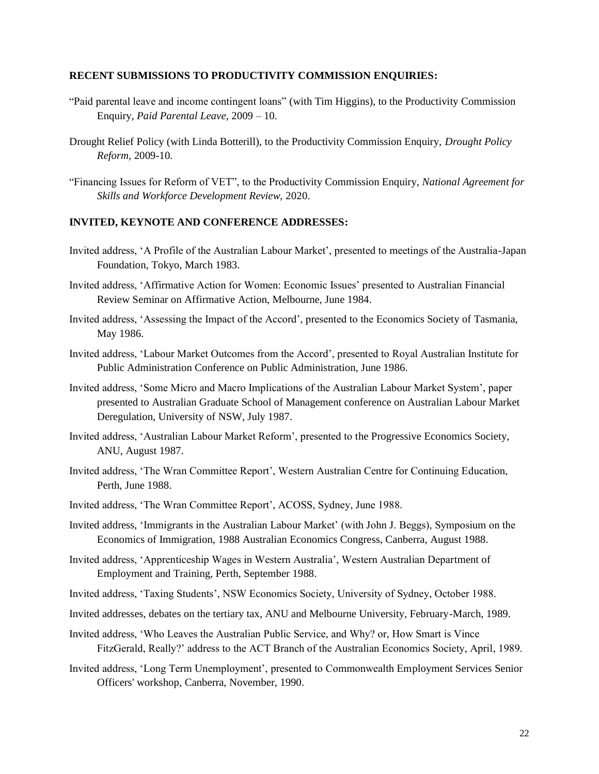### **RECENT SUBMISSIONS TO PRODUCTIVITY COMMISSION ENQUIRIES:**

- "Paid parental leave and income contingent loans" (with Tim Higgins), to the Productivity Commission Enquiry, *Paid Parental Leave,* 2009 – 10.
- Drought Relief Policy (with Linda Botterill), to the Productivity Commission Enquiry, *Drought Policy Reform,* 2009-10.
- "Financing Issues for Reform of VET", to the Productivity Commission Enquiry, *National Agreement for Skills and Workforce Development Review,* 2020.

#### **INVITED, KEYNOTE AND CONFERENCE ADDRESSES:**

- Invited address, 'A Profile of the Australian Labour Market', presented to meetings of the Australia-Japan Foundation, Tokyo, March 1983.
- Invited address, 'Affirmative Action for Women: Economic Issues' presented to Australian Financial Review Seminar on Affirmative Action, Melbourne, June 1984.
- Invited address, 'Assessing the Impact of the Accord', presented to the Economics Society of Tasmania, May 1986.
- Invited address, 'Labour Market Outcomes from the Accord', presented to Royal Australian Institute for Public Administration Conference on Public Administration, June 1986.
- Invited address, 'Some Micro and Macro Implications of the Australian Labour Market System', paper presented to Australian Graduate School of Management conference on Australian Labour Market Deregulation, University of NSW, July 1987.
- Invited address, 'Australian Labour Market Reform', presented to the Progressive Economics Society, ANU, August 1987.
- Invited address, 'The Wran Committee Report', Western Australian Centre for Continuing Education, Perth, June 1988.
- Invited address, 'The Wran Committee Report', ACOSS, Sydney, June 1988.
- Invited address, 'Immigrants in the Australian Labour Market' (with John J. Beggs), Symposium on the Economics of Immigration, 1988 Australian Economics Congress, Canberra, August 1988.
- Invited address, 'Apprenticeship Wages in Western Australia', Western Australian Department of Employment and Training, Perth, September 1988.
- Invited address, 'Taxing Students', NSW Economics Society, University of Sydney, October 1988.
- Invited addresses, debates on the tertiary tax, ANU and Melbourne University, February-March, 1989.
- Invited address, 'Who Leaves the Australian Public Service, and Why? or, How Smart is Vince FitzGerald, Really?' address to the ACT Branch of the Australian Economics Society, April, 1989.
- Invited address, 'Long Term Unemployment', presented to Commonwealth Employment Services Senior Officers' workshop, Canberra, November, 1990.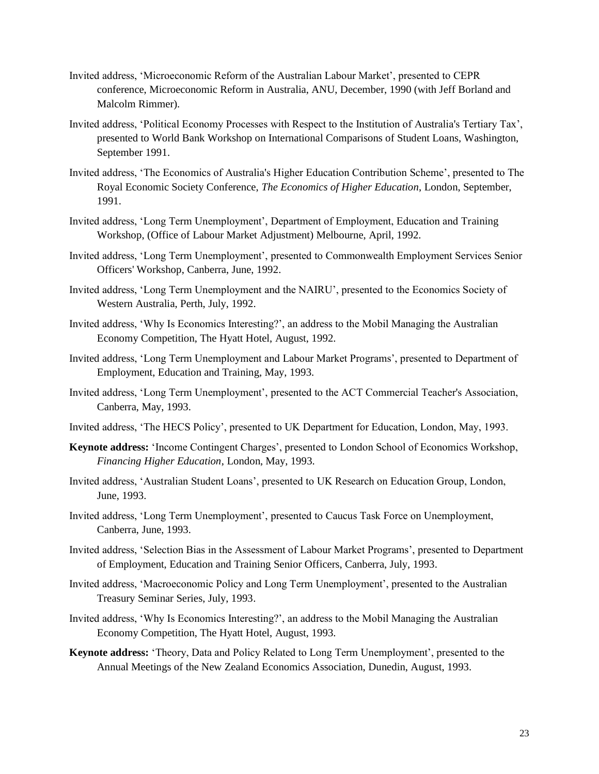- Invited address, 'Microeconomic Reform of the Australian Labour Market', presented to CEPR conference, Microeconomic Reform in Australia, ANU, December, 1990 (with Jeff Borland and Malcolm Rimmer).
- Invited address, 'Political Economy Processes with Respect to the Institution of Australia's Tertiary Tax', presented to World Bank Workshop on International Comparisons of Student Loans, Washington, September 1991.
- Invited address, 'The Economics of Australia's Higher Education Contribution Scheme', presented to The Royal Economic Society Conference, *The Economics of Higher Education*, London, September, 1991.
- Invited address, 'Long Term Unemployment', Department of Employment, Education and Training Workshop, (Office of Labour Market Adjustment) Melbourne, April, 1992.
- Invited address, 'Long Term Unemployment', presented to Commonwealth Employment Services Senior Officers' Workshop, Canberra, June, 1992.
- Invited address, 'Long Term Unemployment and the NAIRU', presented to the Economics Society of Western Australia, Perth, July, 1992.
- Invited address, 'Why Is Economics Interesting?', an address to the Mobil Managing the Australian Economy Competition, The Hyatt Hotel, August, 1992.
- Invited address, 'Long Term Unemployment and Labour Market Programs', presented to Department of Employment, Education and Training, May, 1993.
- Invited address, 'Long Term Unemployment', presented to the ACT Commercial Teacher's Association, Canberra, May, 1993.
- Invited address, 'The HECS Policy', presented to UK Department for Education, London, May, 1993.
- **Keynote address:** 'Income Contingent Charges', presented to London School of Economics Workshop, *Financing Higher Education*, London, May, 1993.
- Invited address, 'Australian Student Loans', presented to UK Research on Education Group, London, June, 1993.
- Invited address, 'Long Term Unemployment', presented to Caucus Task Force on Unemployment, Canberra, June, 1993.
- Invited address, 'Selection Bias in the Assessment of Labour Market Programs', presented to Department of Employment, Education and Training Senior Officers, Canberra, July, 1993.
- Invited address, 'Macroeconomic Policy and Long Term Unemployment', presented to the Australian Treasury Seminar Series, July, 1993.
- Invited address, 'Why Is Economics Interesting?', an address to the Mobil Managing the Australian Economy Competition, The Hyatt Hotel, August, 1993.
- **Keynote address:** 'Theory, Data and Policy Related to Long Term Unemployment', presented to the Annual Meetings of the New Zealand Economics Association, Dunedin, August, 1993.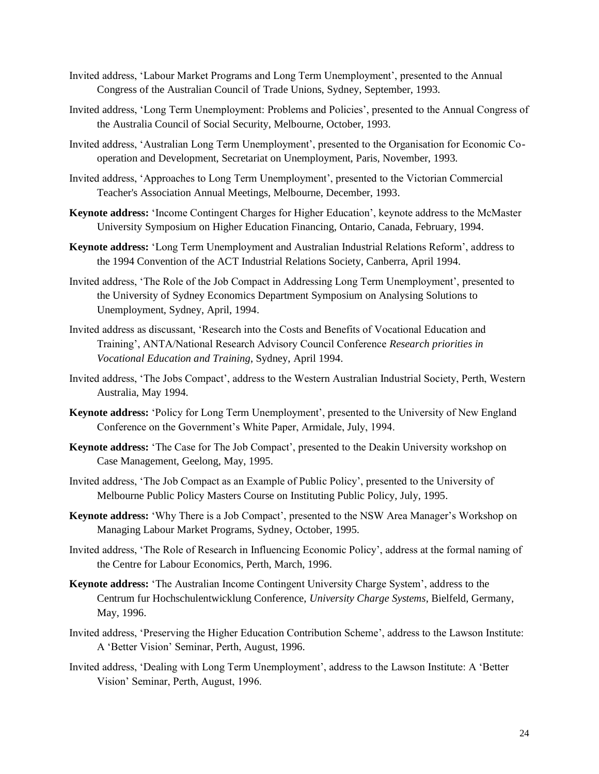- Invited address, 'Labour Market Programs and Long Term Unemployment', presented to the Annual Congress of the Australian Council of Trade Unions, Sydney, September, 1993.
- Invited address, 'Long Term Unemployment: Problems and Policies', presented to the Annual Congress of the Australia Council of Social Security, Melbourne, October, 1993.
- Invited address, 'Australian Long Term Unemployment', presented to the Organisation for Economic Cooperation and Development, Secretariat on Unemployment, Paris, November, 1993.
- Invited address, 'Approaches to Long Term Unemployment', presented to the Victorian Commercial Teacher's Association Annual Meetings, Melbourne, December, 1993.
- **Keynote address:** 'Income Contingent Charges for Higher Education', keynote address to the McMaster University Symposium on Higher Education Financing, Ontario, Canada, February, 1994.
- **Keynote address:** 'Long Term Unemployment and Australian Industrial Relations Reform', address to the 1994 Convention of the ACT Industrial Relations Society, Canberra, April 1994.
- Invited address, 'The Role of the Job Compact in Addressing Long Term Unemployment', presented to the University of Sydney Economics Department Symposium on Analysing Solutions to Unemployment, Sydney, April, 1994.
- Invited address as discussant, 'Research into the Costs and Benefits of Vocational Education and Training', ANTA/National Research Advisory Council Conference *Research priorities in Vocational Education and Training*, Sydney, April 1994.
- Invited address, 'The Jobs Compact', address to the Western Australian Industrial Society, Perth, Western Australia, May 1994.
- **Keynote address:** 'Policy for Long Term Unemployment', presented to the University of New England Conference on the Government's White Paper, Armidale, July, 1994.
- **Keynote address:** 'The Case for The Job Compact', presented to the Deakin University workshop on Case Management, Geelong, May, 1995.
- Invited address, 'The Job Compact as an Example of Public Policy', presented to the University of Melbourne Public Policy Masters Course on Instituting Public Policy, July, 1995.
- **Keynote address:** 'Why There is a Job Compact', presented to the NSW Area Manager's Workshop on Managing Labour Market Programs, Sydney, October, 1995.
- Invited address, 'The Role of Research in Influencing Economic Policy', address at the formal naming of the Centre for Labour Economics, Perth, March, 1996.
- **Keynote address:** 'The Australian Income Contingent University Charge System', address to the Centrum fur Hochschulentwicklung Conference, *University Charge Systems*, Bielfeld, Germany, May, 1996.
- Invited address, 'Preserving the Higher Education Contribution Scheme', address to the Lawson Institute: A 'Better Vision' Seminar, Perth, August, 1996.
- Invited address, 'Dealing with Long Term Unemployment', address to the Lawson Institute: A 'Better Vision' Seminar, Perth, August, 1996.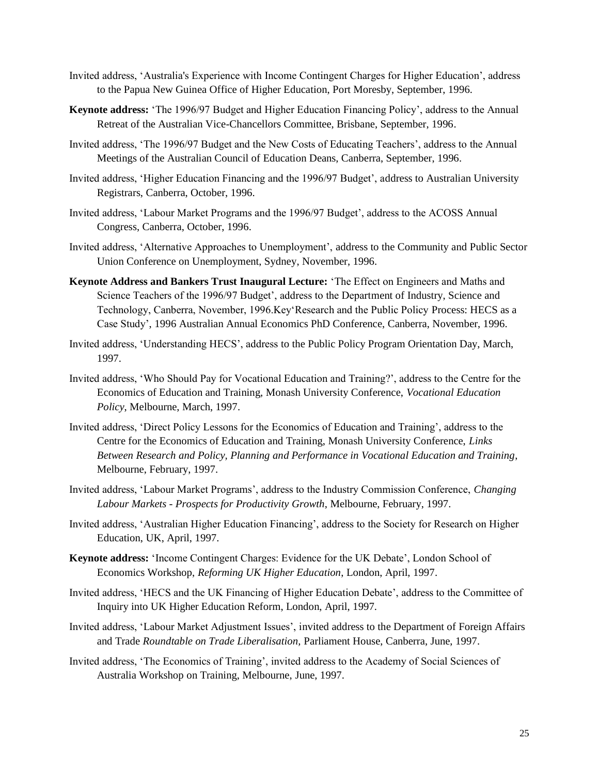- Invited address, 'Australia's Experience with Income Contingent Charges for Higher Education', address to the Papua New Guinea Office of Higher Education, Port Moresby, September, 1996.
- **Keynote address:** 'The 1996/97 Budget and Higher Education Financing Policy', address to the Annual Retreat of the Australian Vice-Chancellors Committee, Brisbane, September, 1996.
- Invited address, 'The 1996/97 Budget and the New Costs of Educating Teachers', address to the Annual Meetings of the Australian Council of Education Deans, Canberra, September, 1996.
- Invited address, 'Higher Education Financing and the 1996/97 Budget', address to Australian University Registrars, Canberra, October, 1996.
- Invited address, 'Labour Market Programs and the 1996/97 Budget', address to the ACOSS Annual Congress, Canberra, October, 1996.
- Invited address, 'Alternative Approaches to Unemployment', address to the Community and Public Sector Union Conference on Unemployment, Sydney, November, 1996.
- **Keynote Address and Bankers Trust Inaugural Lecture:** 'The Effect on Engineers and Maths and Science Teachers of the 1996/97 Budget', address to the Department of Industry, Science and Technology, Canberra, November, 1996.Key'Research and the Public Policy Process: HECS as a Case Study', 1996 Australian Annual Economics PhD Conference, Canberra, November, 1996.
- Invited address, 'Understanding HECS', address to the Public Policy Program Orientation Day, March, 1997.
- Invited address, 'Who Should Pay for Vocational Education and Training?', address to the Centre for the Economics of Education and Training, Monash University Conference, *Vocational Education Policy*, Melbourne, March, 1997.
- Invited address, 'Direct Policy Lessons for the Economics of Education and Training', address to the Centre for the Economics of Education and Training, Monash University Conference, *Links Between Research and Policy, Planning and Performance in Vocational Education and Training*, Melbourne, February, 1997.
- Invited address, 'Labour Market Programs', address to the Industry Commission Conference, *Changing Labour Markets - Prospects for Productivity Growth*, Melbourne, February, 1997.
- Invited address, 'Australian Higher Education Financing', address to the Society for Research on Higher Education, UK, April, 1997.
- **Keynote address:** 'Income Contingent Charges: Evidence for the UK Debate', London School of Economics Workshop, *Reforming UK Higher Education*, London, April, 1997.
- Invited address, 'HECS and the UK Financing of Higher Education Debate', address to the Committee of Inquiry into UK Higher Education Reform, London, April, 1997.
- Invited address, 'Labour Market Adjustment Issues', invited address to the Department of Foreign Affairs and Trade *Roundtable on Trade Liberalisation,* Parliament House, Canberra, June, 1997.
- Invited address, 'The Economics of Training', invited address to the Academy of Social Sciences of Australia Workshop on Training, Melbourne, June, 1997.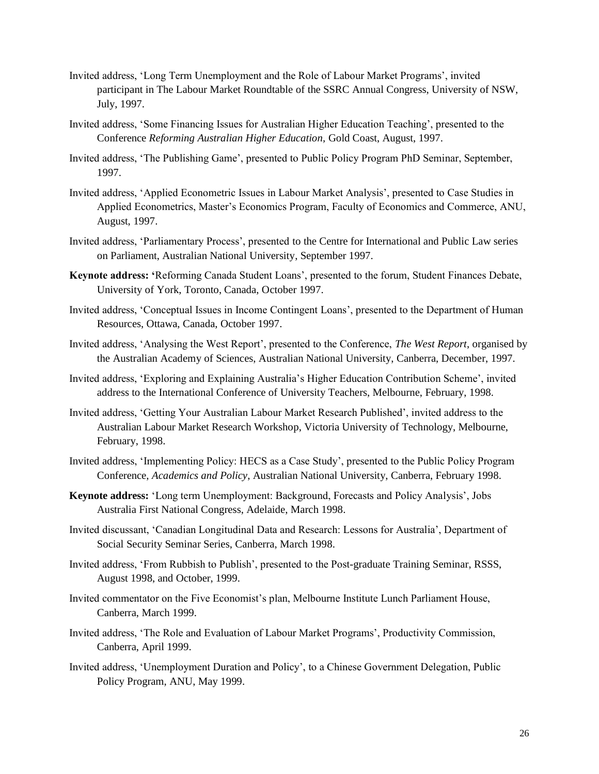- Invited address, 'Long Term Unemployment and the Role of Labour Market Programs', invited participant in The Labour Market Roundtable of the SSRC Annual Congress, University of NSW, July, 1997.
- Invited address, 'Some Financing Issues for Australian Higher Education Teaching', presented to the Conference *Reforming Australian Higher Education,* Gold Coast, August, 1997.
- Invited address, 'The Publishing Game', presented to Public Policy Program PhD Seminar, September, 1997.
- Invited address, 'Applied Econometric Issues in Labour Market Analysis', presented to Case Studies in Applied Econometrics, Master's Economics Program, Faculty of Economics and Commerce, ANU, August, 1997.
- Invited address, 'Parliamentary Process', presented to the Centre for International and Public Law series on Parliament, Australian National University, September 1997.
- **Keynote address: '**Reforming Canada Student Loans', presented to the forum, Student Finances Debate, University of York, Toronto, Canada, October 1997.
- Invited address, 'Conceptual Issues in Income Contingent Loans', presented to the Department of Human Resources, Ottawa, Canada, October 1997.
- Invited address, 'Analysing the West Report', presented to the Conference, *The West Report*, organised by the Australian Academy of Sciences, Australian National University, Canberra, December, 1997.
- Invited address, 'Exploring and Explaining Australia's Higher Education Contribution Scheme', invited address to the International Conference of University Teachers, Melbourne, February, 1998.
- Invited address, 'Getting Your Australian Labour Market Research Published', invited address to the Australian Labour Market Research Workshop, Victoria University of Technology, Melbourne, February, 1998.
- Invited address, 'Implementing Policy: HECS as a Case Study', presented to the Public Policy Program Conference, *Academics and Policy*, Australian National University, Canberra, February 1998.
- **Keynote address:** 'Long term Unemployment: Background, Forecasts and Policy Analysis', Jobs Australia First National Congress, Adelaide, March 1998.
- Invited discussant, 'Canadian Longitudinal Data and Research: Lessons for Australia', Department of Social Security Seminar Series, Canberra, March 1998.
- Invited address, 'From Rubbish to Publish', presented to the Post-graduate Training Seminar, RSSS, August 1998, and October, 1999.
- Invited commentator on the Five Economist's plan, Melbourne Institute Lunch Parliament House, Canberra, March 1999.
- Invited address, 'The Role and Evaluation of Labour Market Programs', Productivity Commission, Canberra, April 1999.
- Invited address, 'Unemployment Duration and Policy', to a Chinese Government Delegation, Public Policy Program, ANU, May 1999.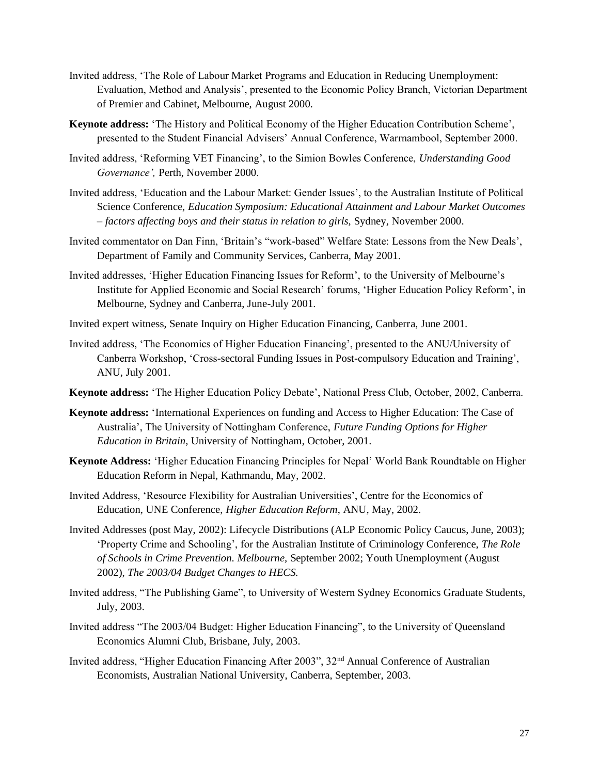- Invited address, 'The Role of Labour Market Programs and Education in Reducing Unemployment: Evaluation, Method and Analysis', presented to the Economic Policy Branch, Victorian Department of Premier and Cabinet, Melbourne, August 2000.
- **Keynote address:** 'The History and Political Economy of the Higher Education Contribution Scheme', presented to the Student Financial Advisers' Annual Conference, Warrnambool, September 2000.
- Invited address, 'Reforming VET Financing', to the Simion Bowles Conference, *Understanding Good Governance',* Perth, November 2000.
- Invited address, 'Education and the Labour Market: Gender Issues', to the Australian Institute of Political Science Conference, *Education Symposium: Educational Attainment and Labour Market Outcomes – factors affecting boys and their status in relation to girls,* Sydney, November 2000.
- Invited commentator on Dan Finn, 'Britain's "work-based" Welfare State: Lessons from the New Deals', Department of Family and Community Services, Canberra, May 2001.
- Invited addresses, 'Higher Education Financing Issues for Reform', to the University of Melbourne's Institute for Applied Economic and Social Research' forums, 'Higher Education Policy Reform', in Melbourne, Sydney and Canberra, June-July 2001.
- Invited expert witness, Senate Inquiry on Higher Education Financing, Canberra, June 2001.
- Invited address, 'The Economics of Higher Education Financing', presented to the ANU/University of Canberra Workshop, 'Cross-sectoral Funding Issues in Post-compulsory Education and Training', ANU, July 2001.
- **Keynote address:** 'The Higher Education Policy Debate', National Press Club, October, 2002, Canberra.
- **Keynote address:** 'International Experiences on funding and Access to Higher Education: The Case of Australia', The University of Nottingham Conference, *Future Funding Options for Higher Education in Britain,* University of Nottingham, October, 2001.
- **Keynote Address:** 'Higher Education Financing Principles for Nepal' World Bank Roundtable on Higher Education Reform in Nepal, Kathmandu, May, 2002.
- Invited Address, 'Resource Flexibility for Australian Universities', Centre for the Economics of Education, UNE Conference, *Higher Education Reform*, ANU, May, 2002.
- Invited Addresses (post May, 2002): Lifecycle Distributions (ALP Economic Policy Caucus, June, 2003); 'Property Crime and Schooling', for the Australian Institute of Criminology Conference, *The Role of Schools in Crime Prevention. Melbourne,* September 2002; Youth Unemployment (August 2002), *The 2003/04 Budget Changes to HECS.*
- Invited address, "The Publishing Game", to University of Western Sydney Economics Graduate Students, July, 2003.
- Invited address "The 2003/04 Budget: Higher Education Financing", to the University of Queensland Economics Alumni Club, Brisbane, July, 2003.
- Invited address, "Higher Education Financing After 2003", 32nd Annual Conference of Australian Economists, Australian National University, Canberra, September, 2003.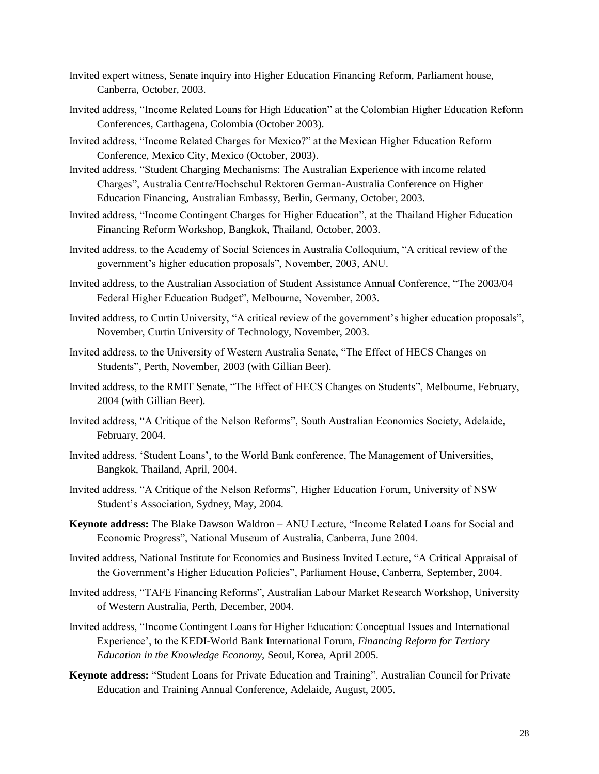- Invited expert witness, Senate inquiry into Higher Education Financing Reform, Parliament house, Canberra, October, 2003.
- Invited address, "Income Related Loans for High Education" at the Colombian Higher Education Reform Conferences, Carthagena, Colombia (October 2003).
- Invited address, "Income Related Charges for Mexico?" at the Mexican Higher Education Reform Conference, Mexico City, Mexico (October, 2003).
- Invited address, "Student Charging Mechanisms: The Australian Experience with income related Charges", Australia Centre/Hochschul Rektoren German-Australia Conference on Higher Education Financing, Australian Embassy, Berlin, Germany, October, 2003.
- Invited address, "Income Contingent Charges for Higher Education", at the Thailand Higher Education Financing Reform Workshop, Bangkok, Thailand, October, 2003.
- Invited address, to the Academy of Social Sciences in Australia Colloquium, "A critical review of the government's higher education proposals", November, 2003, ANU.
- Invited address, to the Australian Association of Student Assistance Annual Conference, "The 2003/04 Federal Higher Education Budget", Melbourne, November, 2003.
- Invited address, to Curtin University, "A critical review of the government's higher education proposals", November, Curtin University of Technology, November, 2003.
- Invited address, to the University of Western Australia Senate, "The Effect of HECS Changes on Students", Perth, November, 2003 (with Gillian Beer).
- Invited address, to the RMIT Senate, "The Effect of HECS Changes on Students", Melbourne, February, 2004 (with Gillian Beer).
- Invited address, "A Critique of the Nelson Reforms", South Australian Economics Society, Adelaide, February, 2004.
- Invited address, 'Student Loans', to the World Bank conference, The Management of Universities, Bangkok, Thailand, April, 2004.
- Invited address, "A Critique of the Nelson Reforms", Higher Education Forum, University of NSW Student's Association, Sydney, May, 2004.
- **Keynote address:** The Blake Dawson Waldron ANU Lecture, "Income Related Loans for Social and Economic Progress", National Museum of Australia, Canberra, June 2004.
- Invited address, National Institute for Economics and Business Invited Lecture, "A Critical Appraisal of the Government's Higher Education Policies", Parliament House, Canberra, September, 2004.
- Invited address, "TAFE Financing Reforms", Australian Labour Market Research Workshop, University of Western Australia, Perth, December, 2004.
- Invited address, "Income Contingent Loans for Higher Education: Conceptual Issues and International Experience', to the KEDI-World Bank International Forum, *Financing Reform for Tertiary Education in the Knowledge Economy,* Seoul, Korea, April 2005.
- **Keynote address:** "Student Loans for Private Education and Training", Australian Council for Private Education and Training Annual Conference, Adelaide, August, 2005.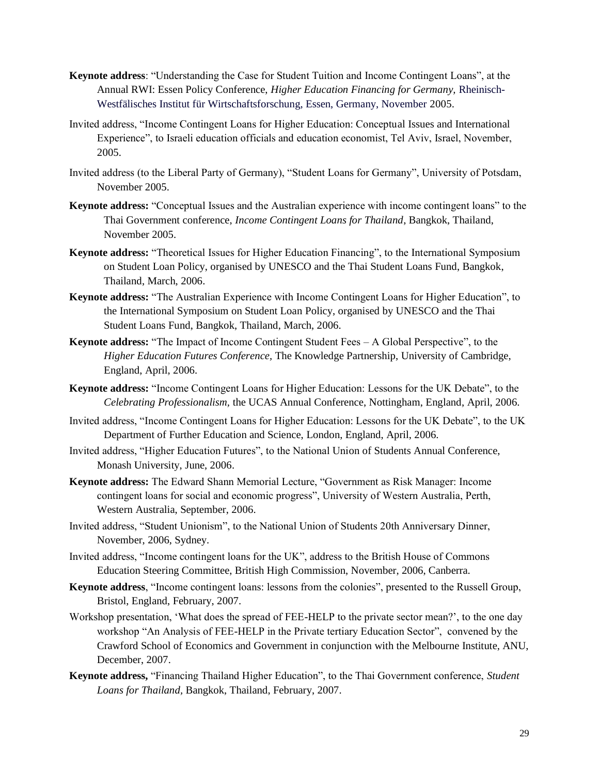- **Keynote address**: "Understanding the Case for Student Tuition and Income Contingent Loans", at the Annual RWI: Essen Policy Conference, *Higher Education Financing for Germany,* Rheinisch-Westfälisches Institut für Wirtschaftsforschung, Essen, Germany, November 2005.
- Invited address, "Income Contingent Loans for Higher Education: Conceptual Issues and International Experience", to Israeli education officials and education economist, Tel Aviv, Israel, November, 2005.
- Invited address (to the Liberal Party of Germany), "Student Loans for Germany", University of Potsdam, November 2005.
- **Keynote address:** "Conceptual Issues and the Australian experience with income contingent loans" to the Thai Government conference, *Income Contingent Loans for Thailand*, Bangkok, Thailand, November 2005.
- **Keynote address:** "Theoretical Issues for Higher Education Financing", to the International Symposium on Student Loan Policy, organised by UNESCO and the Thai Student Loans Fund, Bangkok, Thailand, March, 2006.
- **Keynote address:** "The Australian Experience with Income Contingent Loans for Higher Education", to the International Symposium on Student Loan Policy, organised by UNESCO and the Thai Student Loans Fund, Bangkok, Thailand, March, 2006.
- **Keynote address:** "The Impact of Income Contingent Student Fees A Global Perspective", to the *Higher Education Futures Conference,* The Knowledge Partnership, University of Cambridge, England, April, 2006.
- **Keynote address:** "Income Contingent Loans for Higher Education: Lessons for the UK Debate", to the *Celebrating Professionalism,* the UCAS Annual Conference, Nottingham, England, April, 2006.
- Invited address, "Income Contingent Loans for Higher Education: Lessons for the UK Debate", to the UK Department of Further Education and Science, London, England, April, 2006.
- Invited address, "Higher Education Futures", to the National Union of Students Annual Conference, Monash University, June, 2006.
- **Keynote address:** The Edward Shann Memorial Lecture, "Government as Risk Manager: Income contingent loans for social and economic progress", University of Western Australia, Perth, Western Australia, September, 2006.
- Invited address, "Student Unionism", to the National Union of Students 20th Anniversary Dinner, November, 2006, Sydney.
- Invited address, "Income contingent loans for the UK", address to the British House of Commons Education Steering Committee, British High Commission, November, 2006, Canberra.
- **Keynote address**, "Income contingent loans: lessons from the colonies", presented to the Russell Group, Bristol, England, February, 2007.
- Workshop presentation, 'What does the spread of FEE-HELP to the private sector mean?', to the one day workshop "An Analysis of FEE-HELP in the Private tertiary Education Sector", convened by the Crawford School of Economics and Government in conjunction with the Melbourne Institute, ANU, December, 2007.
- **Keynote address,** "Financing Thailand Higher Education", to the Thai Government conference, *Student Loans for Thailand,* Bangkok, Thailand, February, 2007.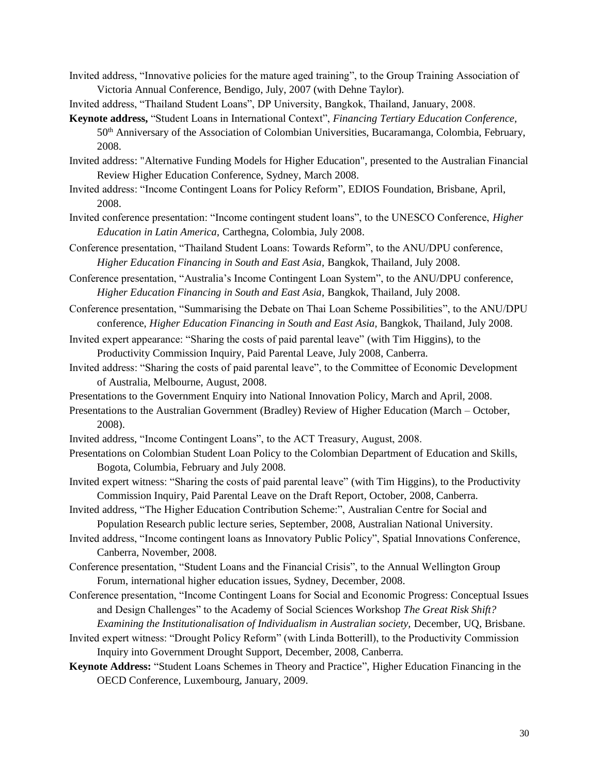Invited address, "Innovative policies for the mature aged training", to the Group Training Association of Victoria Annual Conference, Bendigo, July, 2007 (with Dehne Taylor).

Invited address, "Thailand Student Loans", DP University, Bangkok, Thailand, January, 2008.

- **Keynote address,** "Student Loans in International Context", *Financing Tertiary Education Conference,*  50th Anniversary of the Association of Colombian Universities, Bucaramanga, Colombia, February, 2008.
- Invited address: "Alternative Funding Models for Higher Education", presented to the Australian Financial Review Higher Education Conference, Sydney, March 2008.
- Invited address: "Income Contingent Loans for Policy Reform", EDIOS Foundation, Brisbane, April, 2008.
- Invited conference presentation: "Income contingent student loans", to the UNESCO Conference, *Higher Education in Latin America,* Carthegna, Colombia, July 2008.
- Conference presentation, "Thailand Student Loans: Towards Reform", to the ANU/DPU conference, *Higher Education Financing in South and East Asia,* Bangkok, Thailand, July 2008.

Conference presentation, "Australia's Income Contingent Loan System", to the ANU/DPU conference, *Higher Education Financing in South and East Asia,* Bangkok, Thailand, July 2008.

- Conference presentation, "Summarising the Debate on Thai Loan Scheme Possibilities", to the ANU/DPU conference, *Higher Education Financing in South and East Asia,* Bangkok, Thailand, July 2008.
- Invited expert appearance: "Sharing the costs of paid parental leave" (with Tim Higgins), to the Productivity Commission Inquiry, Paid Parental Leave, July 2008, Canberra.
- Invited address: "Sharing the costs of paid parental leave", to the Committee of Economic Development of Australia*,* Melbourne, August, 2008.
- Presentations to the Government Enquiry into National Innovation Policy, March and April, 2008.
- Presentations to the Australian Government (Bradley) Review of Higher Education (March October, 2008).
- Invited address, "Income Contingent Loans", to the ACT Treasury, August, 2008.
- Presentations on Colombian Student Loan Policy to the Colombian Department of Education and Skills, Bogota, Columbia, February and July 2008.
- Invited expert witness: "Sharing the costs of paid parental leave" (with Tim Higgins), to the Productivity Commission Inquiry, Paid Parental Leave on the Draft Report, October, 2008, Canberra.

Invited address, "The Higher Education Contribution Scheme:", Australian Centre for Social and Population Research public lecture series, September, 2008, Australian National University.

- Invited address, "Income contingent loans as Innovatory Public Policy", Spatial Innovations Conference, Canberra, November, 2008.
- Conference presentation, "Student Loans and the Financial Crisis", to the Annual Wellington Group Forum, international higher education issues, Sydney, December, 2008.
- Conference presentation, "Income Contingent Loans for Social and Economic Progress: Conceptual Issues and Design Challenges" to the Academy of Social Sciences Workshop *The Great Risk Shift? Examining the Institutionalisation of Individualism in Australian society,* December, UQ, Brisbane.
- Invited expert witness: "Drought Policy Reform" (with Linda Botterill), to the Productivity Commission Inquiry into Government Drought Support, December, 2008, Canberra.
- **Keynote Address:** "Student Loans Schemes in Theory and Practice", Higher Education Financing in the OECD Conference, Luxembourg, January, 2009.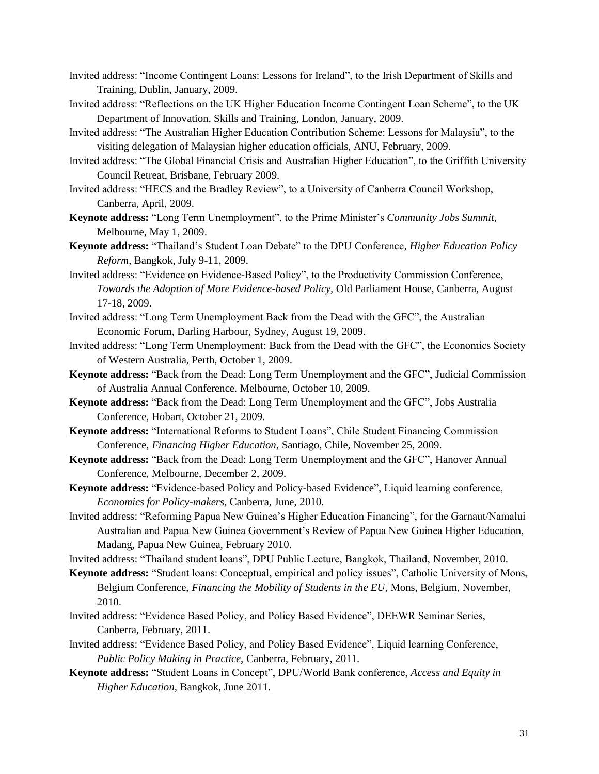- Invited address: "Income Contingent Loans: Lessons for Ireland", to the Irish Department of Skills and Training, Dublin, January, 2009.
- Invited address: "Reflections on the UK Higher Education Income Contingent Loan Scheme", to the UK Department of Innovation, Skills and Training, London, January, 2009.
- Invited address: "The Australian Higher Education Contribution Scheme: Lessons for Malaysia", to the visiting delegation of Malaysian higher education officials, ANU, February, 2009.
- Invited address: "The Global Financial Crisis and Australian Higher Education", to the Griffith University Council Retreat, Brisbane, February 2009.
- Invited address: "HECS and the Bradley Review", to a University of Canberra Council Workshop, Canberra, April, 2009.
- **Keynote address:** "Long Term Unemployment", to the Prime Minister's *Community Jobs Summit*, Melbourne, May 1, 2009.
- **Keynote address:** "Thailand's Student Loan Debate" to the DPU Conference, *Higher Education Policy Reform*, Bangkok, July 9-11, 2009.
- Invited address: "Evidence on Evidence-Based Policy", to the Productivity Commission Conference, *Towards the Adoption of More Evidence-based Policy,* Old Parliament House, Canberra, August 17-18, 2009.
- Invited address: "Long Term Unemployment Back from the Dead with the GFC", the Australian Economic Forum, Darling Harbour, Sydney, August 19, 2009.
- Invited address: "Long Term Unemployment: Back from the Dead with the GFC", the Economics Society of Western Australia, Perth, October 1, 2009.
- **Keynote address:** "Back from the Dead: Long Term Unemployment and the GFC", Judicial Commission of Australia Annual Conference. Melbourne, October 10, 2009.
- **Keynote address:** "Back from the Dead: Long Term Unemployment and the GFC", Jobs Australia Conference, Hobart, October 21, 2009.
- **Keynote address:** "International Reforms to Student Loans", Chile Student Financing Commission Conference, *Financing Higher Education,* Santiago, Chile, November 25, 2009.
- **Keynote address:** "Back from the Dead: Long Term Unemployment and the GFC", Hanover Annual Conference, Melbourne, December 2, 2009.
- **Keynote address:** "Evidence-based Policy and Policy-based Evidence", Liquid learning conference, *Economics for Policy-makers,* Canberra, June, 2010.
- Invited address: "Reforming Papua New Guinea's Higher Education Financing", for the Garnaut/Namalui Australian and Papua New Guinea Government's Review of Papua New Guinea Higher Education, Madang, Papua New Guinea, February 2010.
- Invited address: "Thailand student loans", DPU Public Lecture, Bangkok, Thailand, November, 2010.
- **Keynote address:** "Student loans: Conceptual, empirical and policy issues", Catholic University of Mons, Belgium Conference, *Financing the Mobility of Students in the EU,* Mons, Belgium, November, 2010.
- Invited address: "Evidence Based Policy, and Policy Based Evidence", DEEWR Seminar Series, Canberra, February, 2011.
- Invited address: "Evidence Based Policy, and Policy Based Evidence", Liquid learning Conference, *Public Policy Making in Practice,* Canberra, February, 2011.
- **Keynote address:** "Student Loans in Concept", DPU/World Bank conference, *Access and Equity in Higher Education,* Bangkok, June 2011.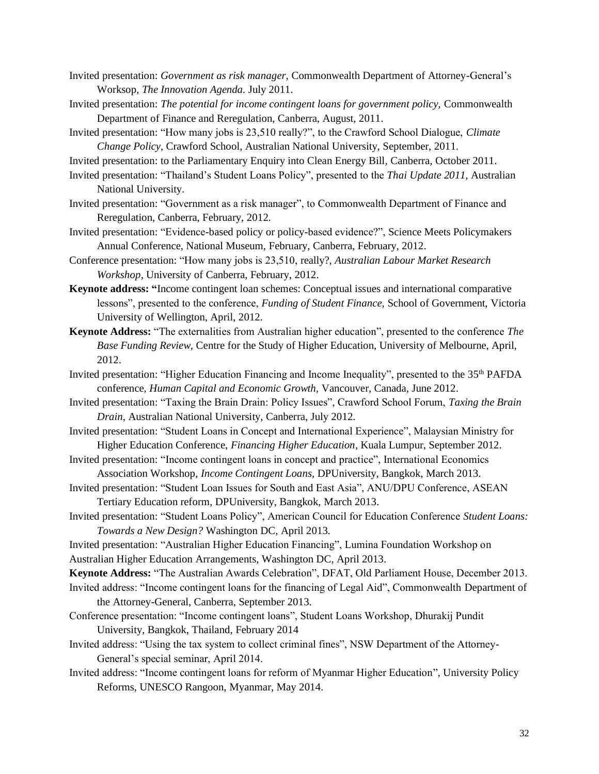- Invited presentation: *Government as risk manager,* Commonwealth Department of Attorney-General's Worksop, *The Innovation Agenda.* July 2011.
- Invited presentation: *The potential for income contingent loans for government policy,* Commonwealth Department of Finance and Reregulation, Canberra, August, 2011.
- Invited presentation: "How many jobs is 23,510 really?", to the Crawford School Dialogue, *Climate Change Policy*, Crawford School, Australian National University, September, 2011.
- Invited presentation: to the Parliamentary Enquiry into Clean Energy Bill, Canberra, October 2011.
- Invited presentation: "Thailand's Student Loans Policy", presented to the *Thai Update 2011*, Australian National University.
- Invited presentation: "Government as a risk manager", to Commonwealth Department of Finance and Reregulation, Canberra, February, 2012.
- Invited presentation: "Evidence-based policy or policy-based evidence?", Science Meets Policymakers Annual Conference, National Museum, February, Canberra, February, 2012.
- Conference presentation: "How many jobs is 23,510, really?, *Australian Labour Market Research Workshop*, University of Canberra, February, 2012.
- **Keynote address: "**Income contingent loan schemes: Conceptual issues and international comparative lessons", presented to the conference, *Funding of Student Finance,* School of Government, Victoria University of Wellington, April, 2012.
- **Keynote Address:** "The externalities from Australian higher education", presented to the conference *The Base Funding Review,* Centre for the Study of Higher Education, University of Melbourne, April, 2012.
- Invited presentation: "Higher Education Financing and Income Inequality", presented to the 35<sup>th</sup> PAFDA conference, *Human Capital and Economic Growth,* Vancouver, Canada, June 2012.
- Invited presentation: "Taxing the Brain Drain: Policy Issues", Crawford School Forum, *Taxing the Brain Drain,* Australian National University, Canberra, July 2012.
- Invited presentation: "Student Loans in Concept and International Experience", Malaysian Ministry for Higher Education Conference, *Financing Higher Education*, Kuala Lumpur, September 2012.
- Invited presentation: "Income contingent loans in concept and practice", International Economics Association Workshop, *Income Contingent Loans,* DPUniversity, Bangkok, March 2013.
- Invited presentation: "Student Loan Issues for South and East Asia", ANU/DPU Conference, ASEAN Tertiary Education reform, DPUniversity, Bangkok, March 2013.
- Invited presentation: "Student Loans Policy", American Council for Education Conference *Student Loans: Towards a New Design?* Washington DC, April 2013*.*
- Invited presentation: "Australian Higher Education Financing", Lumina Foundation Workshop on Australian Higher Education Arrangements, Washington DC, April 2013.
- **Keynote Address:** "The Australian Awards Celebration", DFAT, Old Parliament House, December 2013.
- Invited address: "Income contingent loans for the financing of Legal Aid", Commonwealth Department of the Attorney-General, Canberra, September 2013.
- Conference presentation: "Income contingent loans", Student Loans Workshop, Dhurakij Pundit University, Bangkok, Thailand, February 2014
- Invited address: "Using the tax system to collect criminal fines", NSW Department of the Attorney-General's special seminar, April 2014.
- Invited address: "Income contingent loans for reform of Myanmar Higher Education", University Policy Reforms, UNESCO Rangoon, Myanmar, May 2014.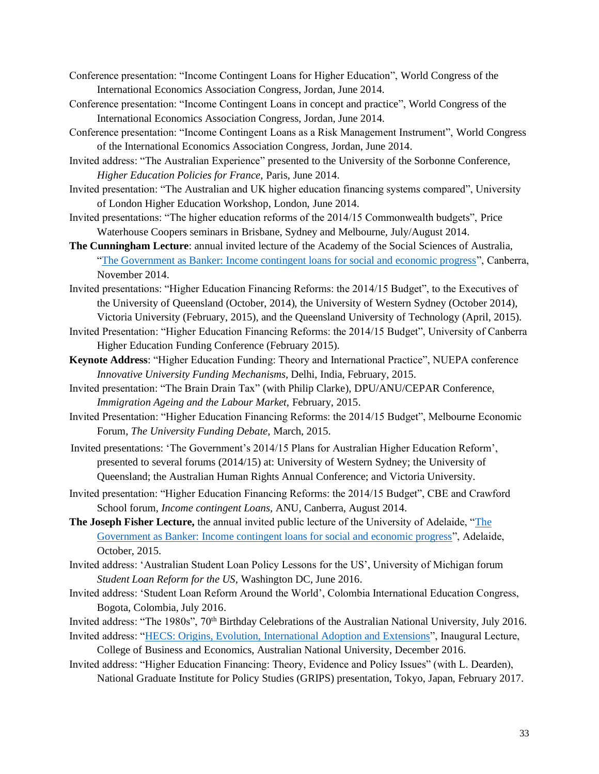- Conference presentation: "Income Contingent Loans for Higher Education", World Congress of the International Economics Association Congress, Jordan, June 2014.
- Conference presentation: "Income Contingent Loans in concept and practice", World Congress of the International Economics Association Congress, Jordan, June 2014.
- Conference presentation: "Income Contingent Loans as a Risk Management Instrument", World Congress of the International Economics Association Congress, Jordan, June 2014.
- Invited address: "The Australian Experience" presented to the University of the Sorbonne Conference, *Higher Education Policies for France,* Paris, June 2014.
- Invited presentation: "The Australian and UK higher education financing systems compared", University of London Higher Education Workshop, London, June 2014.
- Invited presentations: "The higher education reforms of the 2014/15 Commonwealth budgets", Price Waterhouse Coopers seminars in Brisbane, Sydney and Melbourne, July/August 2014.
- **The Cunningham Lecture**: annual invited lecture of the Academy of the Social Sciences of Australia, ["The Government as Banker: Income contingent loans for social and economic progress"](https://youtu.be/Xi1A3WXndR0), Canberra, November 2014.
- Invited presentations: "Higher Education Financing Reforms: the 2014/15 Budget", to the Executives of the University of Queensland (October, 2014), the University of Western Sydney (October 2014), Victoria University (February, 2015), and the Queensland University of Technology (April, 2015).
- Invited Presentation: "Higher Education Financing Reforms: the 2014/15 Budget", University of Canberra Higher Education Funding Conference (February 2015).
- **Keynote Address**: "Higher Education Funding: Theory and International Practice", NUEPA conference *Innovative University Funding Mechanisms,* Delhi, India, February, 2015.
- Invited presentation: "The Brain Drain Tax" (with Philip Clarke), DPU/ANU/CEPAR Conference, *Immigration Ageing and the Labour Market,* February, 2015.
- Invited Presentation: "Higher Education Financing Reforms: the 2014/15 Budget", Melbourne Economic Forum*, The University Funding Debate,* March, 2015.
- Invited presentations: 'The Government's 2014/15 Plans for Australian Higher Education Reform', presented to several forums (2014/15) at: University of Western Sydney; the University of Queensland; the Australian Human Rights Annual Conference; and Victoria University.
- Invited presentation: "Higher Education Financing Reforms: the 2014/15 Budget", CBE and Crawford School forum, *Income contingent Loans,* ANU, Canberra, August 2014.
- **The Joseph Fisher Lecture,** the annual invited public lecture of the University of Adelaide, ["The](https://youtu.be/BdTayeqOwBY)  [Government as Banker: Income contingent loans for social and economic progress"](https://youtu.be/BdTayeqOwBY), Adelaide, October, 2015.
- Invited address: 'Australian Student Loan Policy Lessons for the US', University of Michigan forum *Student Loan Reform for the US,* Washington DC, June 2016.
- Invited address: 'Student Loan Reform Around the World', Colombia International Education Congress, Bogota, Colombia, July 2016.

Invited address: "The 1980s", 70<sup>th</sup> Birthday Celebrations of the Australian National University, July 2016. Invited address: ["HECS: Origins, Evolution, International Adoption and Extensions"](https://youtu.be/WJjcnD_WJak), Inaugural Lecture,

College of Business and Economics, Australian National University, December 2016.

Invited address: "Higher Education Financing: Theory, Evidence and Policy Issues" (with L. Dearden), National Graduate Institute for Policy Studies (GRIPS) presentation, Tokyo, Japan, February 2017.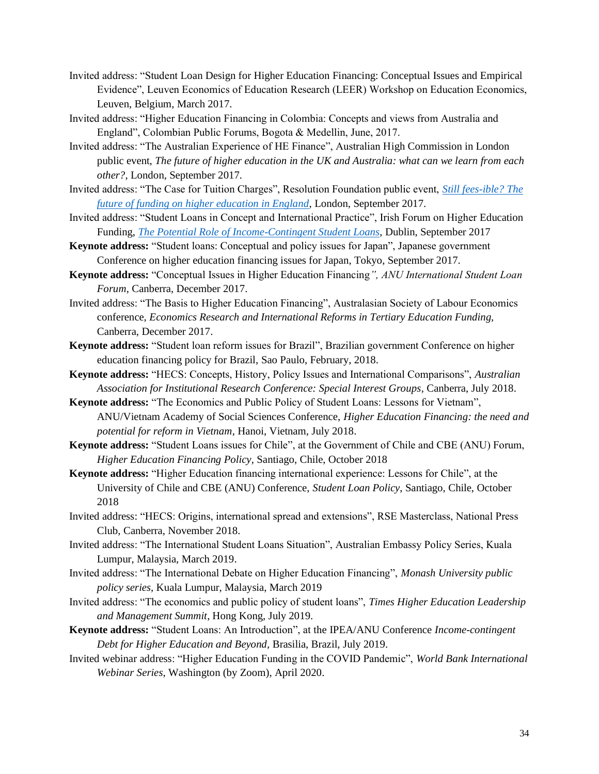- Invited address: "Student Loan Design for Higher Education Financing: Conceptual Issues and Empirical Evidence", Leuven Economics of Education Research (LEER) Workshop on Education Economics, Leuven, Belgium, March 2017.
- Invited address: "Higher Education Financing in Colombia: Concepts and views from Australia and England", Colombian Public Forums, Bogota & Medellin, June, 2017.
- Invited address: "The Australian Experience of HE Finance", Australian High Commission in London public event, *The future of higher education in the UK and Australia: what can we learn from each other?*, London, September 2017.
- Invited address: "The Case for Tuition Charges", Resolution Foundation public event, *[Still fees-ible? The](https://www.resolutionfoundation.org/events/still-fees-ible-the-future-and-funding-of-higher-education-in-the-uk/)  [future of funding on higher education in England](https://www.resolutionfoundation.org/events/still-fees-ible-the-future-and-funding-of-higher-education-in-the-uk/)*, London, September 2017.
- Invited address: "Student Loans in Concept and International Practice", Irish Forum on Higher Education Funding, *[The Potential Role of Income-Contingent Student Loans](https://youtu.be/ftKTlnw0puU)*, Dublin, September 2017
- **Keynote address:** "Student loans: Conceptual and policy issues for Japan", Japanese government Conference on higher education financing issues for Japan, Tokyo, September 2017.
- **Keynote address:** "Conceptual Issues in Higher Education Financing*", ANU International Student Loan Forum*, Canberra, December 2017.
- Invited address: "The Basis to Higher Education Financing", Australasian Society of Labour Economics conference, *Economics Research and International Reforms in Tertiary Education Funding,* Canberra, December 2017.
- **Keynote address:** "Student loan reform issues for Brazil", Brazilian government Conference on higher education financing policy for Brazil, Sao Paulo, February, 2018.
- **Keynote address:** "HECS: Concepts, History, Policy Issues and International Comparisons", *Australian Association for Institutional Research Conference: Special Interest Groups,* Canberra, July 2018.
- **Keynote address:** "The Economics and Public Policy of Student Loans: Lessons for Vietnam", ANU/Vietnam Academy of Social Sciences Conference, *Higher Education Financing: the need and potential for reform in Vietnam*, Hanoi, Vietnam, July 2018.
- **Keynote address:** "Student Loans issues for Chile", at the Government of Chile and CBE (ANU) Forum, *Higher Education Financing Policy*, Santiago, Chile, October 2018
- **Keynote address:** "Higher Education financing international experience: Lessons for Chile", at the University of Chile and CBE (ANU) Conference, *Student Loan Policy*, Santiago, Chile, October 2018
- Invited address: "HECS: Origins, international spread and extensions", RSE Masterclass, National Press Club, Canberra, November 2018.
- Invited address: "The International Student Loans Situation", Australian Embassy Policy Series, Kuala Lumpur, Malaysia, March 2019.
- Invited address: "The International Debate on Higher Education Financing", *Monash University public policy series,* Kuala Lumpur, Malaysia, March 2019
- Invited address: "The economics and public policy of student loans", *Times Higher Education Leadership and Management Summit*, Hong Kong, July 2019.
- **Keynote address:** "Student Loans: An Introduction", at the IPEA/ANU Conference *Income-contingent Debt for Higher Education and Beyond,* Brasilia, Brazil, July 2019.
- Invited webinar address: "Higher Education Funding in the COVID Pandemic", *World Bank International Webinar Series*, Washington (by Zoom), April 2020.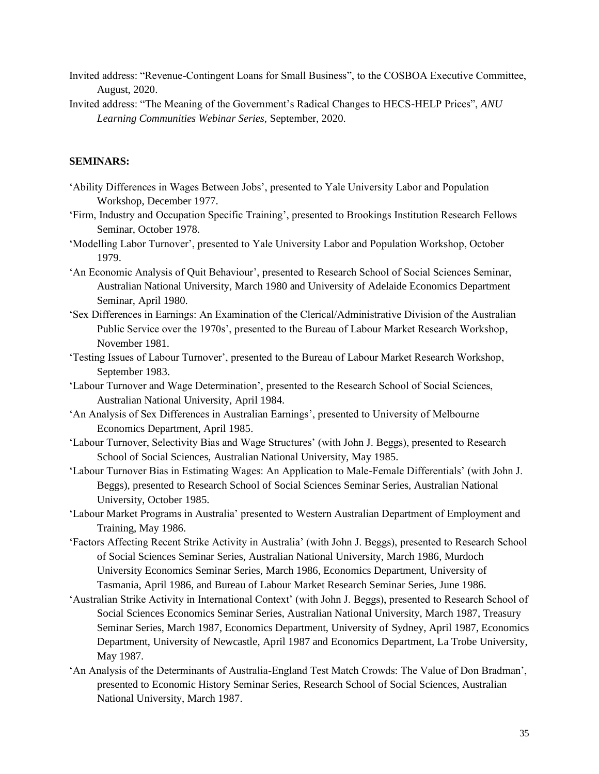- Invited address: "Revenue-Contingent Loans for Small Business", to the COSBOA Executive Committee, August, 2020.
- Invited address: "The Meaning of the Government's Radical Changes to HECS-HELP Prices", *ANU Learning Communities Webinar Series,* September, 2020.

# **SEMINARS:**

- 'Ability Differences in Wages Between Jobs', presented to Yale University Labor and Population Workshop, December 1977.
- 'Firm, Industry and Occupation Specific Training', presented to Brookings Institution Research Fellows Seminar, October 1978.
- 'Modelling Labor Turnover', presented to Yale University Labor and Population Workshop, October 1979.
- 'An Economic Analysis of Quit Behaviour', presented to Research School of Social Sciences Seminar, Australian National University, March 1980 and University of Adelaide Economics Department Seminar, April 1980.
- 'Sex Differences in Earnings: An Examination of the Clerical/Administrative Division of the Australian Public Service over the 1970s', presented to the Bureau of Labour Market Research Workshop, November 1981.
- 'Testing Issues of Labour Turnover', presented to the Bureau of Labour Market Research Workshop, September 1983.
- 'Labour Turnover and Wage Determination', presented to the Research School of Social Sciences, Australian National University, April 1984.
- 'An Analysis of Sex Differences in Australian Earnings', presented to University of Melbourne Economics Department, April 1985.
- 'Labour Turnover, Selectivity Bias and Wage Structures' (with John J. Beggs), presented to Research School of Social Sciences, Australian National University, May 1985.
- 'Labour Turnover Bias in Estimating Wages: An Application to Male-Female Differentials' (with John J. Beggs), presented to Research School of Social Sciences Seminar Series, Australian National University, October 1985.
- 'Labour Market Programs in Australia' presented to Western Australian Department of Employment and Training, May 1986.
- 'Factors Affecting Recent Strike Activity in Australia' (with John J. Beggs), presented to Research School of Social Sciences Seminar Series, Australian National University, March 1986, Murdoch University Economics Seminar Series, March 1986, Economics Department, University of Tasmania, April 1986, and Bureau of Labour Market Research Seminar Series, June 1986.
- 'Australian Strike Activity in International Context' (with John J. Beggs), presented to Research School of Social Sciences Economics Seminar Series, Australian National University, March 1987, Treasury Seminar Series, March 1987, Economics Department, University of Sydney, April 1987, Economics Department, University of Newcastle, April 1987 and Economics Department, La Trobe University, May 1987.
- 'An Analysis of the Determinants of Australia-England Test Match Crowds: The Value of Don Bradman', presented to Economic History Seminar Series, Research School of Social Sciences, Australian National University, March 1987.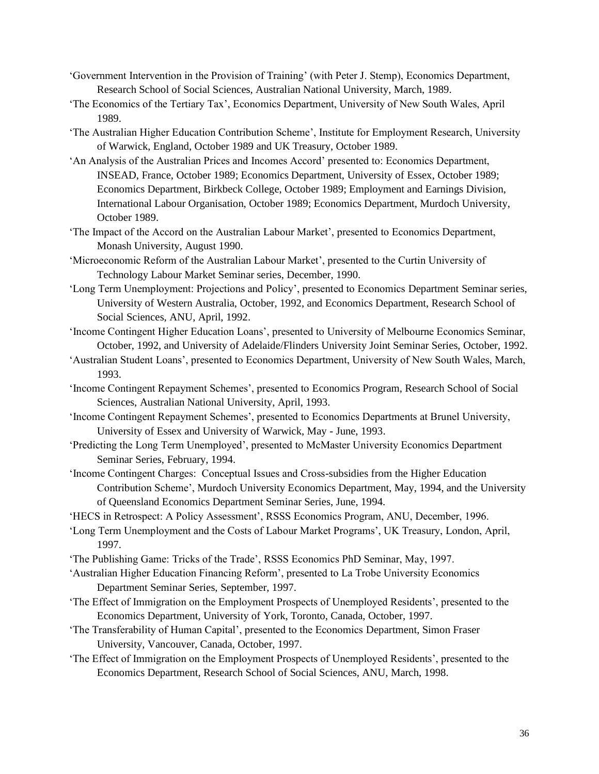- 'Government Intervention in the Provision of Training' (with Peter J. Stemp), Economics Department, Research School of Social Sciences, Australian National University, March, 1989.
- 'The Economics of the Tertiary Tax', Economics Department, University of New South Wales, April 1989.
- 'The Australian Higher Education Contribution Scheme', Institute for Employment Research, University of Warwick, England, October 1989 and UK Treasury, October 1989.
- 'An Analysis of the Australian Prices and Incomes Accord' presented to: Economics Department, INSEAD, France, October 1989; Economics Department, University of Essex, October 1989; Economics Department, Birkbeck College, October 1989; Employment and Earnings Division, International Labour Organisation, October 1989; Economics Department, Murdoch University, October 1989.
- 'The Impact of the Accord on the Australian Labour Market', presented to Economics Department, Monash University, August 1990.
- 'Microeconomic Reform of the Australian Labour Market', presented to the Curtin University of Technology Labour Market Seminar series, December, 1990.
- 'Long Term Unemployment: Projections and Policy', presented to Economics Department Seminar series, University of Western Australia, October, 1992, and Economics Department, Research School of Social Sciences, ANU, April, 1992.
- 'Income Contingent Higher Education Loans', presented to University of Melbourne Economics Seminar, October, 1992, and University of Adelaide/Flinders University Joint Seminar Series, October, 1992.
- 'Australian Student Loans', presented to Economics Department, University of New South Wales, March, 1993.
- 'Income Contingent Repayment Schemes', presented to Economics Program, Research School of Social Sciences, Australian National University, April, 1993.
- 'Income Contingent Repayment Schemes', presented to Economics Departments at Brunel University, University of Essex and University of Warwick, May - June, 1993.
- 'Predicting the Long Term Unemployed', presented to McMaster University Economics Department Seminar Series, February, 1994.
- 'Income Contingent Charges: Conceptual Issues and Cross-subsidies from the Higher Education Contribution Scheme', Murdoch University Economics Department, May, 1994, and the University of Queensland Economics Department Seminar Series, June, 1994.
- 'HECS in Retrospect: A Policy Assessment', RSSS Economics Program, ANU, December, 1996.
- 'Long Term Unemployment and the Costs of Labour Market Programs', UK Treasury, London, April, 1997.
- 'The Publishing Game: Tricks of the Trade', RSSS Economics PhD Seminar, May, 1997.
- 'Australian Higher Education Financing Reform', presented to La Trobe University Economics Department Seminar Series, September, 1997.
- 'The Effect of Immigration on the Employment Prospects of Unemployed Residents', presented to the Economics Department, University of York, Toronto, Canada, October, 1997.
- 'The Transferability of Human Capital', presented to the Economics Department, Simon Fraser University, Vancouver, Canada, October, 1997.
- 'The Effect of Immigration on the Employment Prospects of Unemployed Residents', presented to the Economics Department, Research School of Social Sciences, ANU, March, 1998.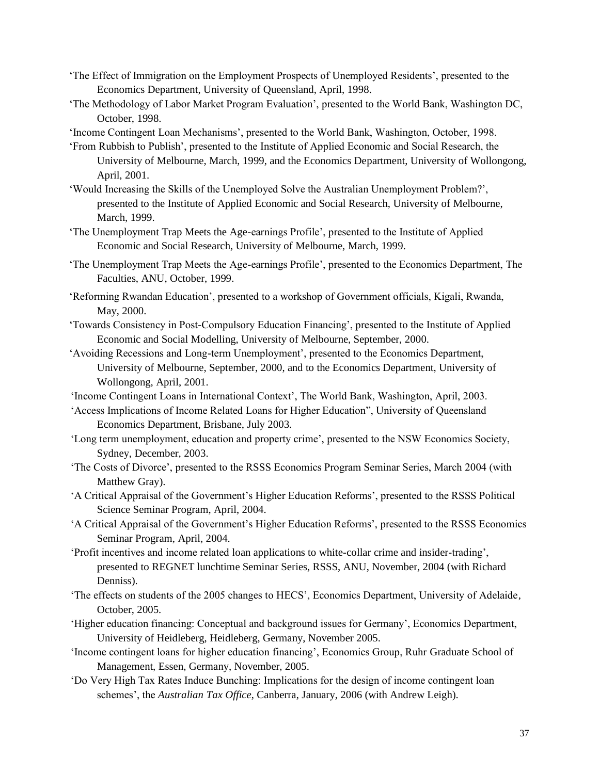- 'The Effect of Immigration on the Employment Prospects of Unemployed Residents', presented to the Economics Department, University of Queensland, April, 1998.
- 'The Methodology of Labor Market Program Evaluation', presented to the World Bank, Washington DC, October, 1998.
- 'Income Contingent Loan Mechanisms', presented to the World Bank, Washington, October, 1998.
- 'From Rubbish to Publish', presented to the Institute of Applied Economic and Social Research, the University of Melbourne, March, 1999, and the Economics Department, University of Wollongong, April, 2001.
- 'Would Increasing the Skills of the Unemployed Solve the Australian Unemployment Problem?', presented to the Institute of Applied Economic and Social Research, University of Melbourne, March, 1999.
- 'The Unemployment Trap Meets the Age-earnings Profile', presented to the Institute of Applied Economic and Social Research, University of Melbourne, March, 1999.
- 'The Unemployment Trap Meets the Age-earnings Profile', presented to the Economics Department, The Faculties, ANU, October, 1999.
- 'Reforming Rwandan Education', presented to a workshop of Government officials, Kigali, Rwanda, May, 2000.
- 'Towards Consistency in Post-Compulsory Education Financing', presented to the Institute of Applied Economic and Social Modelling, University of Melbourne, September, 2000.
- 'Avoiding Recessions and Long-term Unemployment', presented to the Economics Department, University of Melbourne, September, 2000, and to the Economics Department, University of Wollongong, April, 2001.
- 'Income Contingent Loans in International Context', The World Bank, Washington, April, 2003.
- 'Access Implications of Income Related Loans for Higher Education", University of Queensland Economics Department, Brisbane, July 2003.
- 'Long term unemployment, education and property crime', presented to the NSW Economics Society, Sydney, December, 2003.
- 'The Costs of Divorce', presented to the RSSS Economics Program Seminar Series, March 2004 (with Matthew Gray).
- 'A Critical Appraisal of the Government's Higher Education Reforms', presented to the RSSS Political Science Seminar Program, April, 2004.
- 'A Critical Appraisal of the Government's Higher Education Reforms', presented to the RSSS Economics Seminar Program, April, 2004.
- 'Profit incentives and income related loan applications to white-collar crime and insider-trading', presented to REGNET lunchtime Seminar Series, RSSS, ANU, November, 2004 (with Richard Denniss).
- 'The effects on students of the 2005 changes to HECS', Economics Department, University of Adelaide, October, 2005.
- 'Higher education financing: Conceptual and background issues for Germany', Economics Department, University of Heidleberg, Heidleberg, Germany, November 2005.
- 'Income contingent loans for higher education financing', Economics Group, Ruhr Graduate School of Management, Essen, Germany, November, 2005.
- 'Do Very High Tax Rates Induce Bunching: Implications for the design of income contingent loan schemes', the *Australian Tax Office*, Canberra, January, 2006 (with Andrew Leigh).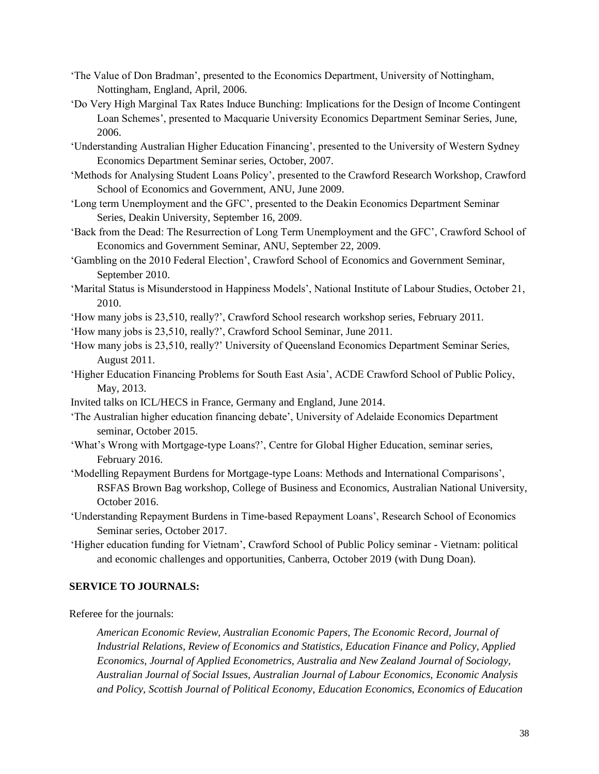- 'The Value of Don Bradman', presented to the Economics Department, University of Nottingham, Nottingham, England, April, 2006.
- 'Do Very High Marginal Tax Rates Induce Bunching: Implications for the Design of Income Contingent Loan Schemes', presented to Macquarie University Economics Department Seminar Series, June, 2006.
- 'Understanding Australian Higher Education Financing', presented to the University of Western Sydney Economics Department Seminar series, October, 2007.
- 'Methods for Analysing Student Loans Policy', presented to the Crawford Research Workshop, Crawford School of Economics and Government, ANU, June 2009.
- 'Long term Unemployment and the GFC', presented to the Deakin Economics Department Seminar Series, Deakin University, September 16, 2009.
- 'Back from the Dead: The Resurrection of Long Term Unemployment and the GFC', Crawford School of Economics and Government Seminar, ANU, September 22, 2009.
- 'Gambling on the 2010 Federal Election', Crawford School of Economics and Government Seminar, September 2010.
- 'Marital Status is Misunderstood in Happiness Models', National Institute of Labour Studies, October 21, 2010.
- 'How many jobs is 23,510, really?', Crawford School research workshop series, February 2011.
- 'How many jobs is 23,510, really?', Crawford School Seminar, June 2011.
- 'How many jobs is 23,510, really?' University of Queensland Economics Department Seminar Series, August 2011.
- 'Higher Education Financing Problems for South East Asia', ACDE Crawford School of Public Policy, May, 2013.
- Invited talks on ICL/HECS in France, Germany and England, June 2014.
- 'The Australian higher education financing debate', University of Adelaide Economics Department seminar, October 2015.
- 'What's Wrong with Mortgage-type Loans?', Centre for Global Higher Education, seminar series, February 2016.
- 'Modelling Repayment Burdens for Mortgage-type Loans: Methods and International Comparisons', RSFAS Brown Bag workshop, College of Business and Economics, Australian National University, October 2016.
- 'Understanding Repayment Burdens in Time-based Repayment Loans', Research School of Economics Seminar series, October 2017.
- 'Higher education funding for Vietnam', Crawford School of Public Policy seminar Vietnam: political and economic challenges and opportunities, Canberra, October 2019 (with Dung Doan).

# **SERVICE TO JOURNALS:**

Referee for the journals:

*American Economic Review, Australian Economic Papers, The Economic Record, Journal of Industrial Relations, Review of Economics and Statistics, Education Finance and Policy, Applied Economics, Journal of Applied Econometrics, Australia and New Zealand Journal of Sociology, Australian Journal of Social Issues, Australian Journal of Labour Economics, Economic Analysis and Policy, Scottish Journal of Political Economy*, *Education Economics, Economics of Education*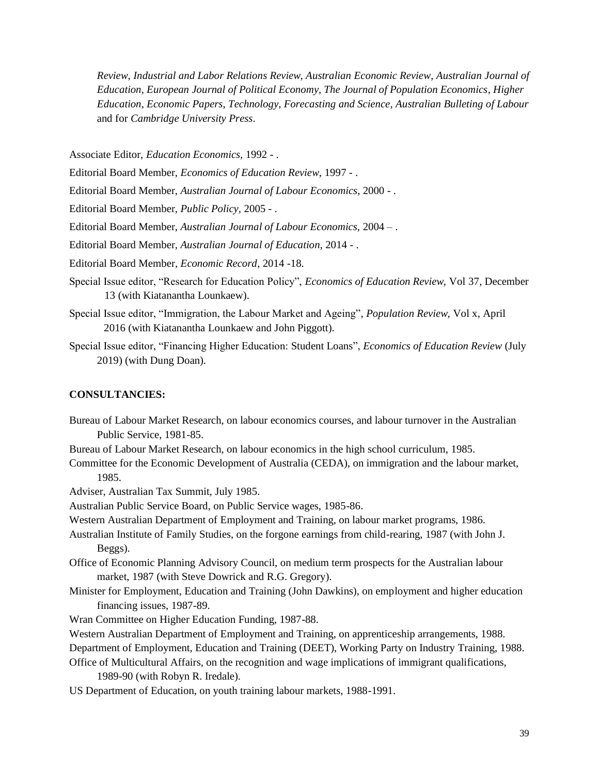*Review, Industrial and Labor Relations Review, Australian Economic Review*, *Australian Journal of Education, European Journal of Political Economy, The Journal of Population Economics, Higher Education, Economic Papers, Technology, Forecasting and Science, Australian Bulleting of Labour* and for *Cambridge University Press*.

Associate Editor, *Education Economics,* 1992 - .

Editorial Board Member, *Economics of Education Review*, 1997 - .

Editorial Board Member, *Australian Journal of Labour Economics*, 2000 - .

Editorial Board Member, *Public Policy,* 2005 - .

Editorial Board Member, *Australian Journal of Labour Economics,* 2004 – .

Editorial Board Member, *Australian Journal of Education,* 2014 - .

Editorial Board Member*, Economic Record*, 2014 -18.

- Special Issue editor, "Research for Education Policy", *Economics of Education Review,* Vol 37*,* December 13 (with Kiatanantha Lounkaew).
- Special Issue editor, "Immigration, the Labour Market and Ageing", *Population Review,* Vol x, April 2016 (with Kiatanantha Lounkaew and John Piggott).
- Special Issue editor, "Financing Higher Education: Student Loans", *Economics of Education Review* (July 2019) (with Dung Doan).

# **CONSULTANCIES:**

Bureau of Labour Market Research, on labour economics courses, and labour turnover in the Australian Public Service, 1981-85.

Bureau of Labour Market Research, on labour economics in the high school curriculum, 1985.

Committee for the Economic Development of Australia (CEDA), on immigration and the labour market, 1985.

Adviser, Australian Tax Summit, July 1985.

Australian Public Service Board, on Public Service wages, 1985-86.

Western Australian Department of Employment and Training, on labour market programs, 1986.

- Australian Institute of Family Studies, on the forgone earnings from child-rearing, 1987 (with John J. Beggs).
- Office of Economic Planning Advisory Council, on medium term prospects for the Australian labour market, 1987 (with Steve Dowrick and R.G. Gregory).
- Minister for Employment, Education and Training (John Dawkins), on employment and higher education financing issues, 1987-89.
- Wran Committee on Higher Education Funding, 1987-88.

Western Australian Department of Employment and Training, on apprenticeship arrangements, 1988.

Department of Employment, Education and Training (DEET), Working Party on Industry Training, 1988.

Office of Multicultural Affairs, on the recognition and wage implications of immigrant qualifications, 1989-90 (with Robyn R. Iredale).

US Department of Education, on youth training labour markets, 1988-1991.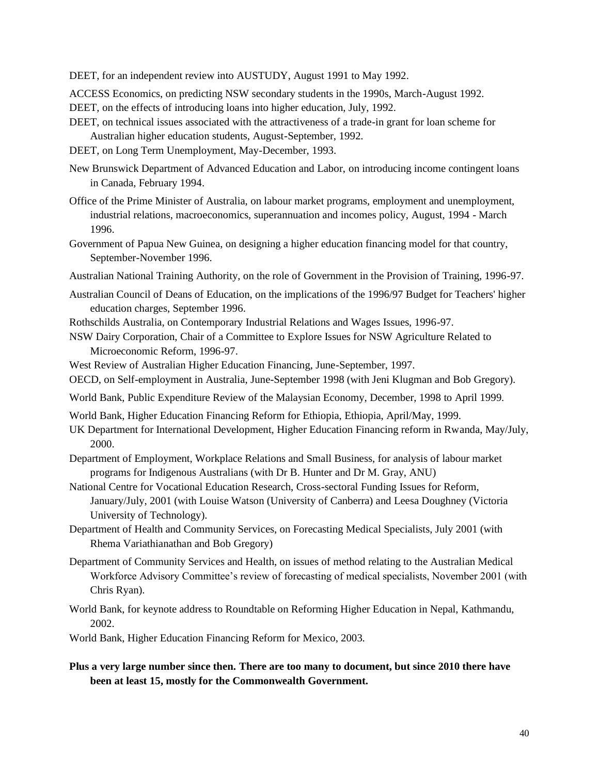DEET, for an independent review into AUSTUDY, August 1991 to May 1992.

ACCESS Economics, on predicting NSW secondary students in the 1990s, March-August 1992.

DEET, on the effects of introducing loans into higher education, July, 1992.

- DEET, on technical issues associated with the attractiveness of a trade-in grant for loan scheme for Australian higher education students, August-September, 1992.
- DEET, on Long Term Unemployment, May-December, 1993.
- New Brunswick Department of Advanced Education and Labor, on introducing income contingent loans in Canada, February 1994.
- Office of the Prime Minister of Australia, on labour market programs, employment and unemployment, industrial relations, macroeconomics, superannuation and incomes policy, August, 1994 - March 1996.
- Government of Papua New Guinea, on designing a higher education financing model for that country, September-November 1996.
- Australian National Training Authority, on the role of Government in the Provision of Training, 1996-97.
- Australian Council of Deans of Education, on the implications of the 1996/97 Budget for Teachers' higher education charges, September 1996.
- Rothschilds Australia, on Contemporary Industrial Relations and Wages Issues, 1996-97.
- NSW Dairy Corporation, Chair of a Committee to Explore Issues for NSW Agriculture Related to Microeconomic Reform, 1996-97.
- West Review of Australian Higher Education Financing, June-September, 1997.
- OECD, on Self-employment in Australia, June-September 1998 (with Jeni Klugman and Bob Gregory).
- World Bank, Public Expenditure Review of the Malaysian Economy, December, 1998 to April 1999.
- World Bank, Higher Education Financing Reform for Ethiopia, Ethiopia, April/May, 1999.
- UK Department for International Development, Higher Education Financing reform in Rwanda, May/July, 2000.
- Department of Employment, Workplace Relations and Small Business, for analysis of labour market programs for Indigenous Australians (with Dr B. Hunter and Dr M. Gray, ANU)
- National Centre for Vocational Education Research, Cross-sectoral Funding Issues for Reform, January/July, 2001 (with Louise Watson (University of Canberra) and Leesa Doughney (Victoria University of Technology).
- Department of Health and Community Services, on Forecasting Medical Specialists, July 2001 (with Rhema Variathianathan and Bob Gregory)
- Department of Community Services and Health, on issues of method relating to the Australian Medical Workforce Advisory Committee's review of forecasting of medical specialists, November 2001 (with Chris Ryan).
- World Bank, for keynote address to Roundtable on Reforming Higher Education in Nepal, Kathmandu, 2002.

World Bank, Higher Education Financing Reform for Mexico, 2003.

**Plus a very large number since then. There are too many to document, but since 2010 there have been at least 15, mostly for the Commonwealth Government.**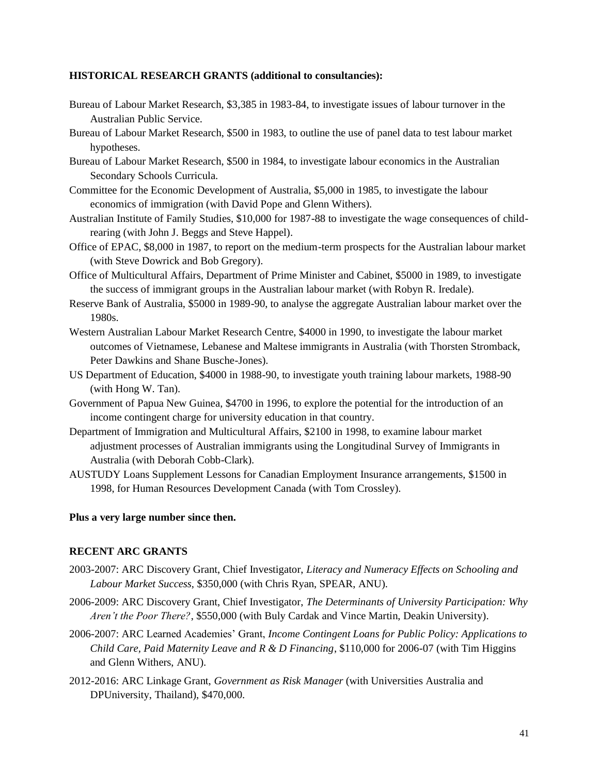# **HISTORICAL RESEARCH GRANTS (additional to consultancies):**

- Bureau of Labour Market Research, \$3,385 in 1983-84, to investigate issues of labour turnover in the Australian Public Service.
- Bureau of Labour Market Research, \$500 in 1983, to outline the use of panel data to test labour market hypotheses.
- Bureau of Labour Market Research, \$500 in 1984, to investigate labour economics in the Australian Secondary Schools Curricula.
- Committee for the Economic Development of Australia, \$5,000 in 1985, to investigate the labour economics of immigration (with David Pope and Glenn Withers).
- Australian Institute of Family Studies, \$10,000 for 1987-88 to investigate the wage consequences of childrearing (with John J. Beggs and Steve Happel).
- Office of EPAC, \$8,000 in 1987, to report on the medium-term prospects for the Australian labour market (with Steve Dowrick and Bob Gregory).
- Office of Multicultural Affairs, Department of Prime Minister and Cabinet, \$5000 in 1989, to investigate the success of immigrant groups in the Australian labour market (with Robyn R. Iredale).
- Reserve Bank of Australia, \$5000 in 1989-90, to analyse the aggregate Australian labour market over the 1980s.
- Western Australian Labour Market Research Centre, \$4000 in 1990, to investigate the labour market outcomes of Vietnamese, Lebanese and Maltese immigrants in Australia (with Thorsten Stromback, Peter Dawkins and Shane Busche-Jones).
- US Department of Education, \$4000 in 1988-90, to investigate youth training labour markets, 1988-90 (with Hong W. Tan).
- Government of Papua New Guinea, \$4700 in 1996, to explore the potential for the introduction of an income contingent charge for university education in that country.
- Department of Immigration and Multicultural Affairs, \$2100 in 1998, to examine labour market adjustment processes of Australian immigrants using the Longitudinal Survey of Immigrants in Australia (with Deborah Cobb-Clark).
- AUSTUDY Loans Supplement Lessons for Canadian Employment Insurance arrangements, \$1500 in 1998, for Human Resources Development Canada (with Tom Crossley).

#### **Plus a very large number since then.**

# **RECENT ARC GRANTS**

- 2003-2007: ARC Discovery Grant, Chief Investigator, *Literacy and Numeracy Effects on Schooling and Labour Market Success*, \$350,000 (with Chris Ryan, SPEAR, ANU).
- 2006-2009: ARC Discovery Grant, Chief Investigator, *The Determinants of University Participation: Why Aren't the Poor There?*, \$550,000 (with Buly Cardak and Vince Martin, Deakin University).
- 2006-2007: ARC Learned Academies' Grant, *Income Contingent Loans for Public Policy: Applications to Child Care, Paid Maternity Leave and R & D Financing*, \$110,000 for 2006-07 (with Tim Higgins and Glenn Withers, ANU).
- 2012-2016: ARC Linkage Grant, *Government as Risk Manager* (with Universities Australia and DPUniversity, Thailand), \$470,000.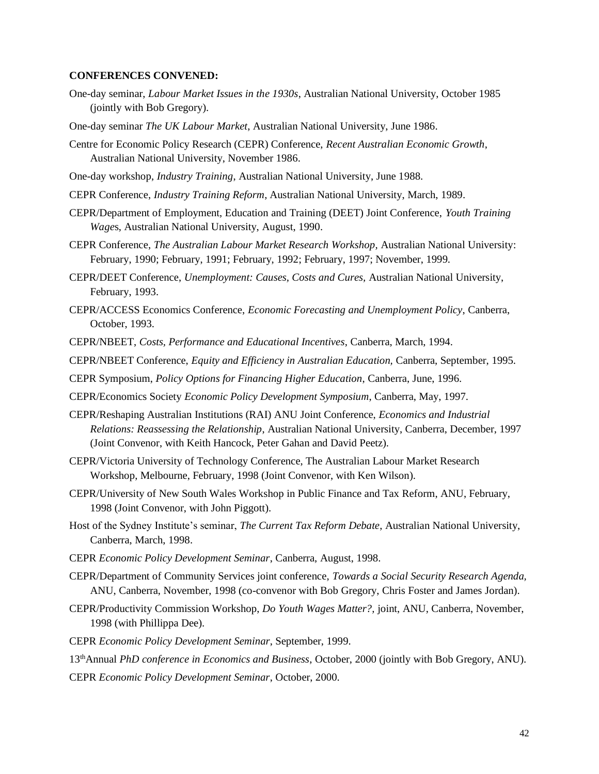### **CONFERENCES CONVENED:**

- One-day seminar, *Labour Market Issues in the 1930s*, Australian National University, October 1985 (jointly with Bob Gregory).
- One-day seminar *The UK Labour Market*, Australian National University, June 1986.
- Centre for Economic Policy Research (CEPR) Conference, *Recent Australian Economic Growth*, Australian National University, November 1986.
- One-day workshop, *Industry Training*, Australian National University, June 1988.
- CEPR Conference, *Industry Training Reform*, Australian National University, March, 1989.
- CEPR/Department of Employment, Education and Training (DEET) Joint Conference, *Youth Training Wage*s, Australian National University, August, 1990.
- CEPR Conference, *The Australian Labour Market Research Workshop,* Australian National University: February, 1990; February, 1991; February, 1992; February, 1997; November, 1999.
- CEPR/DEET Conference, *Unemployment: Causes, Costs and Cures,* Australian National University, February, 1993.
- CEPR/ACCESS Economics Conference, *Economic Forecasting and Unemployment Policy*, Canberra, October, 1993.
- CEPR/NBEET, *Costs, Performance and Educational Incentives*, Canberra, March, 1994.
- CEPR/NBEET Conference, *Equity and Efficiency in Australian Education,* Canberra, September, 1995.
- CEPR Symposium, *Policy Options for Financing Higher Education*, Canberra, June, 1996.
- CEPR/Economics Society *Economic Policy Development Symposium*, Canberra, May, 1997.
- CEPR/Reshaping Australian Institutions (RAI) ANU Joint Conference, *Economics and Industrial Relations: Reassessing the Relationship*, Australian National University, Canberra, December, 1997 (Joint Convenor, with Keith Hancock, Peter Gahan and David Peetz).
- CEPR/Victoria University of Technology Conference, The Australian Labour Market Research Workshop, Melbourne, February, 1998 (Joint Convenor, with Ken Wilson).
- CEPR/University of New South Wales Workshop in Public Finance and Tax Reform, ANU, February, 1998 (Joint Convenor, with John Piggott).
- Host of the Sydney Institute's seminar, *The Current Tax Reform Debate*, Australian National University, Canberra, March, 1998.
- CEPR *Economic Policy Development Seminar*, Canberra, August, 1998.
- CEPR/Department of Community Services joint conference, *Towards a Social Security Research Agenda,*  ANU, Canberra, November, 1998 (co-convenor with Bob Gregory, Chris Foster and James Jordan).
- CEPR/Productivity Commission Workshop, *Do Youth Wages Matter?,* joint, ANU, Canberra, November, 1998 (with Phillippa Dee).
- CEPR *Economic Policy Development Seminar*, September, 1999.
- 13thAnnual *PhD conference in Economics and Business*, October, 2000 (jointly with Bob Gregory, ANU).
- CEPR *Economic Policy Development Seminar*, October, 2000.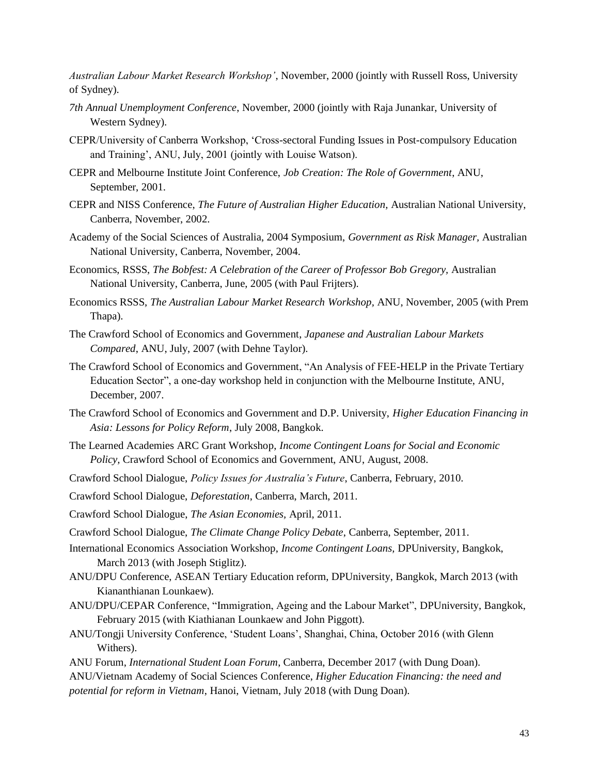*Australian Labour Market Research Workshop'*, November, 2000 (jointly with Russell Ross, University of Sydney).

- *7th Annual Unemployment Conference*, November, 2000 (jointly with Raja Junankar, University of Western Sydney).
- CEPR/University of Canberra Workshop, 'Cross-sectoral Funding Issues in Post-compulsory Education and Training', ANU, July, 2001 (jointly with Louise Watson).
- CEPR and Melbourne Institute Joint Conference, *Job Creation: The Role of Government*, ANU, September, 2001.
- CEPR and NISS Conference, *The Future of Australian Higher Education,* Australian National University, Canberra, November, 2002.
- Academy of the Social Sciences of Australia, 2004 Symposium, *Government as Risk Manager,* Australian National University, Canberra, November, 2004.
- Economics, RSSS, *The Bobfest: A Celebration of the Career of Professor Bob Gregory,* Australian National University, Canberra, June, 2005 (with Paul Frijters).
- Economics RSSS, *The Australian Labour Market Research Workshop,* ANU, November, 2005 (with Prem Thapa).
- The Crawford School of Economics and Government, *Japanese and Australian Labour Markets Compared*, ANU, July, 2007 (with Dehne Taylor).
- The Crawford School of Economics and Government, "An Analysis of FEE-HELP in the Private Tertiary Education Sector", a one-day workshop held in conjunction with the Melbourne Institute, ANU, December, 2007.
- The Crawford School of Economics and Government and D.P. University, *Higher Education Financing in Asia: Lessons for Policy Reform*, July 2008, Bangkok.
- The Learned Academies ARC Grant Workshop, *Income Contingent Loans for Social and Economic Policy,* Crawford School of Economics and Government, ANU, August, 2008.
- Crawford School Dialogue, *Policy Issues for Australia's Future*, Canberra, February, 2010.
- Crawford School Dialogue, *Deforestation*, Canberra, March, 2011.
- Crawford School Dialogue, *The Asian Economies,* April, 2011.
- Crawford School Dialogue, *The Climate Change Policy Debate*, Canberra, September, 2011.
- International Economics Association Workshop, *Income Contingent Loans,* DPUniversity, Bangkok, March 2013 (with Joseph Stiglitz).
- ANU/DPU Conference, ASEAN Tertiary Education reform, DPUniversity, Bangkok, March 2013 (with Kiananthianan Lounkaew).
- ANU/DPU/CEPAR Conference, "Immigration, Ageing and the Labour Market", DPUniversity, Bangkok, February 2015 (with Kiathianan Lounkaew and John Piggott).
- ANU/Tongji University Conference, 'Student Loans', Shanghai, China, October 2016 (with Glenn Withers).
- ANU Forum, *International Student Loan Forum*, Canberra, December 2017 (with Dung Doan).
- ANU/Vietnam Academy of Social Sciences Conference, *Higher Education Financing: the need and potential for reform in Vietnam*, Hanoi, Vietnam, July 2018 (with Dung Doan).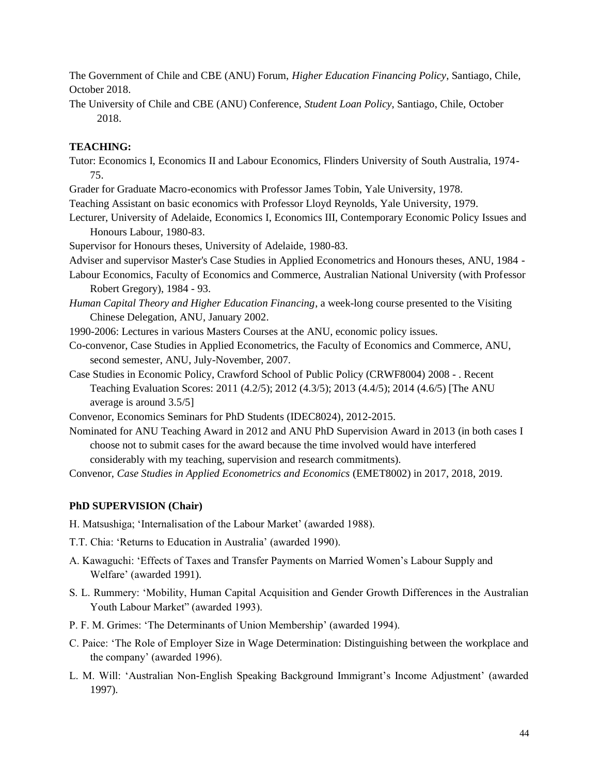The Government of Chile and CBE (ANU) Forum, *Higher Education Financing Policy*, Santiago, Chile, October 2018.

The University of Chile and CBE (ANU) Conference, *Student Loan Policy*, Santiago, Chile, October 2018.

# **TEACHING:**

- Tutor: Economics I, Economics II and Labour Economics, Flinders University of South Australia, 1974- 75.
- Grader for Graduate Macro-economics with Professor James Tobin, Yale University, 1978.
- Teaching Assistant on basic economics with Professor Lloyd Reynolds, Yale University, 1979.
- Lecturer, University of Adelaide, Economics I, Economics III, Contemporary Economic Policy Issues and Honours Labour, 1980-83.

Supervisor for Honours theses, University of Adelaide, 1980-83.

Adviser and supervisor Master's Case Studies in Applied Econometrics and Honours theses, ANU, 1984 -

- Labour Economics, Faculty of Economics and Commerce, Australian National University (with Professor Robert Gregory), 1984 - 93.
- *Human Capital Theory and Higher Education Financing*, a week-long course presented to the Visiting Chinese Delegation, ANU, January 2002.

1990-2006: Lectures in various Masters Courses at the ANU, economic policy issues.

- Co-convenor, Case Studies in Applied Econometrics, the Faculty of Economics and Commerce, ANU, second semester, ANU, July-November, 2007.
- Case Studies in Economic Policy, Crawford School of Public Policy (CRWF8004) 2008 . Recent Teaching Evaluation Scores: 2011 (4.2/5); 2012 (4.3/5); 2013 (4.4/5); 2014 (4.6/5) [The ANU average is around 3.5/5]

Convenor, Economics Seminars for PhD Students (IDEC8024), 2012-2015.

Nominated for ANU Teaching Award in 2012 and ANU PhD Supervision Award in 2013 (in both cases I choose not to submit cases for the award because the time involved would have interfered considerably with my teaching, supervision and research commitments).

Convenor, *Case Studies in Applied Econometrics and Economics* (EMET8002) in 2017, 2018, 2019.

# **PhD SUPERVISION (Chair)**

H. Matsushiga; 'Internalisation of the Labour Market' (awarded 1988).

- T.T. Chia: 'Returns to Education in Australia' (awarded 1990).
- A. Kawaguchi: 'Effects of Taxes and Transfer Payments on Married Women's Labour Supply and Welfare' (awarded 1991).
- S. L. Rummery: 'Mobility, Human Capital Acquisition and Gender Growth Differences in the Australian Youth Labour Market" (awarded 1993).
- P. F. M. Grimes: 'The Determinants of Union Membership' (awarded 1994).
- C. Paice: 'The Role of Employer Size in Wage Determination: Distinguishing between the workplace and the company' (awarded 1996).
- L. M. Will: 'Australian Non-English Speaking Background Immigrant's Income Adjustment' (awarded 1997).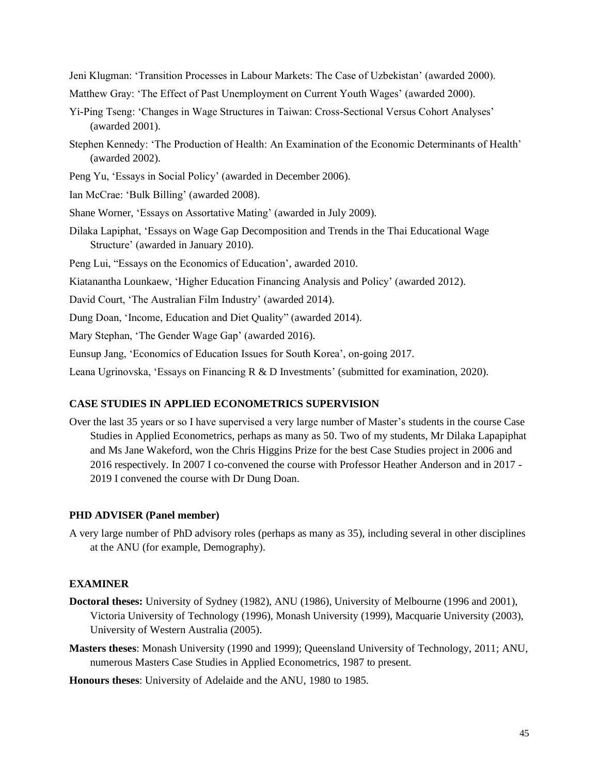Jeni Klugman: 'Transition Processes in Labour Markets: The Case of Uzbekistan' (awarded 2000).

- Matthew Gray: 'The Effect of Past Unemployment on Current Youth Wages' (awarded 2000).
- Yi-Ping Tseng: 'Changes in Wage Structures in Taiwan: Cross-Sectional Versus Cohort Analyses' (awarded 2001).
- Stephen Kennedy: 'The Production of Health: An Examination of the Economic Determinants of Health' (awarded 2002).
- Peng Yu, 'Essays in Social Policy' (awarded in December 2006).
- Ian McCrae: 'Bulk Billing' (awarded 2008).
- Shane Worner, 'Essays on Assortative Mating' (awarded in July 2009).
- Dilaka Lapiphat, 'Essays on Wage Gap Decomposition and Trends in the Thai Educational Wage Structure' (awarded in January 2010).
- Peng Lui, "Essays on the Economics of Education', awarded 2010.

Kiatanantha Lounkaew, 'Higher Education Financing Analysis and Policy' (awarded 2012).

- David Court, 'The Australian Film Industry' (awarded 2014).
- Dung Doan, 'Income, Education and Diet Quality" (awarded 2014).

Mary Stephan, 'The Gender Wage Gap' (awarded 2016).

Eunsup Jang, 'Economics of Education Issues for South Korea', on-going 2017.

Leana Ugrinovska, 'Essays on Financing R & D Investments' (submitted for examination, 2020).

#### **CASE STUDIES IN APPLIED ECONOMETRICS SUPERVISION**

Over the last 35 years or so I have supervised a very large number of Master's students in the course Case Studies in Applied Econometrics, perhaps as many as 50. Two of my students, Mr Dilaka Lapapiphat and Ms Jane Wakeford, won the Chris Higgins Prize for the best Case Studies project in 2006 and 2016 respectively. In 2007 I co-convened the course with Professor Heather Anderson and in 2017 - 2019 I convened the course with Dr Dung Doan.

#### **PHD ADVISER (Panel member)**

A very large number of PhD advisory roles (perhaps as many as 35), including several in other disciplines at the ANU (for example, Demography).

#### **EXAMINER**

- **Doctoral theses:** University of Sydney (1982), ANU (1986), University of Melbourne (1996 and 2001), Victoria University of Technology (1996), Monash University (1999), Macquarie University (2003), University of Western Australia (2005).
- **Masters theses**: Monash University (1990 and 1999); Queensland University of Technology, 2011; ANU, numerous Masters Case Studies in Applied Econometrics, 1987 to present.

**Honours theses**: University of Adelaide and the ANU, 1980 to 1985.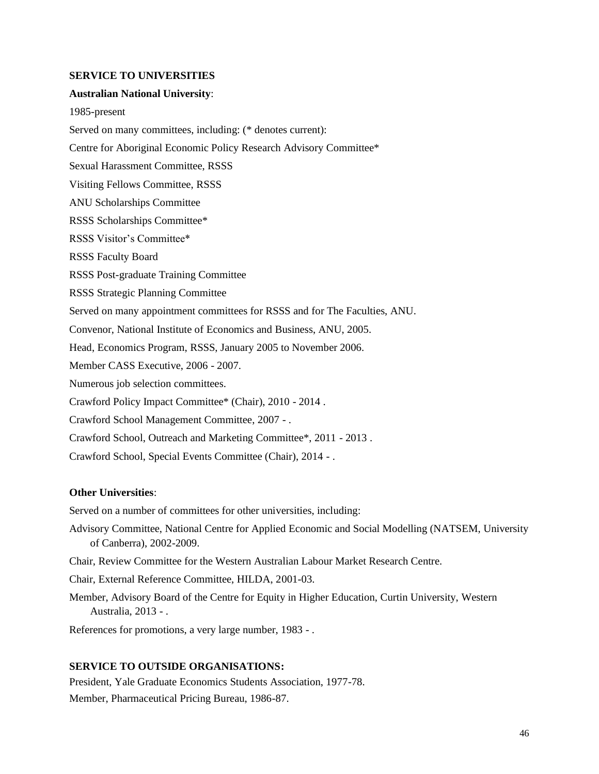#### **SERVICE TO UNIVERSITIES**

#### **Australian National University**:

1985-present Served on many committees, including: (\* denotes current): Centre for Aboriginal Economic Policy Research Advisory Committee\* Sexual Harassment Committee, RSSS Visiting Fellows Committee, RSSS ANU Scholarships Committee RSSS Scholarships Committee\* RSSS Visitor's Committee\* RSSS Faculty Board RSSS Post-graduate Training Committee RSSS Strategic Planning Committee Served on many appointment committees for RSSS and for The Faculties, ANU. Convenor, National Institute of Economics and Business, ANU, 2005. Head, Economics Program, RSSS, January 2005 to November 2006. Member CASS Executive, 2006 - 2007. Numerous job selection committees. Crawford Policy Impact Committee\* (Chair), 2010 - 2014 . Crawford School Management Committee, 2007 - . Crawford School, Outreach and Marketing Committee\*, 2011 - 2013 . Crawford School, Special Events Committee (Chair), 2014 - .

#### **Other Universities**:

Served on a number of committees for other universities, including:

- Advisory Committee, National Centre for Applied Economic and Social Modelling (NATSEM, University of Canberra), 2002-2009.
- Chair, Review Committee for the Western Australian Labour Market Research Centre.

Chair, External Reference Committee, HILDA, 2001-03.

Member, Advisory Board of the Centre for Equity in Higher Education, Curtin University, Western Australia, 2013 - .

References for promotions, a very large number, 1983 - .

# **SERVICE TO OUTSIDE ORGANISATIONS:**

President, Yale Graduate Economics Students Association, 1977-78. Member, Pharmaceutical Pricing Bureau, 1986-87.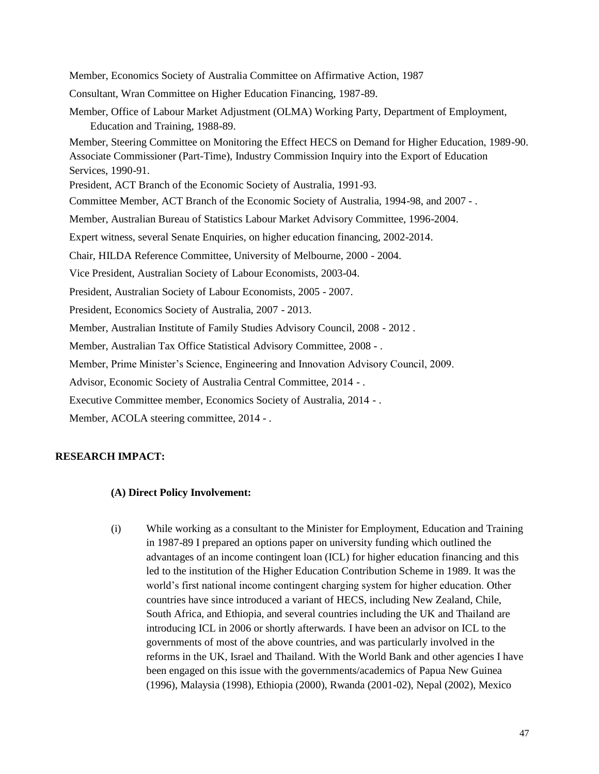Member, Economics Society of Australia Committee on Affirmative Action, 1987 Consultant, Wran Committee on Higher Education Financing, 1987-89. Member, Office of Labour Market Adjustment (OLMA) Working Party, Department of Employment, Education and Training, 1988-89. Member, Steering Committee on Monitoring the Effect HECS on Demand for Higher Education, 1989-90. Associate Commissioner (Part-Time), Industry Commission Inquiry into the Export of Education Services, 1990-91. President, ACT Branch of the Economic Society of Australia, 1991-93. Committee Member, ACT Branch of the Economic Society of Australia, 1994-98, and 2007 - . Member, Australian Bureau of Statistics Labour Market Advisory Committee, 1996-2004. Expert witness, several Senate Enquiries, on higher education financing, 2002-2014. Chair, HILDA Reference Committee, University of Melbourne, 2000 - 2004. Vice President, Australian Society of Labour Economists, 2003-04. President, Australian Society of Labour Economists, 2005 - 2007. President, Economics Society of Australia, 2007 - 2013. Member, Australian Institute of Family Studies Advisory Council, 2008 - 2012 .

Member, Australian Tax Office Statistical Advisory Committee, 2008 - .

Member, Prime Minister's Science, Engineering and Innovation Advisory Council, 2009.

Advisor, Economic Society of Australia Central Committee, 2014 - .

Executive Committee member, Economics Society of Australia, 2014 - .

Member, ACOLA steering committee, 2014 - .

# **RESEARCH IMPACT:**

#### **(A) Direct Policy Involvement:**

(i) While working as a consultant to the Minister for Employment, Education and Training in 1987-89 I prepared an options paper on university funding which outlined the advantages of an income contingent loan (ICL) for higher education financing and this led to the institution of the Higher Education Contribution Scheme in 1989. It was the world's first national income contingent charging system for higher education. Other countries have since introduced a variant of HECS, including New Zealand, Chile, South Africa, and Ethiopia, and several countries including the UK and Thailand are introducing ICL in 2006 or shortly afterwards. I have been an advisor on ICL to the governments of most of the above countries, and was particularly involved in the reforms in the UK, Israel and Thailand. With the World Bank and other agencies I have been engaged on this issue with the governments/academics of Papua New Guinea (1996), Malaysia (1998), Ethiopia (2000), Rwanda (2001-02), Nepal (2002), Mexico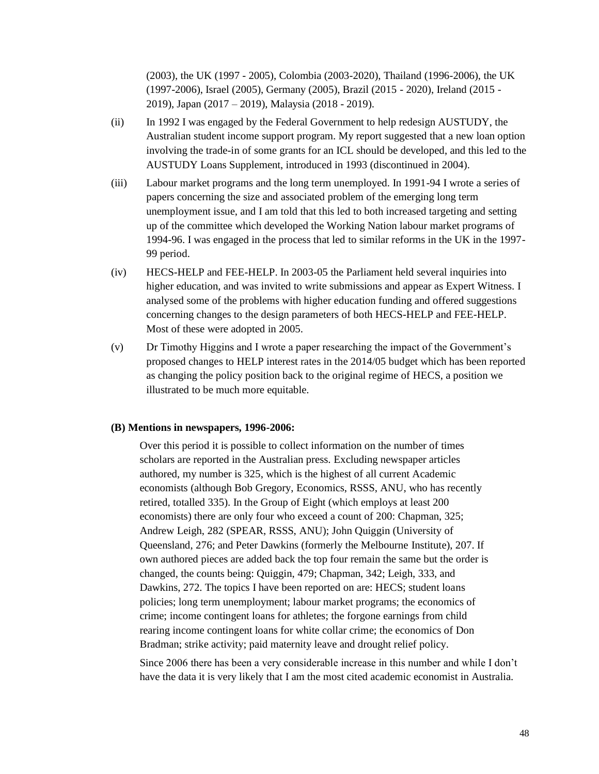(2003), the UK (1997 - 2005), Colombia (2003-2020), Thailand (1996-2006), the UK (1997-2006), Israel (2005), Germany (2005), Brazil (2015 - 2020), Ireland (2015 - 2019), Japan (2017 – 2019), Malaysia (2018 - 2019).

- (ii) In 1992 I was engaged by the Federal Government to help redesign AUSTUDY, the Australian student income support program. My report suggested that a new loan option involving the trade-in of some grants for an ICL should be developed, and this led to the AUSTUDY Loans Supplement, introduced in 1993 (discontinued in 2004).
- (iii) Labour market programs and the long term unemployed. In 1991-94 I wrote a series of papers concerning the size and associated problem of the emerging long term unemployment issue, and I am told that this led to both increased targeting and setting up of the committee which developed the Working Nation labour market programs of 1994-96. I was engaged in the process that led to similar reforms in the UK in the 1997- 99 period.
- (iv) HECS-HELP and FEE-HELP. In 2003-05 the Parliament held several inquiries into higher education, and was invited to write submissions and appear as Expert Witness. I analysed some of the problems with higher education funding and offered suggestions concerning changes to the design parameters of both HECS-HELP and FEE-HELP. Most of these were adopted in 2005.
- (v) Dr Timothy Higgins and I wrote a paper researching the impact of the Government's proposed changes to HELP interest rates in the 2014/05 budget which has been reported as changing the policy position back to the original regime of HECS, a position we illustrated to be much more equitable.

#### **(B) Mentions in newspapers, 1996-2006:**

Over this period it is possible to collect information on the number of times scholars are reported in the Australian press. Excluding newspaper articles authored, my number is 325, which is the highest of all current Academic economists (although Bob Gregory, Economics, RSSS, ANU, who has recently retired, totalled 335). In the Group of Eight (which employs at least 200 economists) there are only four who exceed a count of 200: Chapman, 325; Andrew Leigh, 282 (SPEAR, RSSS, ANU); John Quiggin (University of Queensland, 276; and Peter Dawkins (formerly the Melbourne Institute), 207. If own authored pieces are added back the top four remain the same but the order is changed, the counts being: Quiggin, 479; Chapman, 342; Leigh, 333, and Dawkins, 272. The topics I have been reported on are: HECS; student loans policies; long term unemployment; labour market programs; the economics of crime; income contingent loans for athletes; the forgone earnings from child rearing income contingent loans for white collar crime; the economics of Don Bradman; strike activity; paid maternity leave and drought relief policy.

Since 2006 there has been a very considerable increase in this number and while I don't have the data it is very likely that I am the most cited academic economist in Australia.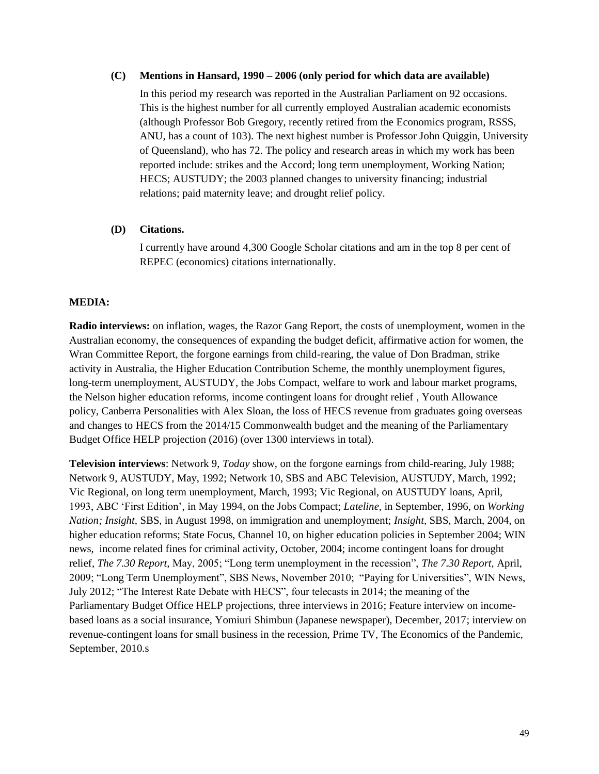### **(C) Mentions in Hansard, 1990 – 2006 (only period for which data are available)**

In this period my research was reported in the Australian Parliament on 92 occasions. This is the highest number for all currently employed Australian academic economists (although Professor Bob Gregory, recently retired from the Economics program, RSSS, ANU, has a count of 103). The next highest number is Professor John Quiggin, University of Queensland), who has 72. The policy and research areas in which my work has been reported include: strikes and the Accord; long term unemployment, Working Nation; HECS; AUSTUDY; the 2003 planned changes to university financing; industrial relations; paid maternity leave; and drought relief policy.

# **(D) Citations.**

I currently have around 4,300 Google Scholar citations and am in the top 8 per cent of REPEC (economics) citations internationally.

# **MEDIA:**

**Radio interviews:** on inflation, wages, the Razor Gang Report, the costs of unemployment, women in the Australian economy, the consequences of expanding the budget deficit, affirmative action for women, the Wran Committee Report, the forgone earnings from child-rearing, the value of Don Bradman, strike activity in Australia, the Higher Education Contribution Scheme, the monthly unemployment figures, long-term unemployment, AUSTUDY, the Jobs Compact, welfare to work and labour market programs, the Nelson higher education reforms, income contingent loans for drought relief , Youth Allowance policy, Canberra Personalities with Alex Sloan, the loss of HECS revenue from graduates going overseas and changes to HECS from the 2014/15 Commonwealth budget and the meaning of the Parliamentary Budget Office HELP projection (2016) (over 1300 interviews in total).

**Television interviews**: Network 9, *Today* show, on the forgone earnings from child-rearing, July 1988; Network 9, AUSTUDY, May, 1992; Network 10, SBS and ABC Television, AUSTUDY, March, 1992; Vic Regional, on long term unemployment, March, 1993; Vic Regional, on AUSTUDY loans, April, 1993, ABC 'First Edition', in May 1994, on the Jobs Compact; *Lateline*, in September, 1996, on *Working Nation; Insight,* SBS, in August 1998, on immigration and unemployment; *Insight,* SBS, March, 2004, on higher education reforms; State Focus, Channel 10, on higher education policies in September 2004; WIN news, income related fines for criminal activity, October, 2004; income contingent loans for drought relief, *The 7.30 Report,* May, 2005; "Long term unemployment in the recession", *The 7.30 Report,* April, 2009; "Long Term Unemployment", SBS News, November 2010; "Paying for Universities", WIN News, July 2012; "The Interest Rate Debate with HECS", four telecasts in 2014; the meaning of the Parliamentary Budget Office HELP projections, three interviews in 2016; Feature interview on incomebased loans as a social insurance, Yomiuri Shimbun (Japanese newspaper), December, 2017; interview on revenue-contingent loans for small business in the recession, Prime TV, The Economics of the Pandemic, September, 2010.s